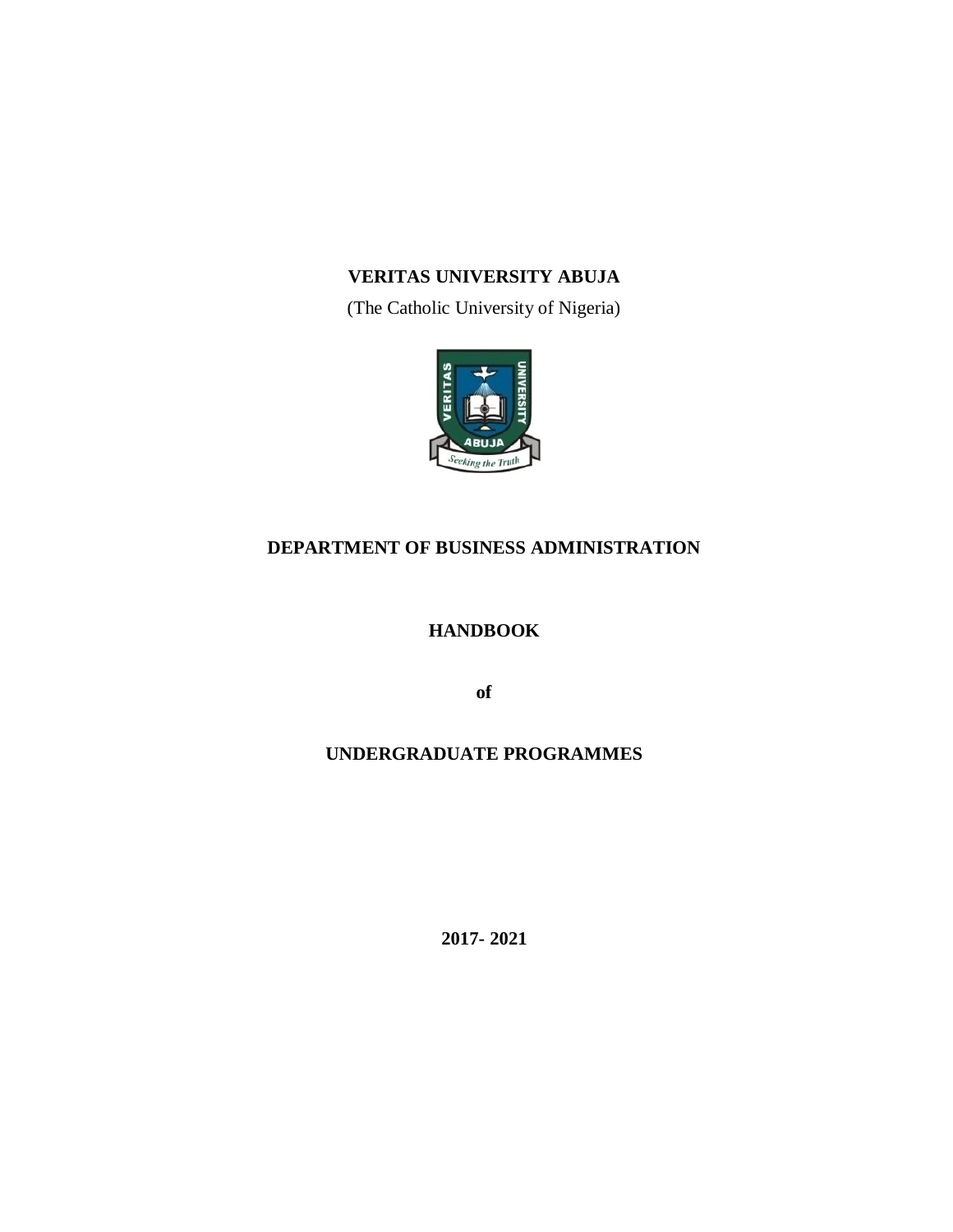# **VERITAS UNIVERSITY ABUJA**

(The Catholic University of Nigeria)



# **DEPARTMENT OF BUSINESS ADMINISTRATION**

**HANDBOOK**

**of**

# **UNDERGRADUATE PROGRAMMES**

**2017- 2021**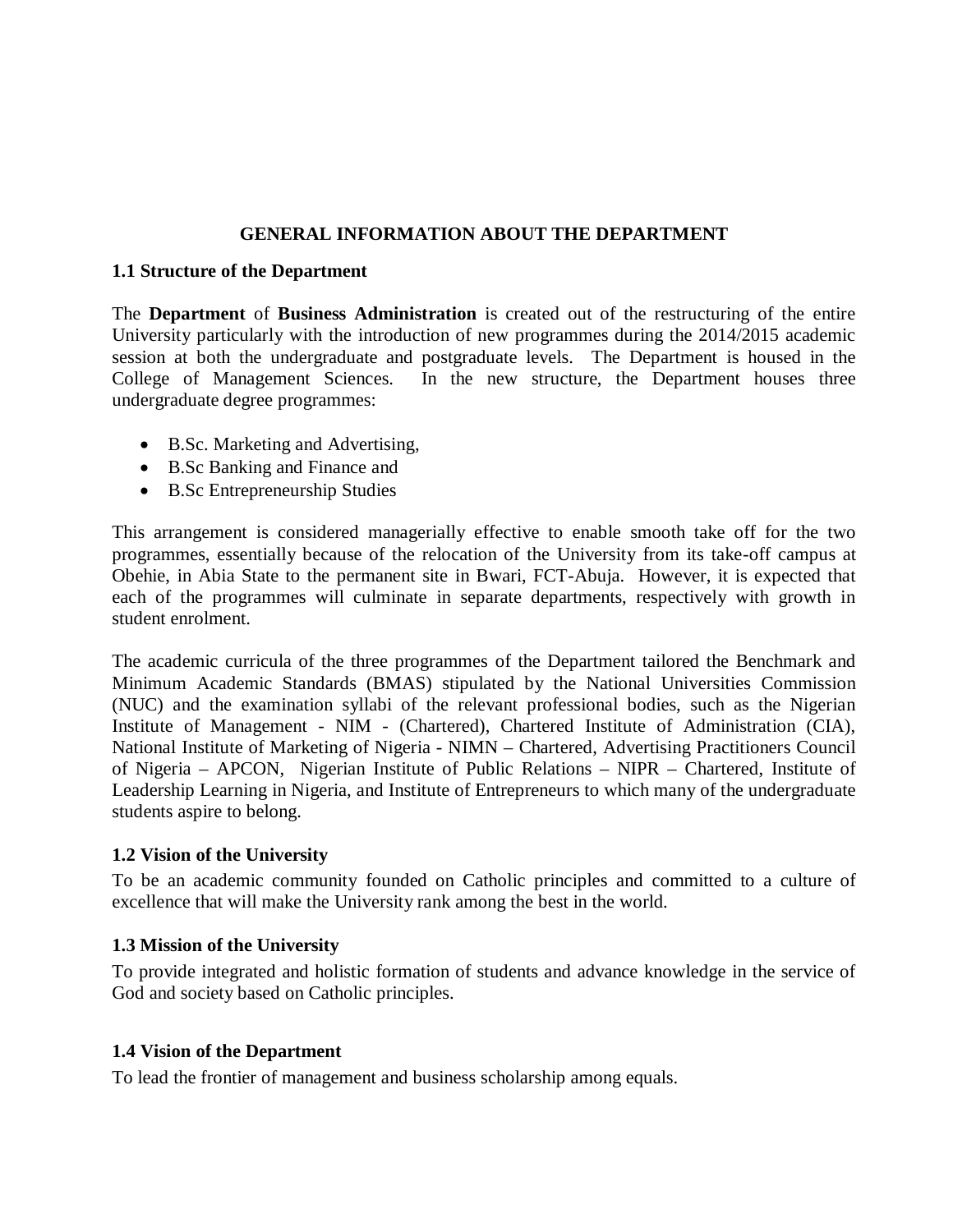# **GENERAL INFORMATION ABOUT THE DEPARTMENT**

#### **1.1 Structure of the Department**

The **Department** of **Business Administration** is created out of the restructuring of the entire University particularly with the introduction of new programmes during the 2014/2015 academic session at both the undergraduate and postgraduate levels. The Department is housed in the College of Management Sciences. In the new structure, the Department houses three In the new structure, the Department houses three undergraduate degree programmes:

- B.Sc. Marketing and Advertising,
- B.Sc Banking and Finance and
- B.Sc Entrepreneurship Studies

This arrangement is considered managerially effective to enable smooth take off for the two programmes, essentially because of the relocation of the University from its take-off campus at Obehie, in Abia State to the permanent site in Bwari, FCT-Abuja. However, it is expected that each of the programmes will culminate in separate departments, respectively with growth in student enrolment.

The academic curricula of the three programmes of the Department tailored the Benchmark and Minimum Academic Standards (BMAS) stipulated by the National Universities Commission (NUC) and the examination syllabi of the relevant professional bodies, such as the Nigerian Institute of Management - NIM - (Chartered), Chartered Institute of Administration (CIA), National Institute of Marketing of Nigeria - NIMN – Chartered, Advertising Practitioners Council of Nigeria – APCON, Nigerian Institute of Public Relations – NIPR – Chartered, Institute of Leadership Learning in Nigeria, and Institute of Entrepreneurs to which many of the undergraduate students aspire to belong.

#### **1.2 Vision of the University**

To be an academic community founded on Catholic principles and committed to a culture of excellence that will make the University rank among the best in the world.

#### **1.3 Mission of the University**

To provide integrated and holistic formation of students and advance knowledge in the service of God and society based on Catholic principles.

#### **1.4 Vision of the Department**

To lead the frontier of management and business scholarship among equals.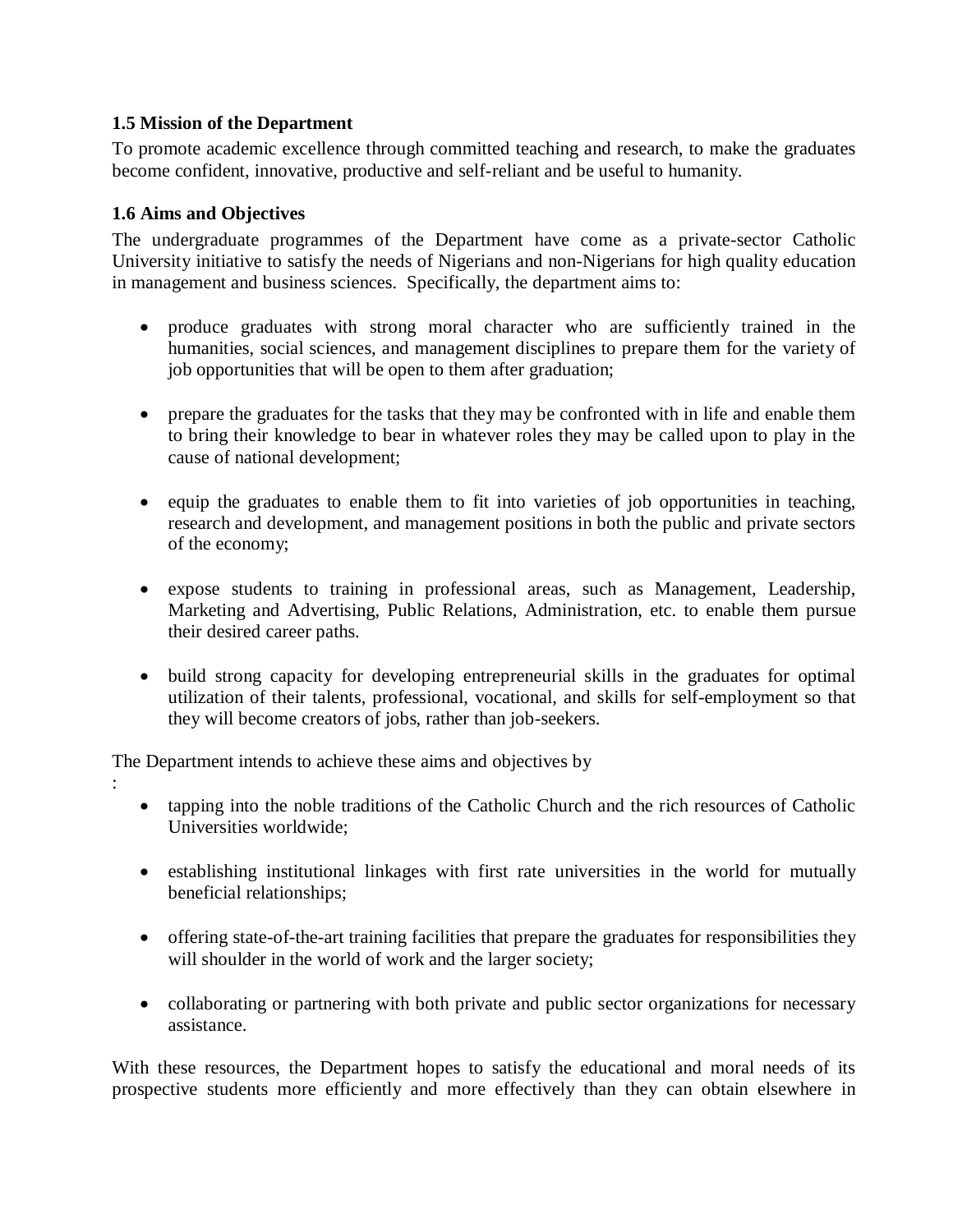# **1.5 Mission of the Department**

To promote academic excellence through committed teaching and research, to make the graduates become confident, innovative, productive and self-reliant and be useful to humanity.

# **1.6 Aims and Objectives**

:

The undergraduate programmes of the Department have come as a private-sector Catholic University initiative to satisfy the needs of Nigerians and non-Nigerians for high quality education in management and business sciences. Specifically, the department aims to:

- produce graduates with strong moral character who are sufficiently trained in the humanities, social sciences, and management disciplines to prepare them for the variety of job opportunities that will be open to them after graduation;
- prepare the graduates for the tasks that they may be confronted with in life and enable them to bring their knowledge to bear in whatever roles they may be called upon to play in the cause of national development;
- equip the graduates to enable them to fit into varieties of job opportunities in teaching, research and development, and management positions in both the public and private sectors of the economy;
- expose students to training in professional areas, such as Management, Leadership, Marketing and Advertising, Public Relations, Administration, etc. to enable them pursue their desired career paths.
- build strong capacity for developing entrepreneurial skills in the graduates for optimal utilization of their talents, professional, vocational, and skills for self-employment so that they will become creators of jobs, rather than job-seekers.

The Department intends to achieve these aims and objectives by

- tapping into the noble traditions of the Catholic Church and the rich resources of Catholic Universities worldwide;
- establishing institutional linkages with first rate universities in the world for mutually beneficial relationships;
- offering state-of-the-art training facilities that prepare the graduates for responsibilities they will shoulder in the world of work and the larger society;
- collaborating or partnering with both private and public sector organizations for necessary assistance.

With these resources, the Department hopes to satisfy the educational and moral needs of its prospective students more efficiently and more effectively than they can obtain elsewhere in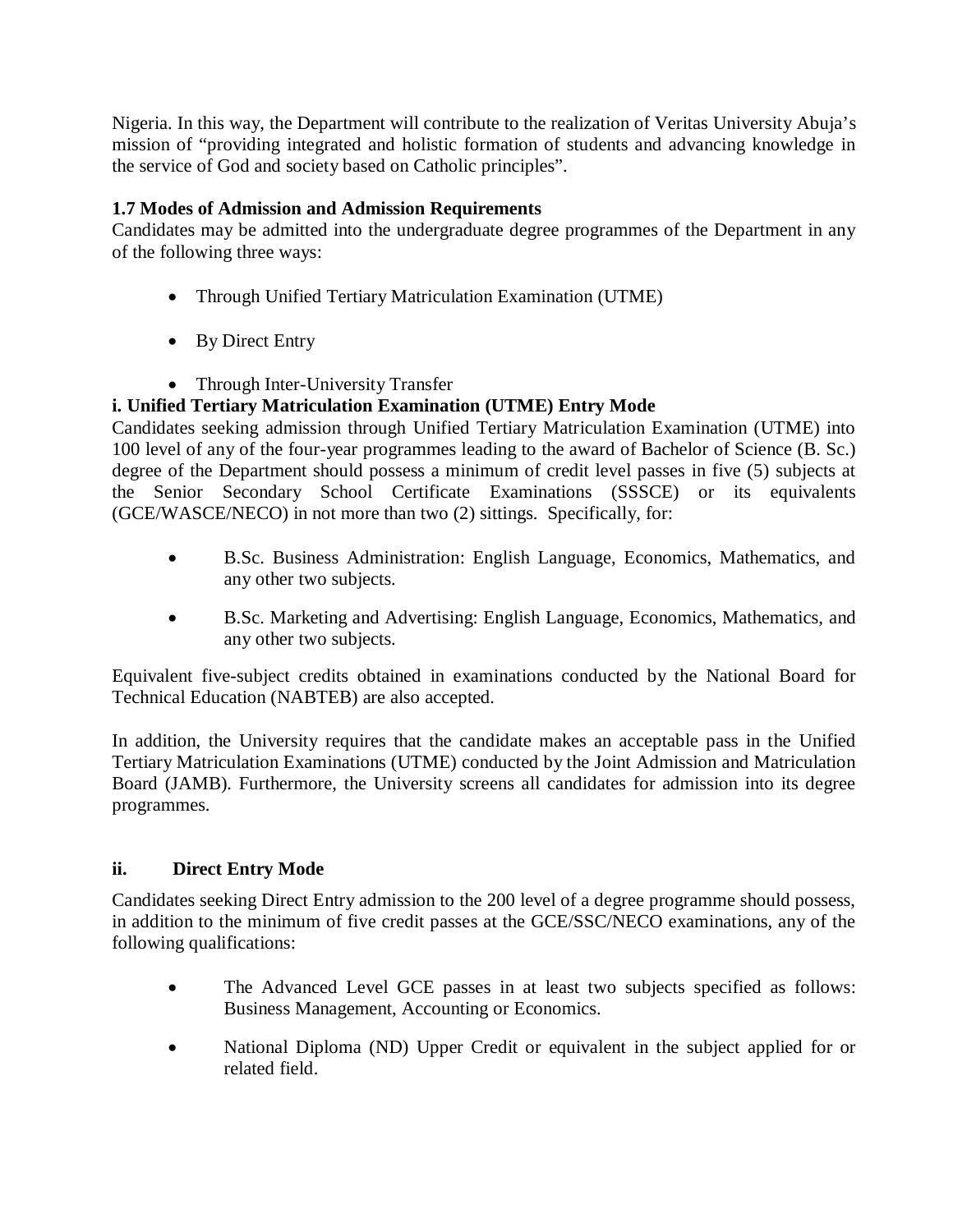Nigeria. In this way, the Department will contribute to the realization of Veritas University Abuja's mission of "providing integrated and holistic formation of students and advancing knowledge in the service of God and society based on Catholic principles".

# **1.7 Modes of Admission and Admission Requirements**

Candidates may be admitted into the undergraduate degree programmes of the Department in any of the following three ways:

- Through Unified Tertiary Matriculation Examination (UTME)
- By Direct Entry
- Through Inter-University Transfer

# **i. Unified Tertiary Matriculation Examination (UTME) Entry Mode**

Candidates seeking admission through Unified Tertiary Matriculation Examination (UTME) into 100 level of any of the four-year programmes leading to the award of Bachelor of Science (B. Sc.) degree of the Department should possess a minimum of credit level passes in five (5) subjects at the Senior Secondary School Certificate Examinations (SSSCE) or its equivalents (GCE/WASCE/NECO) in not more than two (2) sittings. Specifically, for:

- B.Sc. Business Administration: English Language, Economics, Mathematics, and any other two subjects.
- B.Sc. Marketing and Advertising: English Language, Economics, Mathematics, and any other two subjects.

Equivalent five-subject credits obtained in examinations conducted by the National Board for Technical Education (NABTEB) are also accepted.

In addition, the University requires that the candidate makes an acceptable pass in the Unified Tertiary Matriculation Examinations (UTME) conducted by the Joint Admission and Matriculation Board (JAMB). Furthermore, the University screens all candidates for admission into its degree programmes.

# **ii. Direct Entry Mode**

Candidates seeking Direct Entry admission to the 200 level of a degree programme should possess, in addition to the minimum of five credit passes at the GCE/SSC/NECO examinations, any of the following qualifications:

- The Advanced Level GCE passes in at least two subjects specified as follows: Business Management, Accounting or Economics.
- National Diploma (ND) Upper Credit or equivalent in the subject applied for or related field.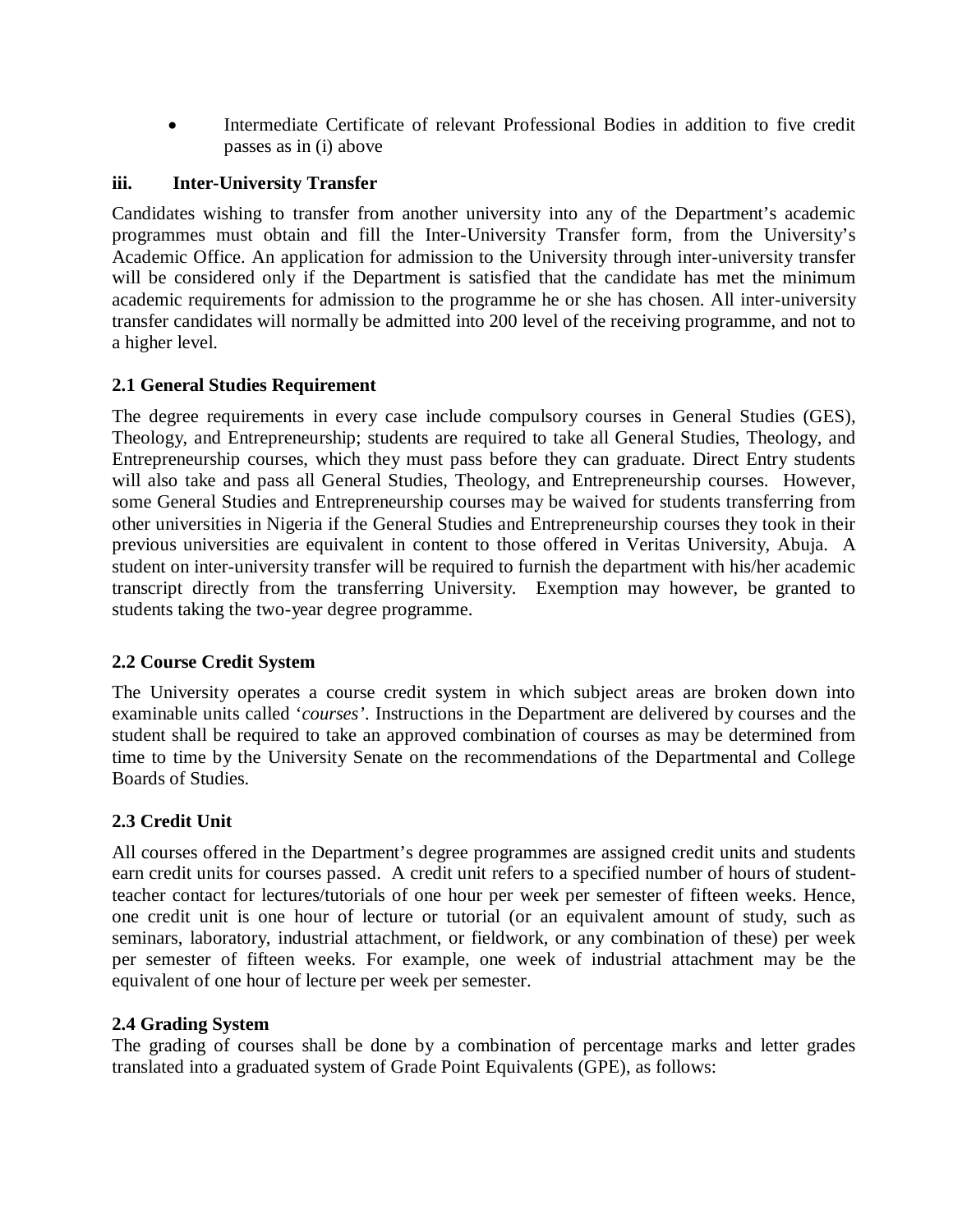Intermediate Certificate of relevant Professional Bodies in addition to five credit passes as in (i) above

# **iii. Inter-University Transfer**

Candidates wishing to transfer from another university into any of the Department's academic programmes must obtain and fill the Inter-University Transfer form, from the University's Academic Office. An application for admission to the University through inter-university transfer will be considered only if the Department is satisfied that the candidate has met the minimum academic requirements for admission to the programme he or she has chosen. All inter-university transfer candidates will normally be admitted into 200 level of the receiving programme, and not to a higher level.

# **2.1 General Studies Requirement**

The degree requirements in every case include compulsory courses in General Studies (GES), Theology, and Entrepreneurship; students are required to take all General Studies, Theology, and Entrepreneurship courses, which they must pass before they can graduate. Direct Entry students will also take and pass all General Studies, Theology, and Entrepreneurship courses. However, some General Studies and Entrepreneurship courses may be waived for students transferring from other universities in Nigeria if the General Studies and Entrepreneurship courses they took in their previous universities are equivalent in content to those offered in Veritas University, Abuja. A student on inter-university transfer will be required to furnish the department with his/her academic transcript directly from the transferring University. Exemption may however, be granted to students taking the two-year degree programme.

#### **2.2 Course Credit System**

The University operates a course credit system in which subject areas are broken down into examinable units called '*courses'*. Instructions in the Department are delivered by courses and the student shall be required to take an approved combination of courses as may be determined from time to time by the University Senate on the recommendations of the Departmental and College Boards of Studies.

#### **2.3 Credit Unit**

All courses offered in the Department's degree programmes are assigned credit units and students earn credit units for courses passed. A credit unit refers to a specified number of hours of studentteacher contact for lectures/tutorials of one hour per week per semester of fifteen weeks. Hence, one credit unit is one hour of lecture or tutorial (or an equivalent amount of study, such as seminars, laboratory, industrial attachment, or fieldwork, or any combination of these) per week per semester of fifteen weeks. For example, one week of industrial attachment may be the equivalent of one hour of lecture per week per semester.

#### **2.4 Grading System**

The grading of courses shall be done by a combination of percentage marks and letter grades translated into a graduated system of Grade Point Equivalents (GPE), as follows: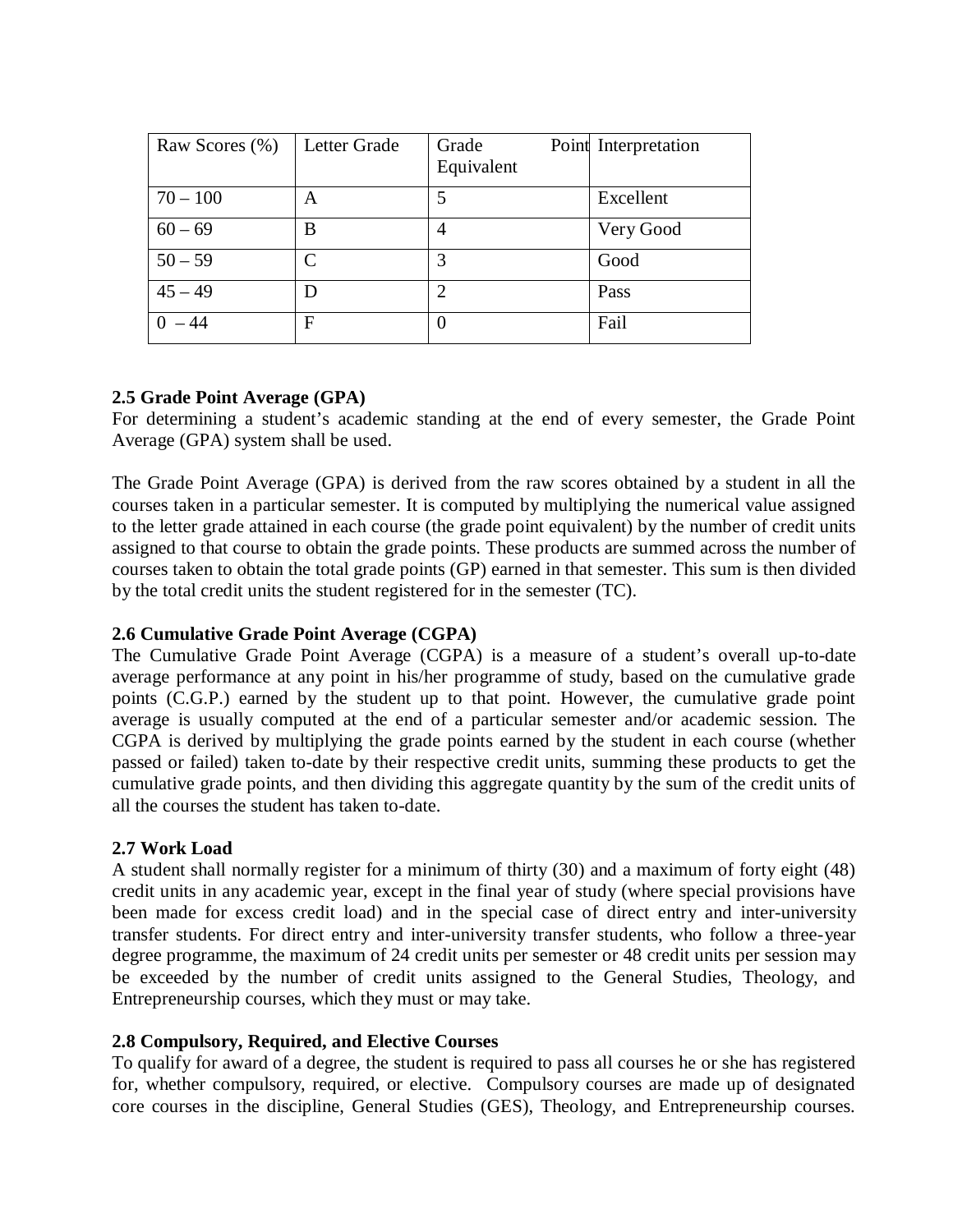| Raw Scores (%) | Letter Grade | Grade<br>Equivalent | Point Interpretation |
|----------------|--------------|---------------------|----------------------|
| $70 - 100$     | A            | 5                   | Excellent            |
| $60 - 69$      | B            | 4                   | Very Good            |
| $50 - 59$      | C            | 3                   | Good                 |
| $45 - 49$      | D            | $\overline{2}$      | Pass                 |
| – 44           | F            | $\theta$            | Fail                 |

# **2.5 Grade Point Average (GPA)**

For determining a student's academic standing at the end of every semester, the Grade Point Average (GPA) system shall be used.

The Grade Point Average (GPA) is derived from the raw scores obtained by a student in all the courses taken in a particular semester. It is computed by multiplying the numerical value assigned to the letter grade attained in each course (the grade point equivalent) by the number of credit units assigned to that course to obtain the grade points. These products are summed across the number of courses taken to obtain the total grade points (GP) earned in that semester. This sum is then divided by the total credit units the student registered for in the semester (TC).

# **2.6 Cumulative Grade Point Average (CGPA)**

The Cumulative Grade Point Average (CGPA) is a measure of a student's overall up-to-date average performance at any point in his/her programme of study, based on the cumulative grade points (C.G.P.) earned by the student up to that point. However, the cumulative grade point average is usually computed at the end of a particular semester and/or academic session. The CGPA is derived by multiplying the grade points earned by the student in each course (whether passed or failed) taken to-date by their respective credit units, summing these products to get the cumulative grade points, and then dividing this aggregate quantity by the sum of the credit units of all the courses the student has taken to-date.

#### **2.7 Work Load**

A student shall normally register for a minimum of thirty (30) and a maximum of forty eight (48) credit units in any academic year, except in the final year of study (where special provisions have been made for excess credit load) and in the special case of direct entry and inter-university transfer students. For direct entry and inter-university transfer students, who follow a three-year degree programme, the maximum of 24 credit units per semester or 48 credit units per session may be exceeded by the number of credit units assigned to the General Studies, Theology, and Entrepreneurship courses, which they must or may take.

#### **2.8 Compulsory, Required, and Elective Courses**

To qualify for award of a degree, the student is required to pass all courses he or she has registered for, whether compulsory, required, or elective. Compulsory courses are made up of designated core courses in the discipline, General Studies (GES), Theology, and Entrepreneurship courses.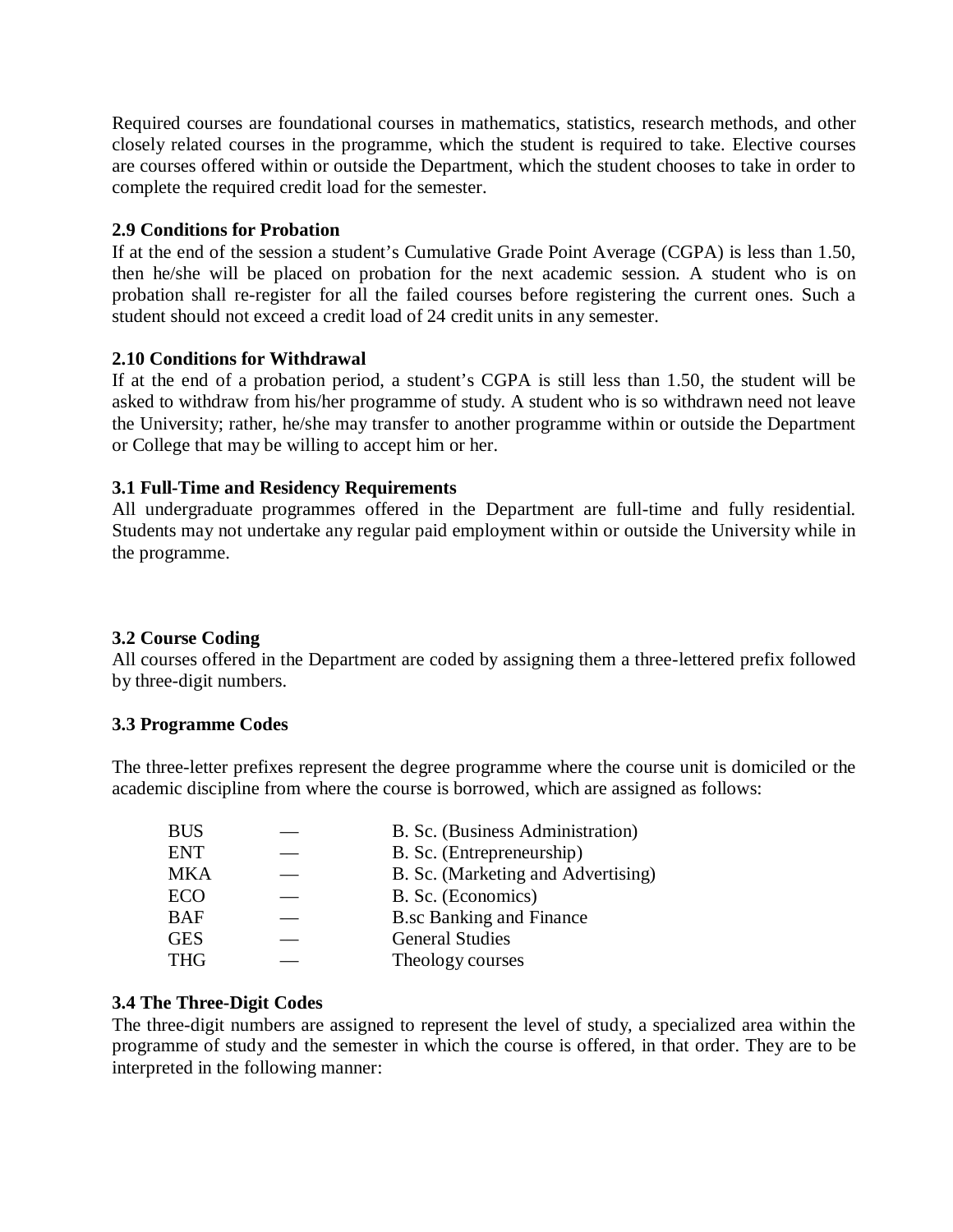Required courses are foundational courses in mathematics, statistics, research methods, and other closely related courses in the programme, which the student is required to take. Elective courses are courses offered within or outside the Department, which the student chooses to take in order to complete the required credit load for the semester.

# **2.9 Conditions for Probation**

If at the end of the session a student's Cumulative Grade Point Average (CGPA) is less than 1.50, then he/she will be placed on probation for the next academic session. A student who is on probation shall re-register for all the failed courses before registering the current ones. Such a student should not exceed a credit load of 24 credit units in any semester.

# **2.10 Conditions for Withdrawal**

If at the end of a probation period, a student's CGPA is still less than 1.50, the student will be asked to withdraw from his/her programme of study. A student who is so withdrawn need not leave the University; rather, he/she may transfer to another programme within or outside the Department or College that may be willing to accept him or her.

# **3.1 Full-Time and Residency Requirements**

All undergraduate programmes offered in the Department are full-time and fully residential. Students may not undertake any regular paid employment within or outside the University while in the programme.

# **3.2 Course Coding**

All courses offered in the Department are coded by assigning them a three-lettered prefix followed by three-digit numbers.

#### **3.3 Programme Codes**

The three-letter prefixes represent the degree programme where the course unit is domiciled or the academic discipline from where the course is borrowed, which are assigned as follows:

| <b>BUS</b> | B. Sc. (Business Administration)   |
|------------|------------------------------------|
| <b>ENT</b> | B. Sc. (Entrepreneurship)          |
| MKA        | B. Sc. (Marketing and Advertising) |
| ECO        | B. Sc. (Economics)                 |
| <b>BAF</b> | <b>B.sc Banking and Finance</b>    |
| <b>GES</b> | <b>General Studies</b>             |
| <b>THG</b> | Theology courses                   |

#### **3.4 The Three-Digit Codes**

The three-digit numbers are assigned to represent the level of study, a specialized area within the programme of study and the semester in which the course is offered, in that order. They are to be interpreted in the following manner: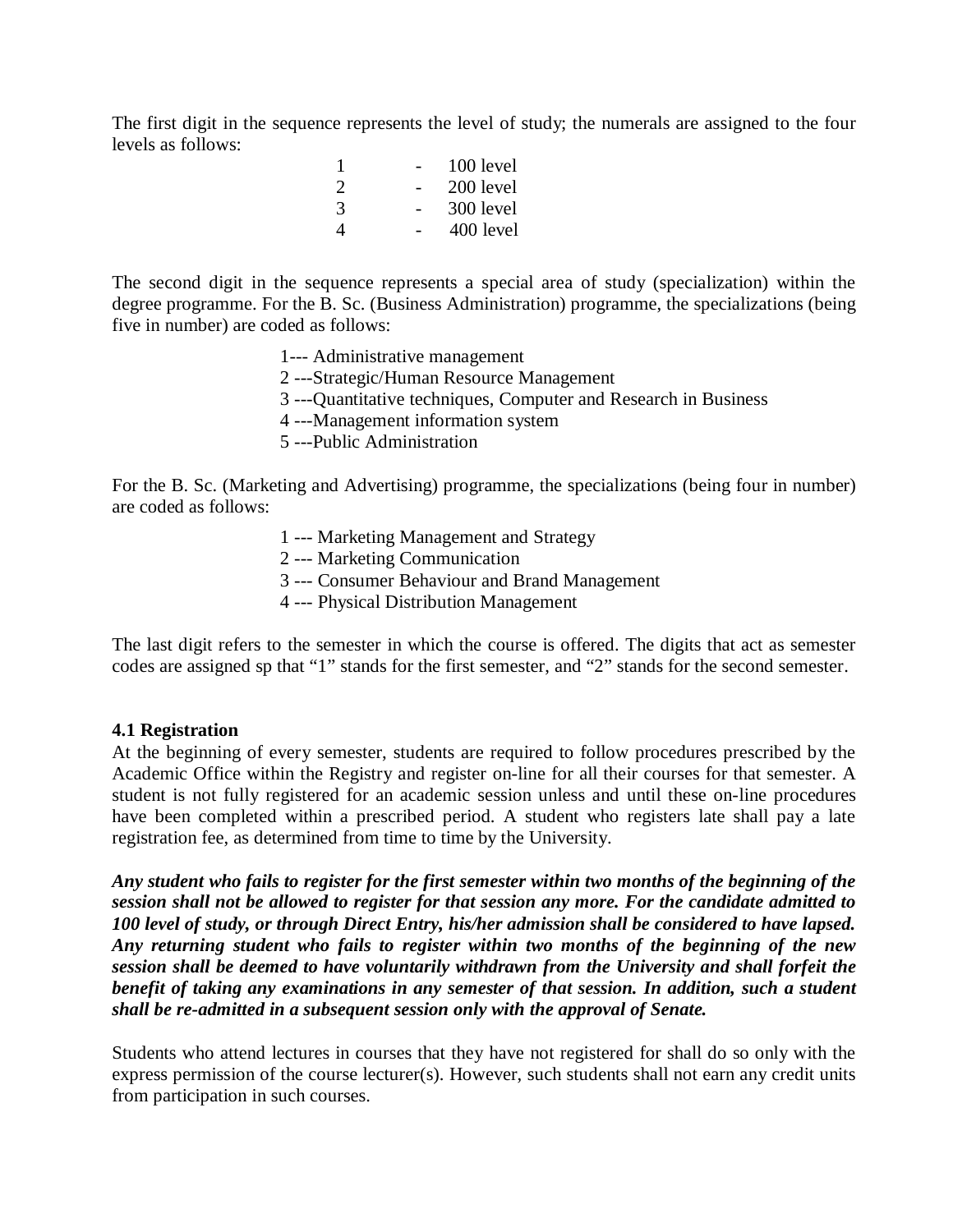The first digit in the sequence represents the level of study; the numerals are assigned to the four levels as follows:

| $100$ level |
|-------------|
| 200 level   |
| 300 level   |
| $400$ level |
|             |

The second digit in the sequence represents a special area of study (specialization) within the degree programme. For the B. Sc. (Business Administration) programme, the specializations (being five in number) are coded as follows:

- 1--- Administrative management
- 2 ---Strategic/Human Resource Management
- 3 ---Quantitative techniques, Computer and Research in Business
- 4 ---Management information system
- 5 ---Public Administration

For the B. Sc. (Marketing and Advertising) programme, the specializations (being four in number) are coded as follows:

- 1 --- Marketing Management and Strategy
- 2 --- Marketing Communication
- 3 --- Consumer Behaviour and Brand Management
- 4 --- Physical Distribution Management

The last digit refers to the semester in which the course is offered. The digits that act as semester codes are assigned sp that "1" stands for the first semester, and "2" stands for the second semester.

#### **4.1 Registration**

At the beginning of every semester, students are required to follow procedures prescribed by the Academic Office within the Registry and register on-line for all their courses for that semester. A student is not fully registered for an academic session unless and until these on-line procedures have been completed within a prescribed period. A student who registers late shall pay a late registration fee, as determined from time to time by the University.

*Any student who fails to register for the first semester within two months of the beginning of the session shall not be allowed to register for that session any more. For the candidate admitted to 100 level of study, or through Direct Entry, his/her admission shall be considered to have lapsed. Any returning student who fails to register within two months of the beginning of the new session shall be deemed to have voluntarily withdrawn from the University and shall forfeit the benefit of taking any examinations in any semester of that session. In addition, such a student shall be re-admitted in a subsequent session only with the approval of Senate.*

Students who attend lectures in courses that they have not registered for shall do so only with the express permission of the course lecturer(s). However, such students shall not earn any credit units from participation in such courses.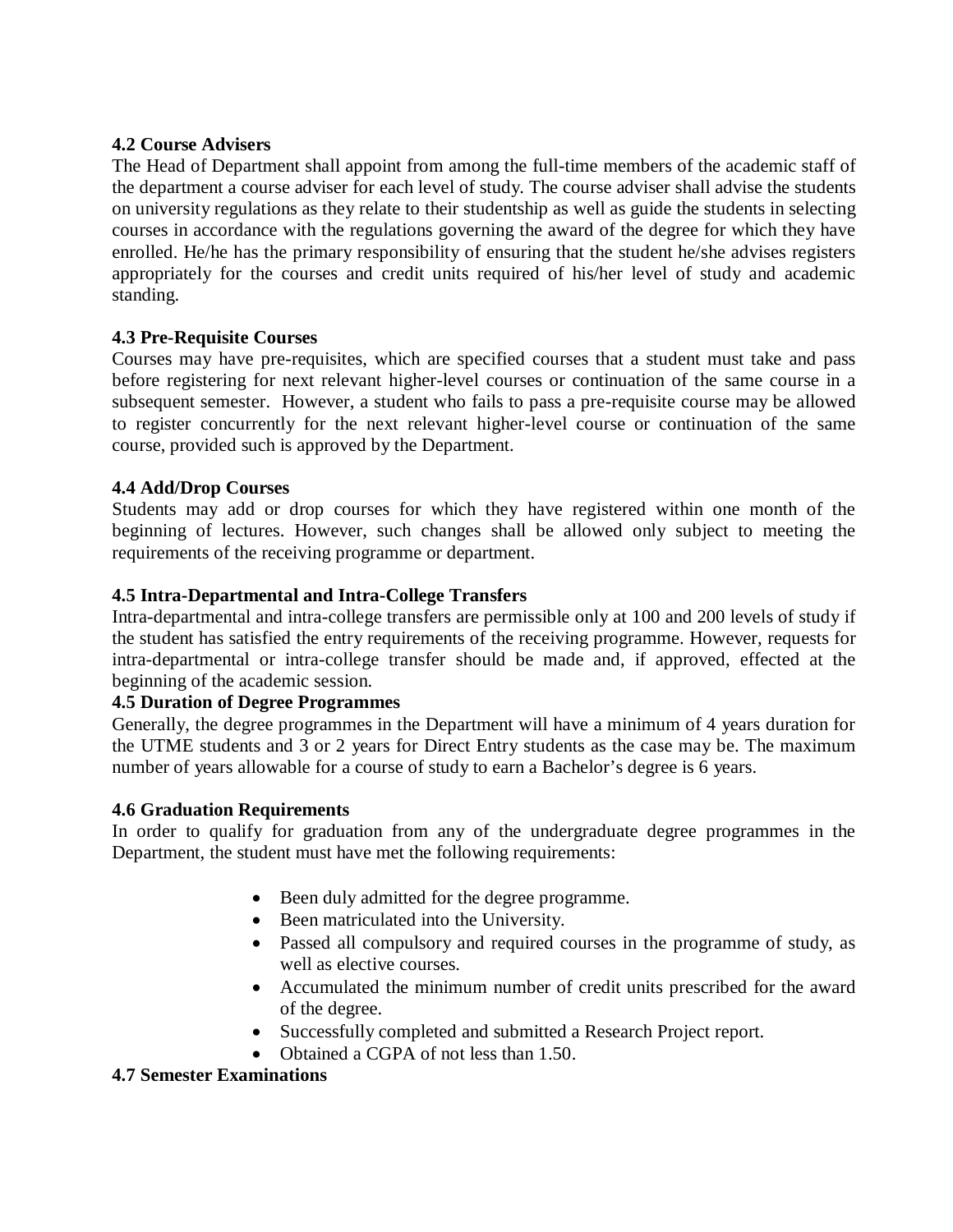# **4.2 Course Advisers**

The Head of Department shall appoint from among the full-time members of the academic staff of the department a course adviser for each level of study. The course adviser shall advise the students on university regulations as they relate to their studentship as well as guide the students in selecting courses in accordance with the regulations governing the award of the degree for which they have enrolled. He/he has the primary responsibility of ensuring that the student he/she advises registers appropriately for the courses and credit units required of his/her level of study and academic standing.

# **4.3 Pre-Requisite Courses**

Courses may have pre-requisites, which are specified courses that a student must take and pass before registering for next relevant higher-level courses or continuation of the same course in a subsequent semester. However, a student who fails to pass a pre-requisite course may be allowed to register concurrently for the next relevant higher-level course or continuation of the same course, provided such is approved by the Department.

# **4.4 Add/Drop Courses**

Students may add or drop courses for which they have registered within one month of the beginning of lectures. However, such changes shall be allowed only subject to meeting the requirements of the receiving programme or department.

# **4.5 Intra-Departmental and Intra-College Transfers**

Intra-departmental and intra-college transfers are permissible only at 100 and 200 levels of study if the student has satisfied the entry requirements of the receiving programme. However, requests for intra-departmental or intra-college transfer should be made and, if approved, effected at the beginning of the academic session.

# **4.5 Duration of Degree Programmes**

Generally, the degree programmes in the Department will have a minimum of 4 years duration for the UTME students and 3 or 2 years for Direct Entry students as the case may be. The maximum number of years allowable for a course of study to earn a Bachelor's degree is 6 years.

#### **4.6 Graduation Requirements**

In order to qualify for graduation from any of the undergraduate degree programmes in the Department, the student must have met the following requirements:

- Been duly admitted for the degree programme.
- Been matriculated into the University.
- Passed all compulsory and required courses in the programme of study, as well as elective courses.
- Accumulated the minimum number of credit units prescribed for the award of the degree.
- Successfully completed and submitted a Research Project report.
- Obtained a CGPA of not less than 1.50.

#### **4.7 Semester Examinations**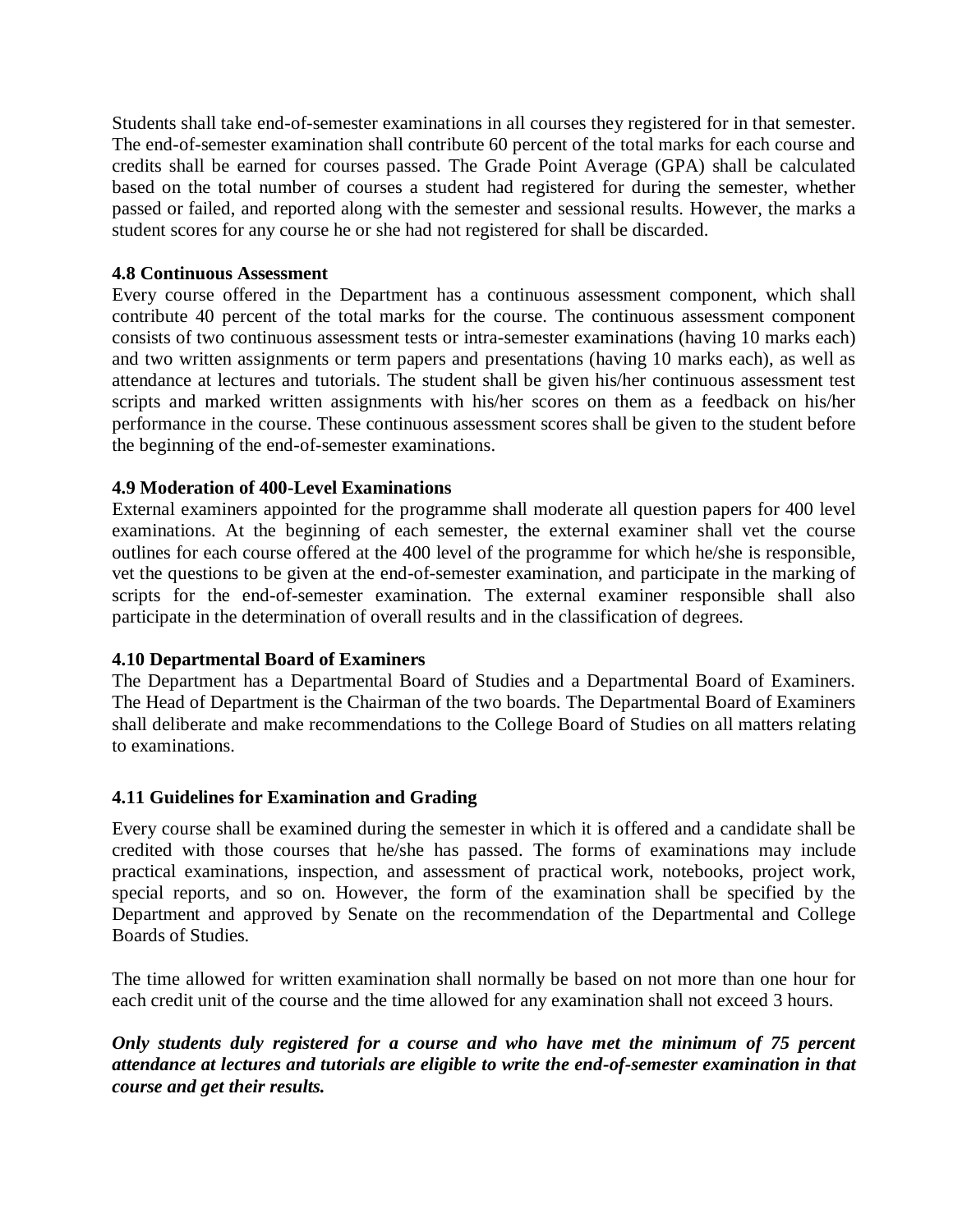Students shall take end-of-semester examinations in all courses they registered for in that semester. The end-of-semester examination shall contribute 60 percent of the total marks for each course and credits shall be earned for courses passed. The Grade Point Average (GPA) shall be calculated based on the total number of courses a student had registered for during the semester, whether passed or failed, and reported along with the semester and sessional results. However, the marks a student scores for any course he or she had not registered for shall be discarded.

### **4.8 Continuous Assessment**

Every course offered in the Department has a continuous assessment component, which shall contribute 40 percent of the total marks for the course. The continuous assessment component consists of two continuous assessment tests or intra-semester examinations (having 10 marks each) and two written assignments or term papers and presentations (having 10 marks each), as well as attendance at lectures and tutorials. The student shall be given his/her continuous assessment test scripts and marked written assignments with his/her scores on them as a feedback on his/her performance in the course. These continuous assessment scores shall be given to the student before the beginning of the end-of-semester examinations.

# **4.9 Moderation of 400-Level Examinations**

External examiners appointed for the programme shall moderate all question papers for 400 level examinations. At the beginning of each semester, the external examiner shall vet the course outlines for each course offered at the 400 level of the programme for which he/she is responsible, vet the questions to be given at the end-of-semester examination, and participate in the marking of scripts for the end-of-semester examination. The external examiner responsible shall also participate in the determination of overall results and in the classification of degrees.

#### **4.10 Departmental Board of Examiners**

The Department has a Departmental Board of Studies and a Departmental Board of Examiners. The Head of Department is the Chairman of the two boards. The Departmental Board of Examiners shall deliberate and make recommendations to the College Board of Studies on all matters relating to examinations.

#### **4.11 Guidelines for Examination and Grading**

Every course shall be examined during the semester in which it is offered and a candidate shall be credited with those courses that he/she has passed. The forms of examinations may include practical examinations, inspection, and assessment of practical work, notebooks, project work, special reports, and so on. However, the form of the examination shall be specified by the Department and approved by Senate on the recommendation of the Departmental and College Boards of Studies.

The time allowed for written examination shall normally be based on not more than one hour for each credit unit of the course and the time allowed for any examination shall not exceed 3 hours.

*Only students duly registered for a course and who have met the minimum of 75 percent attendance at lectures and tutorials are eligible to write the end-of-semester examination in that course and get their results.*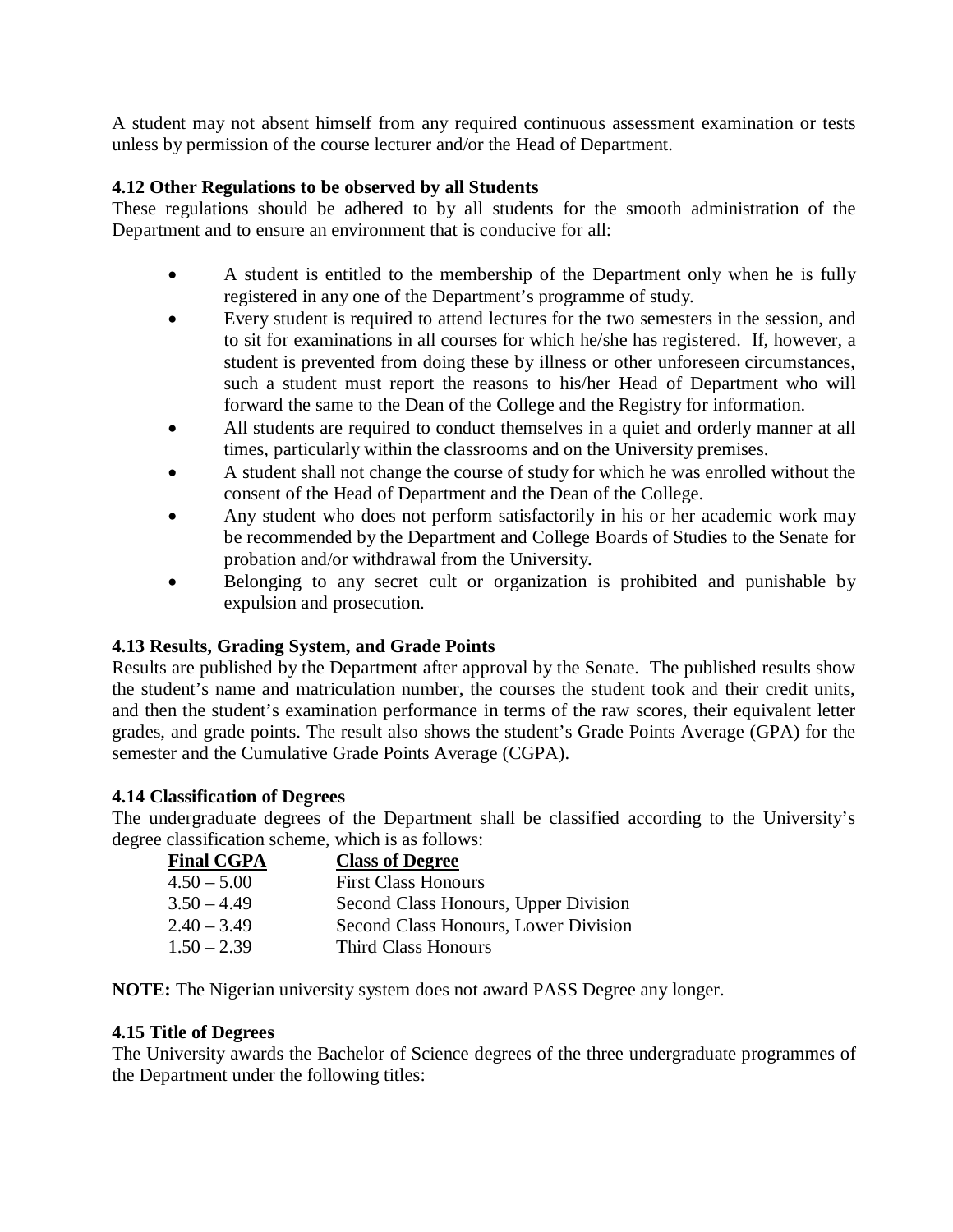A student may not absent himself from any required continuous assessment examination or tests unless by permission of the course lecturer and/or the Head of Department.

# **4.12 Other Regulations to be observed by all Students**

These regulations should be adhered to by all students for the smooth administration of the Department and to ensure an environment that is conducive for all:

- A student is entitled to the membership of the Department only when he is fully registered in any one of the Department's programme of study.
- Every student is required to attend lectures for the two semesters in the session, and to sit for examinations in all courses for which he/she has registered. If, however, a student is prevented from doing these by illness or other unforeseen circumstances, such a student must report the reasons to his/her Head of Department who will forward the same to the Dean of the College and the Registry for information.
- All students are required to conduct themselves in a quiet and orderly manner at all times, particularly within the classrooms and on the University premises.
- A student shall not change the course of study for which he was enrolled without the consent of the Head of Department and the Dean of the College.
- Any student who does not perform satisfactorily in his or her academic work may be recommended by the Department and College Boards of Studies to the Senate for probation and/or withdrawal from the University.
- Belonging to any secret cult or organization is prohibited and punishable by expulsion and prosecution.

# **4.13 Results, Grading System, and Grade Points**

Results are published by the Department after approval by the Senate. The published results show the student's name and matriculation number, the courses the student took and their credit units, and then the student's examination performance in terms of the raw scores, their equivalent letter grades, and grade points. The result also shows the student's Grade Points Average (GPA) for the semester and the Cumulative Grade Points Average (CGPA).

# **4.14 Classification of Degrees**

The undergraduate degrees of the Department shall be classified according to the University's degree classification scheme, which is as follows:

| <b>Final CGPA</b> | <b>Class of Degree</b>               |
|-------------------|--------------------------------------|
| $4.50 - 5.00$     | <b>First Class Honours</b>           |
| $3.50 - 4.49$     | Second Class Honours, Upper Division |
| $2.40 - 3.49$     | Second Class Honours, Lower Division |
| $1.50 - 2.39$     | Third Class Honours                  |

**NOTE:** The Nigerian university system does not award PASS Degree any longer.

# **4.15 Title of Degrees**

The University awards the Bachelor of Science degrees of the three undergraduate programmes of the Department under the following titles: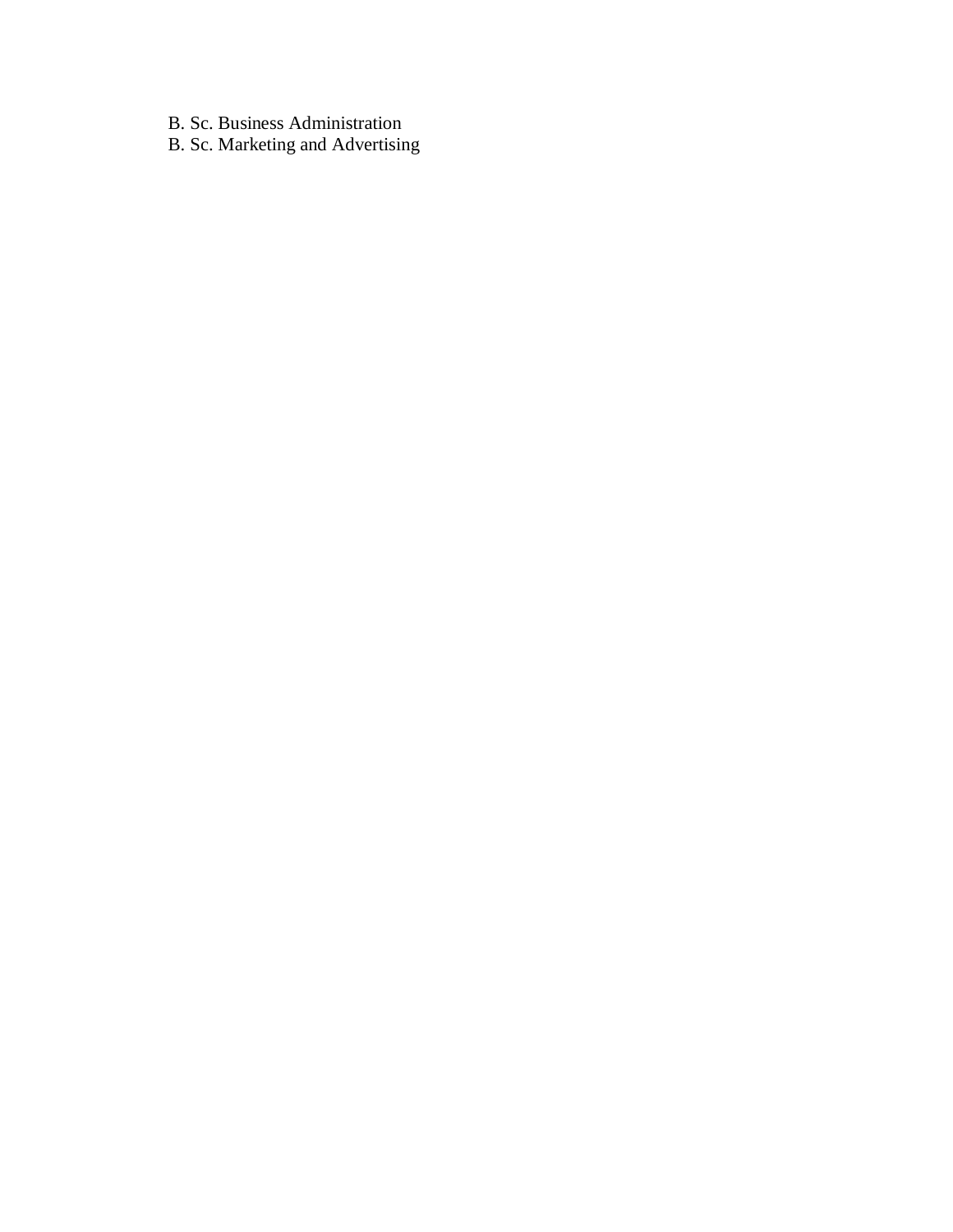- B. Sc. Business Administration
- B. Sc. Marketing and Advertising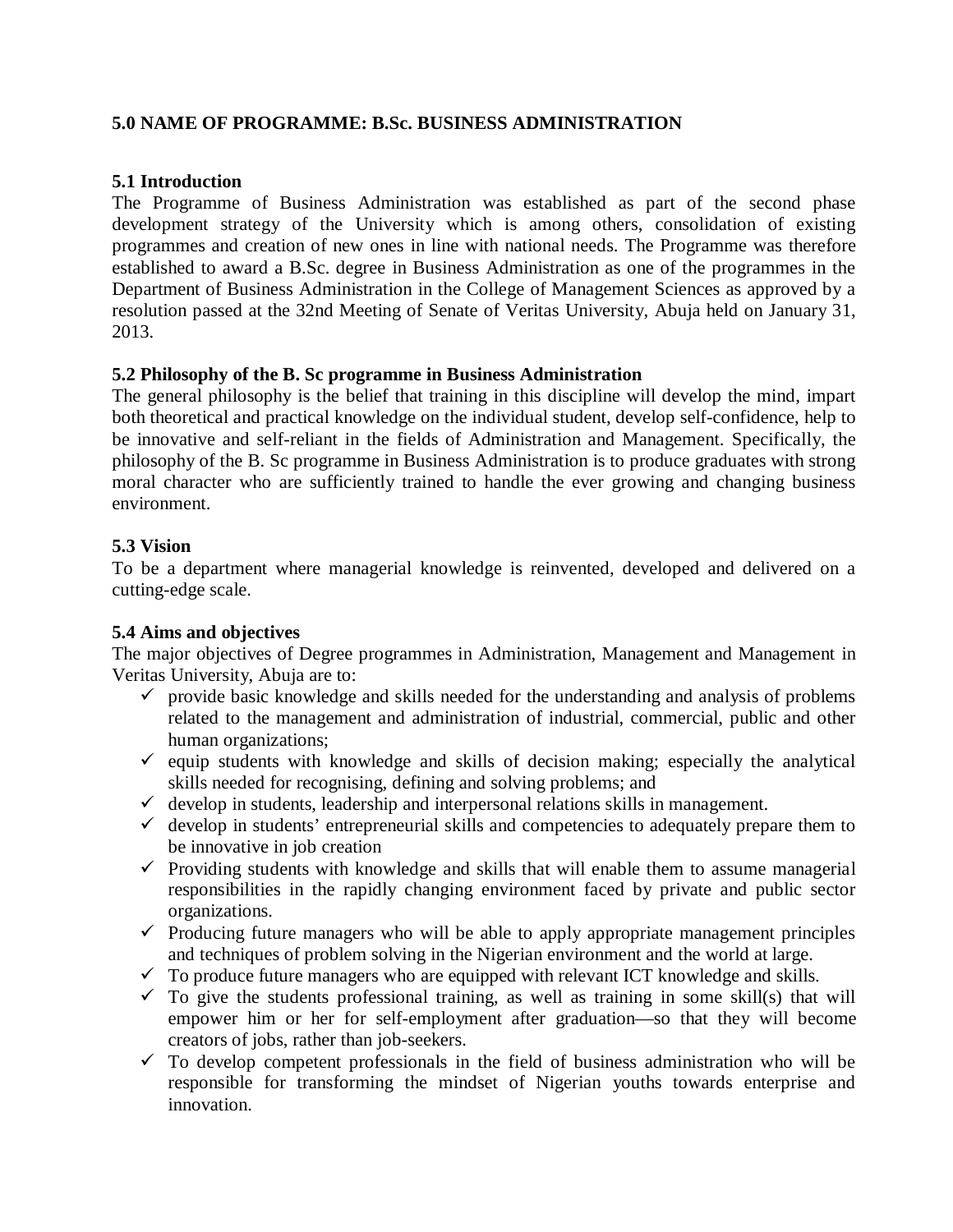# **5.0 NAME OF PROGRAMME: B.Sc. BUSINESS ADMINISTRATION**

# **5.1 Introduction**

The Programme of Business Administration was established as part of the second phase development strategy of the University which is among others, consolidation of existing programmes and creation of new ones in line with national needs. The Programme was therefore established to award a B.Sc. degree in Business Administration as one of the programmes in the Department of Business Administration in the College of Management Sciences as approved by a resolution passed at the 32nd Meeting of Senate of Veritas University, Abuja held on January 31, 2013.

# **5.2 Philosophy of the B. Sc programme in Business Administration**

The general philosophy is the belief that training in this discipline will develop the mind, impart both theoretical and practical knowledge on the individual student, develop self-confidence, help to be innovative and self-reliant in the fields of Administration and Management. Specifically, the philosophy of the B. Sc programme in Business Administration is to produce graduates with strong moral character who are sufficiently trained to handle the ever growing and changing business environment.

# **5.3 Vision**

To be a department where managerial knowledge is reinvented, developed and delivered on a cutting-edge scale.

# **5.4 Aims and objectives**

The major objectives of Degree programmes in Administration, Management and Management in Veritas University, Abuja are to:

- $\checkmark$  provide basic knowledge and skills needed for the understanding and analysis of problems related to the management and administration of industrial, commercial, public and other human organizations;
- $\checkmark$  equip students with knowledge and skills of decision making; especially the analytical skills needed for recognising, defining and solving problems; and
- $\checkmark$  develop in students, leadership and interpersonal relations skills in management.
- $\checkmark$  develop in students' entrepreneurial skills and competencies to adequately prepare them to be innovative in job creation
- $\checkmark$  Providing students with knowledge and skills that will enable them to assume managerial responsibilities in the rapidly changing environment faced by private and public sector organizations.
- $\checkmark$  Producing future managers who will be able to apply appropriate management principles and techniques of problem solving in the Nigerian environment and the world at large.
- $\checkmark$  To produce future managers who are equipped with relevant ICT knowledge and skills.
- $\checkmark$  To give the students professional training, as well as training in some skill(s) that will empower him or her for self-employment after graduation—so that they will become creators of jobs, rather than job-seekers.
- $\checkmark$  To develop competent professionals in the field of business administration who will be responsible for transforming the mindset of Nigerian youths towards enterprise and innovation.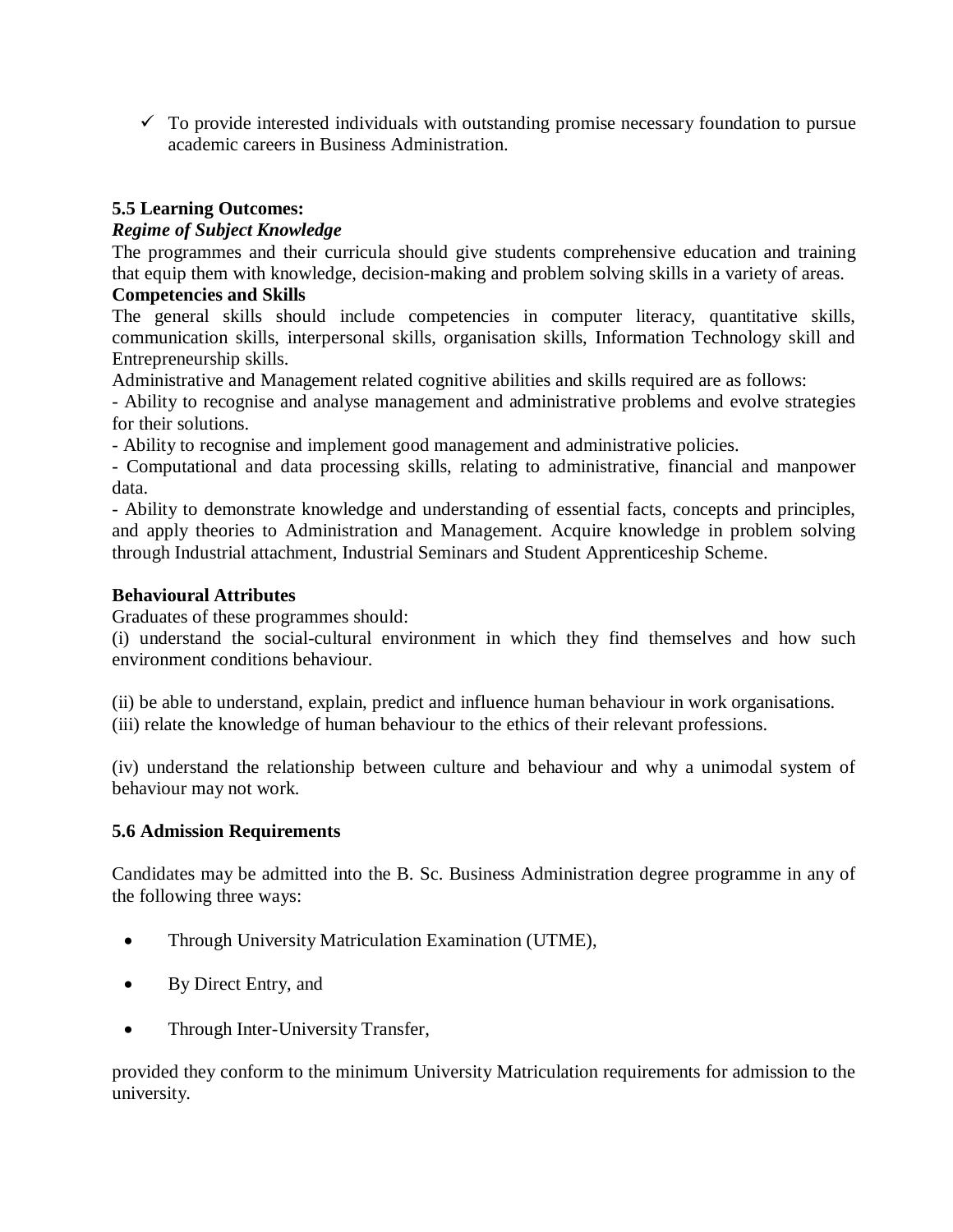$\checkmark$  To provide interested individuals with outstanding promise necessary foundation to pursue academic careers in Business Administration.

# **5.5 Learning Outcomes:**

# *Regime of Subject Knowledge*

The programmes and their curricula should give students comprehensive education and training that equip them with knowledge, decision-making and problem solving skills in a variety of areas.

# **Competencies and Skills**

The general skills should include competencies in computer literacy, quantitative skills, communication skills, interpersonal skills, organisation skills, Information Technology skill and Entrepreneurship skills.

Administrative and Management related cognitive abilities and skills required are as follows:

- Ability to recognise and analyse management and administrative problems and evolve strategies for their solutions.

- Ability to recognise and implement good management and administrative policies.

- Computational and data processing skills, relating to administrative, financial and manpower data.

- Ability to demonstrate knowledge and understanding of essential facts, concepts and principles, and apply theories to Administration and Management. Acquire knowledge in problem solving through Industrial attachment, Industrial Seminars and Student Apprenticeship Scheme.

# **Behavioural Attributes**

Graduates of these programmes should:

(i) understand the social-cultural environment in which they find themselves and how such environment conditions behaviour.

(ii) be able to understand, explain, predict and influence human behaviour in work organisations. (iii) relate the knowledge of human behaviour to the ethics of their relevant professions.

(iv) understand the relationship between culture and behaviour and why a unimodal system of behaviour may not work.

# **5.6 Admission Requirements**

Candidates may be admitted into the B. Sc. Business Administration degree programme in any of the following three ways:

- Through University Matriculation Examination (UTME),
- By Direct Entry, and
- Through Inter-University Transfer,

provided they conform to the minimum University Matriculation requirements for admission to the university.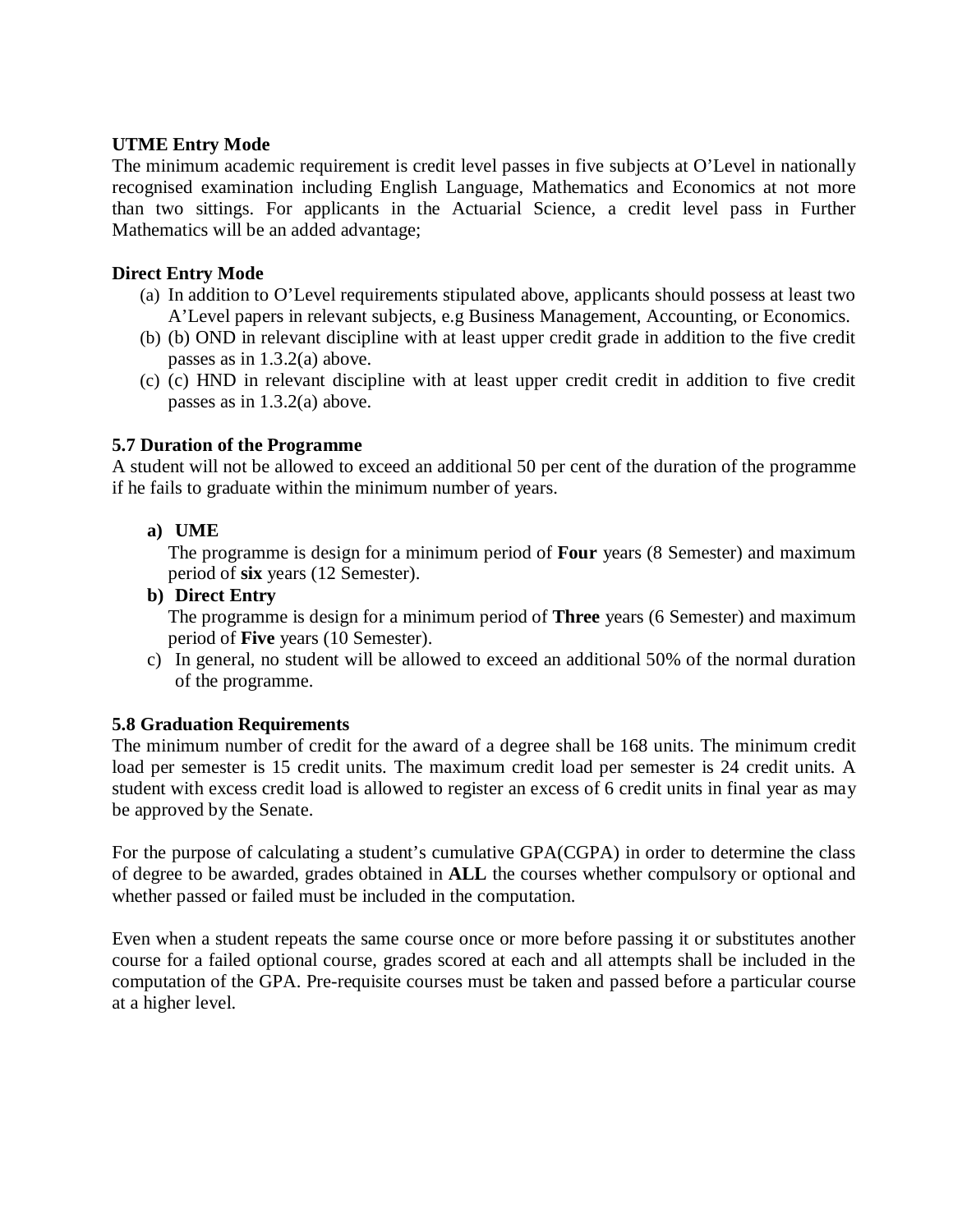# **UTME Entry Mode**

The minimum academic requirement is credit level passes in five subjects at O'Level in nationally recognised examination including English Language, Mathematics and Economics at not more than two sittings. For applicants in the Actuarial Science, a credit level pass in Further Mathematics will be an added advantage;

# **Direct Entry Mode**

- (a) In addition to O'Level requirements stipulated above, applicants should possess at least two A'Level papers in relevant subjects, e.g Business Management, Accounting, or Economics.
- (b) (b) OND in relevant discipline with at least upper credit grade in addition to the five credit passes as in 1.3.2(a) above.
- (c) (c) HND in relevant discipline with at least upper credit credit in addition to five credit passes as in 1.3.2(a) above.

# **5.7 Duration of the Programme**

A student will not be allowed to exceed an additional 50 per cent of the duration of the programme if he fails to graduate within the minimum number of years.

**a) UME**

The programme is design for a minimum period of **Four** years (8 Semester) and maximum period of **six** years (12 Semester).

**b) Direct Entry**

The programme is design for a minimum period of **Three** years (6 Semester) and maximum period of **Five** years (10 Semester).

c) In general, no student will be allowed to exceed an additional 50% of the normal duration of the programme.

#### **5.8 Graduation Requirements**

The minimum number of credit for the award of a degree shall be 168 units. The minimum credit load per semester is 15 credit units. The maximum credit load per semester is 24 credit units. A student with excess credit load is allowed to register an excess of 6 credit units in final year as may be approved by the Senate.

For the purpose of calculating a student's cumulative GPA(CGPA) in order to determine the class of degree to be awarded, grades obtained in **ALL** the courses whether compulsory or optional and whether passed or failed must be included in the computation.

Even when a student repeats the same course once or more before passing it or substitutes another course for a failed optional course, grades scored at each and all attempts shall be included in the computation of the GPA. Pre-requisite courses must be taken and passed before a particular course at a higher level.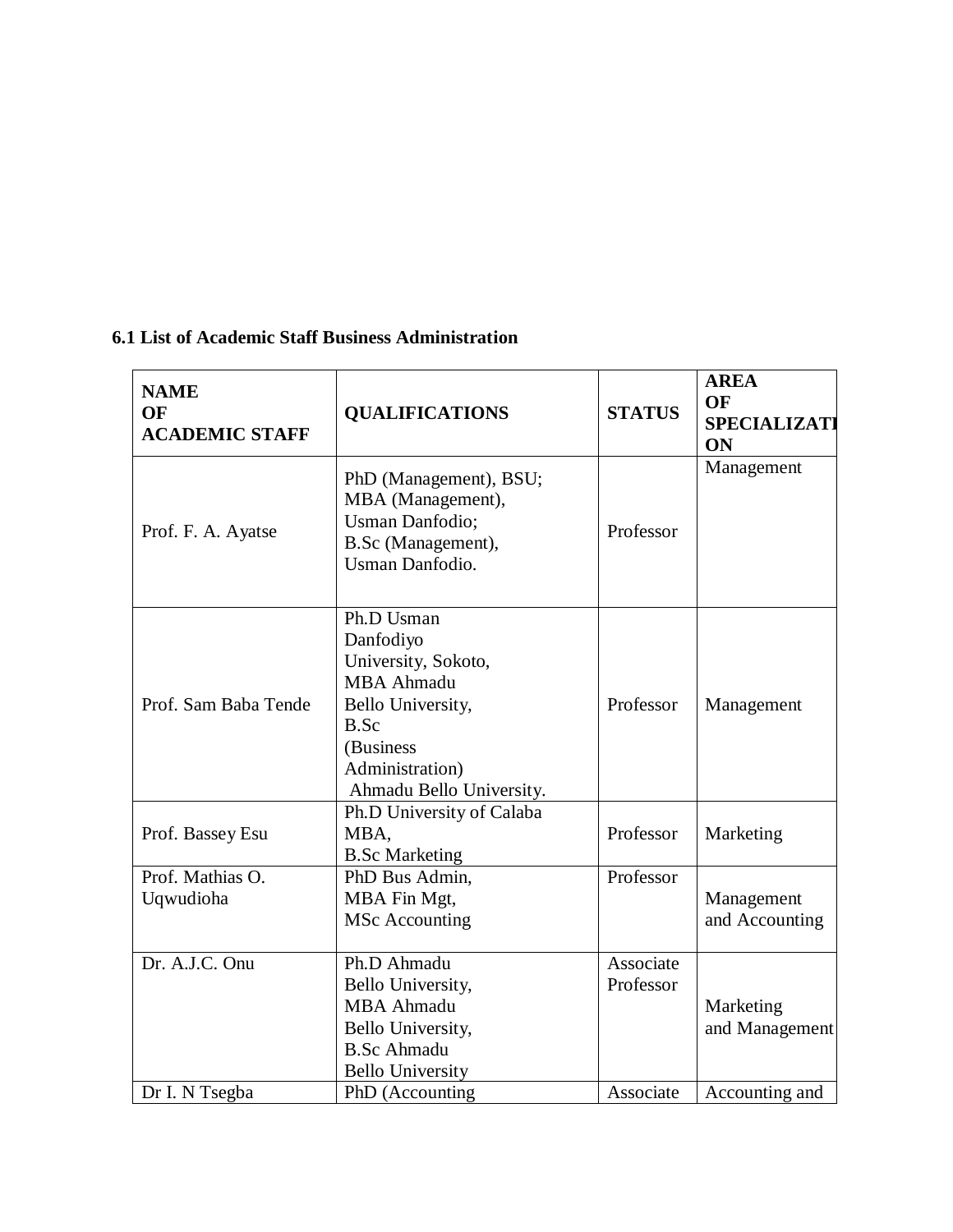#### **NAME OF ACADEMIC STAFF QUALIFICATIONS STATUS AREA OF SPECIALIZATI ON** Prof. F. A. Ayatse PhD (Management), BSU; MBA (Management), Usman Danfodio; B.Sc (Management), Usman Danfodio. Professor Management Prof. Sam Baba Tende Ph.D Usman Danfodiyo University, Sokoto, MBA Ahmadu Bello University, B.Sc (Business Administration) Ahmadu Bello University. Professor | Management Prof. Bassey Esu Ph.D University of Calaba MBA, B.Sc Marketing Professor | Marketing Prof. Mathias O. Uqwudioha PhD Bus Admin, MBA Fin Mgt, MSc Accounting Professor Management and Accounting Dr. A.J.C. Onu Ph.D Ahmadu Bello University, MBA Ahmadu Bello University, B.Sc Ahmadu Bello University Associate Professor Marketing and Management Dr I. N Tsegba | PhD (Accounting | Associate | Accounting and

#### **6.1 List of Academic Staff Business Administration**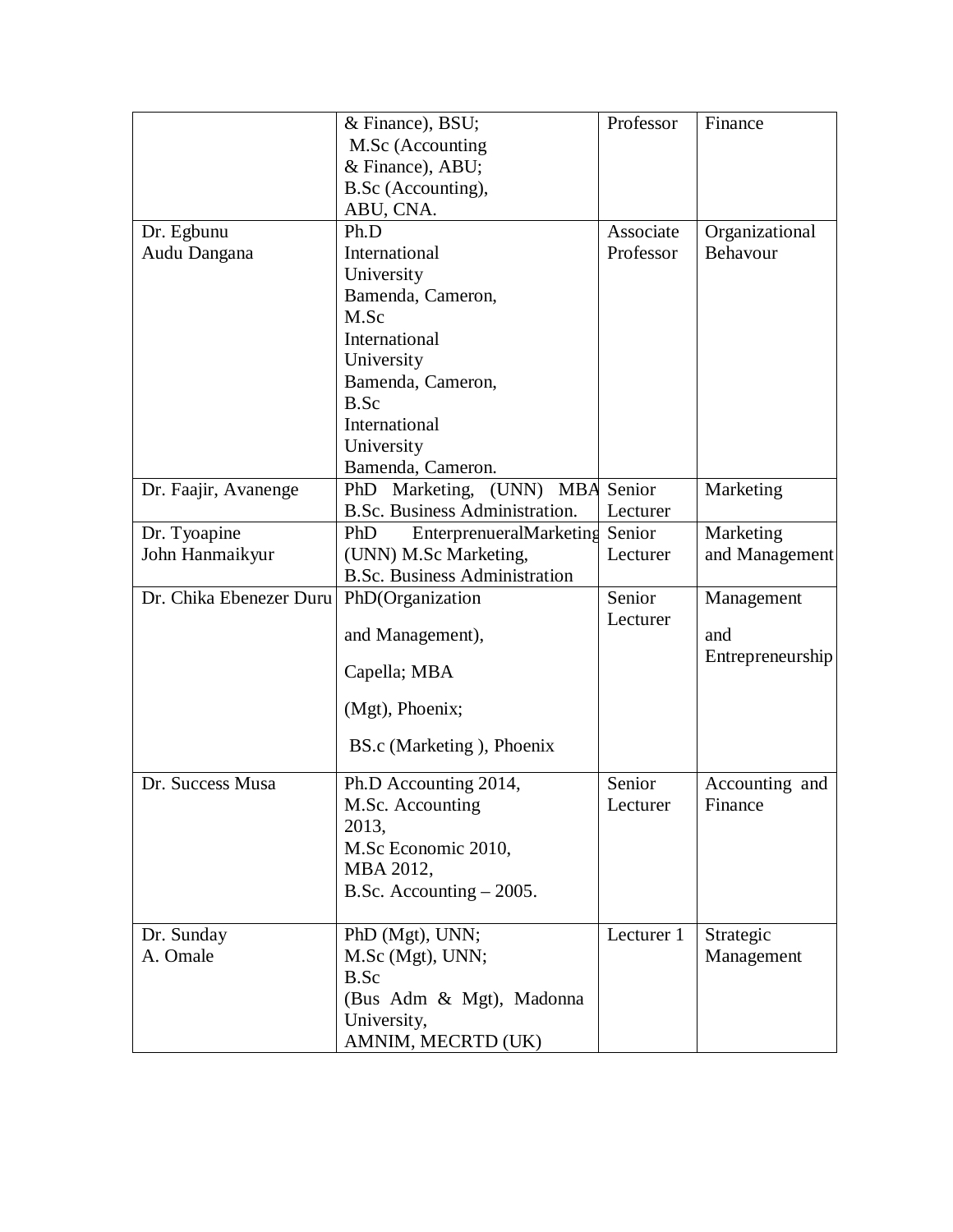|                         | & Finance), BSU;                     | Professor  | Finance          |
|-------------------------|--------------------------------------|------------|------------------|
|                         | M.Sc (Accounting                     |            |                  |
|                         | & Finance), ABU;                     |            |                  |
|                         | B.Sc (Accounting),                   |            |                  |
|                         | ABU, CNA.                            |            |                  |
| Dr. Egbunu              | Ph.D                                 | Associate  | Organizational   |
| Audu Dangana            | International                        | Professor  | Behavour         |
|                         | University                           |            |                  |
|                         | Bamenda, Cameron,                    |            |                  |
|                         | M.Sc                                 |            |                  |
|                         | International                        |            |                  |
|                         | University                           |            |                  |
|                         | Bamenda, Cameron,                    |            |                  |
|                         | B.Sc                                 |            |                  |
|                         | International                        |            |                  |
|                         | University                           |            |                  |
|                         | Bamenda, Cameron.                    |            |                  |
| Dr. Faajir, Avanenge    | PhD Marketing, (UNN)<br><b>MBA</b>   | Senior     | Marketing        |
|                         | B.Sc. Business Administration.       | Lecturer   |                  |
| Dr. Tyoapine            | EnterprenueralMarketing<br>PhD       | Senior     | Marketing        |
| John Hanmaikyur         | (UNN) M.Sc Marketing,                | Lecturer   | and Management   |
|                         | <b>B.Sc. Business Administration</b> |            |                  |
| Dr. Chika Ebenezer Duru | PhD(Organization                     | Senior     | Management       |
|                         |                                      | Lecturer   |                  |
|                         | and Management),                     |            | and              |
|                         |                                      |            | Entrepreneurship |
|                         | Capella; MBA                         |            |                  |
|                         |                                      |            |                  |
|                         | (Mgt), Phoenix;                      |            |                  |
|                         | BS.c (Marketing), Phoenix            |            |                  |
|                         |                                      |            |                  |
| Dr. Success Musa        | Ph.D Accounting 2014,                | Senior     | Accounting and   |
|                         | M.Sc. Accounting                     | Lecturer   | Finance          |
|                         | 2013,                                |            |                  |
|                         | M.Sc Economic 2010,                  |            |                  |
|                         | MBA 2012,                            |            |                  |
|                         | B.Sc. Accounting $-2005$ .           |            |                  |
|                         | PhD (Mgt), UNN;                      | Lecturer 1 | Strategic        |
| Dr. Sunday<br>A. Omale  | M.Sc (Mgt), UNN;                     |            |                  |
|                         |                                      |            | Management       |
|                         | B.Sc                                 |            |                  |
|                         | (Bus Adm & Mgt), Madonna             |            |                  |
|                         | University,                          |            |                  |
|                         | AMNIM, MECRTD (UK)                   |            |                  |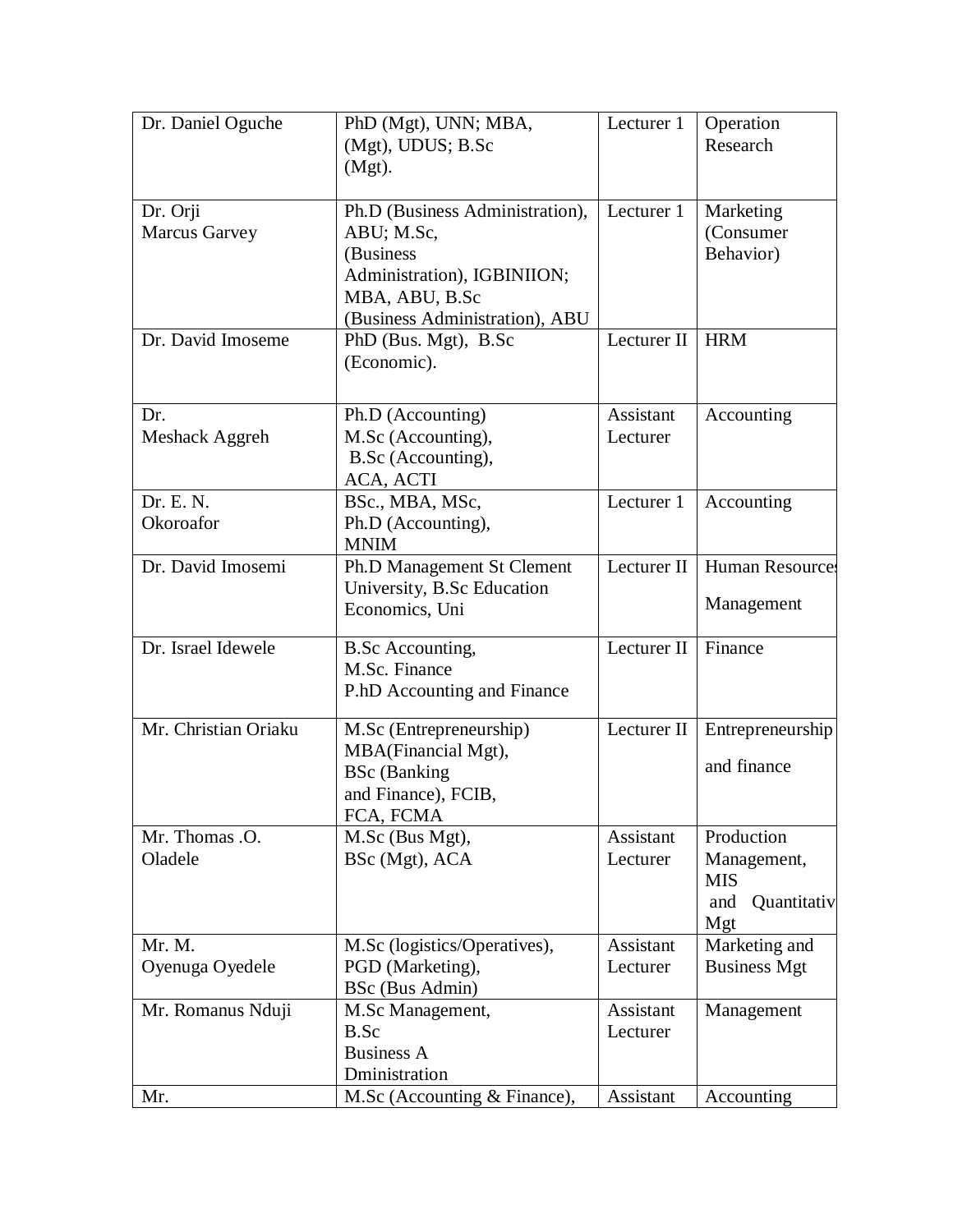| Dr. Daniel Oguche                                     | PhD (Mgt), UNN; MBA,<br>(Mgt), UDUS; B.Sc<br>$(Mgt)$ .                                                                                                                               | Lecturer 1                | Operation<br>Research                                                |
|-------------------------------------------------------|--------------------------------------------------------------------------------------------------------------------------------------------------------------------------------------|---------------------------|----------------------------------------------------------------------|
| Dr. Orji<br><b>Marcus Garvey</b><br>Dr. David Imoseme | Ph.D (Business Administration),<br>ABU; M.Sc,<br>(Business<br>Administration), IGBINIION;<br>MBA, ABU, B.Sc<br>(Business Administration), ABU<br>PhD (Bus. Mgt), B.Sc<br>(Economic). | Lecturer 1<br>Lecturer II | Marketing<br>(Consumer<br>Behavior)<br><b>HRM</b>                    |
| Dr.<br>Meshack Aggreh                                 | Ph.D (Accounting)<br>M.Sc (Accounting),<br>B.Sc (Accounting),<br>ACA, ACTI                                                                                                           | Assistant<br>Lecturer     | Accounting                                                           |
| Dr. E. N.<br>Okoroafor                                | BSc., MBA, MSc,<br>Ph.D (Accounting),<br><b>MNIM</b>                                                                                                                                 | Lecturer 1                | Accounting                                                           |
| Dr. David Imosemi                                     | Ph.D Management St Clement<br>University, B.Sc Education<br>Economics, Uni                                                                                                           | Lecturer II               | <b>Human Resources</b><br>Management                                 |
| Dr. Israel Idewele                                    | <b>B.Sc Accounting,</b><br>M.Sc. Finance<br>P.hD Accounting and Finance                                                                                                              | Lecturer II               | Finance                                                              |
| Mr. Christian Oriaku                                  | M.Sc (Entrepreneurship)<br>MBA(Financial Mgt),<br><b>BSc</b> (Banking<br>and Finance), FCIB,<br>FCA, FCMA                                                                            | Lecturer II               | Entrepreneurship<br>and finance                                      |
| Mr. Thomas .O.<br>Oladele                             | M.Sc (Bus Mgt),<br>BSc (Mgt), ACA                                                                                                                                                    | Assistant<br>Lecturer     | Production<br>Management,<br><b>MIS</b><br>and<br>Quantitativ<br>Mgt |
| Mr. M.<br>Oyenuga Oyedele                             | M.Sc (logistics/Operatives),<br>PGD (Marketing),<br>BSc (Bus Admin)                                                                                                                  | Assistant<br>Lecturer     | Marketing and<br><b>Business Mgt</b>                                 |
| Mr. Romanus Nduji                                     | M.Sc Management,<br>B.Sc<br><b>Business A</b><br>Dministration                                                                                                                       | Assistant<br>Lecturer     | Management                                                           |
| Mr.                                                   | M.Sc (Accounting & Finance),                                                                                                                                                         | Assistant                 | Accounting                                                           |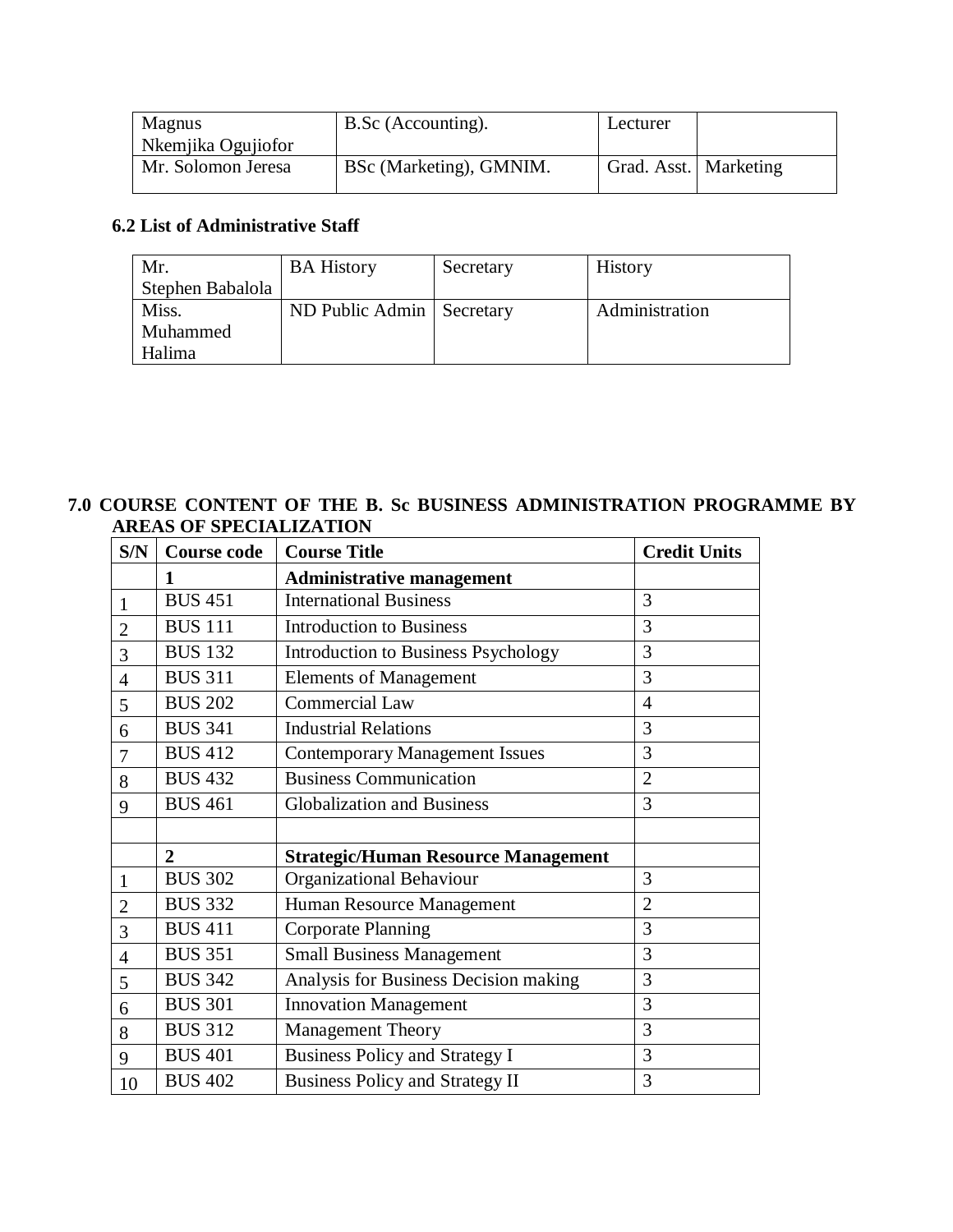| Magnus             | B.Sc (Accounting).      | Lecturer                |  |
|--------------------|-------------------------|-------------------------|--|
| Nkemjika Ogujiofor |                         |                         |  |
| Mr. Solomon Jeresa | BSc (Marketing), GMNIM. | Grad. Asst.   Marketing |  |

# **6.2 List of Administrative Staff**

| Mr.              | <b>BA History</b>           | Secretary | <b>History</b> |
|------------------|-----------------------------|-----------|----------------|
| Stephen Babalola |                             |           |                |
| Miss.            | ND Public Admin   Secretary |           | Administration |
| <b>Muhammed</b>  |                             |           |                |
| Halima           |                             |           |                |

# **7.0 COURSE CONTENT OF THE B. Sc BUSINESS ADMINISTRATION PROGRAMME BY AREAS OF SPECIALIZATION**

| S/N            | <b>Course code</b> | <b>Course Title</b>                        | <b>Credit Units</b> |
|----------------|--------------------|--------------------------------------------|---------------------|
|                | 1                  | <b>Administrative management</b>           |                     |
| 1              | <b>BUS 451</b>     | <b>International Business</b>              | 3                   |
| $\overline{2}$ | <b>BUS 111</b>     | <b>Introduction to Business</b>            | 3                   |
| 3              | <b>BUS 132</b>     | <b>Introduction to Business Psychology</b> | 3                   |
| 4              | <b>BUS 311</b>     | <b>Elements of Management</b>              | 3                   |
| 5              | <b>BUS 202</b>     | <b>Commercial Law</b>                      | $\overline{4}$      |
| 6              | <b>BUS 341</b>     | <b>Industrial Relations</b>                | 3                   |
| 7              | <b>BUS 412</b>     | <b>Contemporary Management Issues</b>      | 3                   |
| 8              | <b>BUS 432</b>     | <b>Business Communication</b>              | $\overline{2}$      |
| 9              | <b>BUS 461</b>     | <b>Globalization and Business</b>          | 3                   |
|                |                    |                                            |                     |
|                | $\overline{2}$     | <b>Strategic/Human Resource Management</b> |                     |
| $\mathbf{1}$   | <b>BUS 302</b>     | <b>Organizational Behaviour</b>            | 3                   |
| $\overline{2}$ | <b>BUS 332</b>     | Human Resource Management                  | $\overline{2}$      |
| 3              | <b>BUS 411</b>     | <b>Corporate Planning</b>                  | 3                   |
| $\overline{4}$ | <b>BUS 351</b>     | <b>Small Business Management</b>           | 3                   |
| 5              | <b>BUS 342</b>     | Analysis for Business Decision making      | 3                   |
| 6              | <b>BUS 301</b>     | <b>Innovation Management</b>               | 3                   |
| 8              | <b>BUS 312</b>     | <b>Management Theory</b>                   | 3                   |
| 9              | <b>BUS 401</b>     | <b>Business Policy and Strategy I</b>      | 3                   |
| 10             | <b>BUS 402</b>     | <b>Business Policy and Strategy II</b>     | 3                   |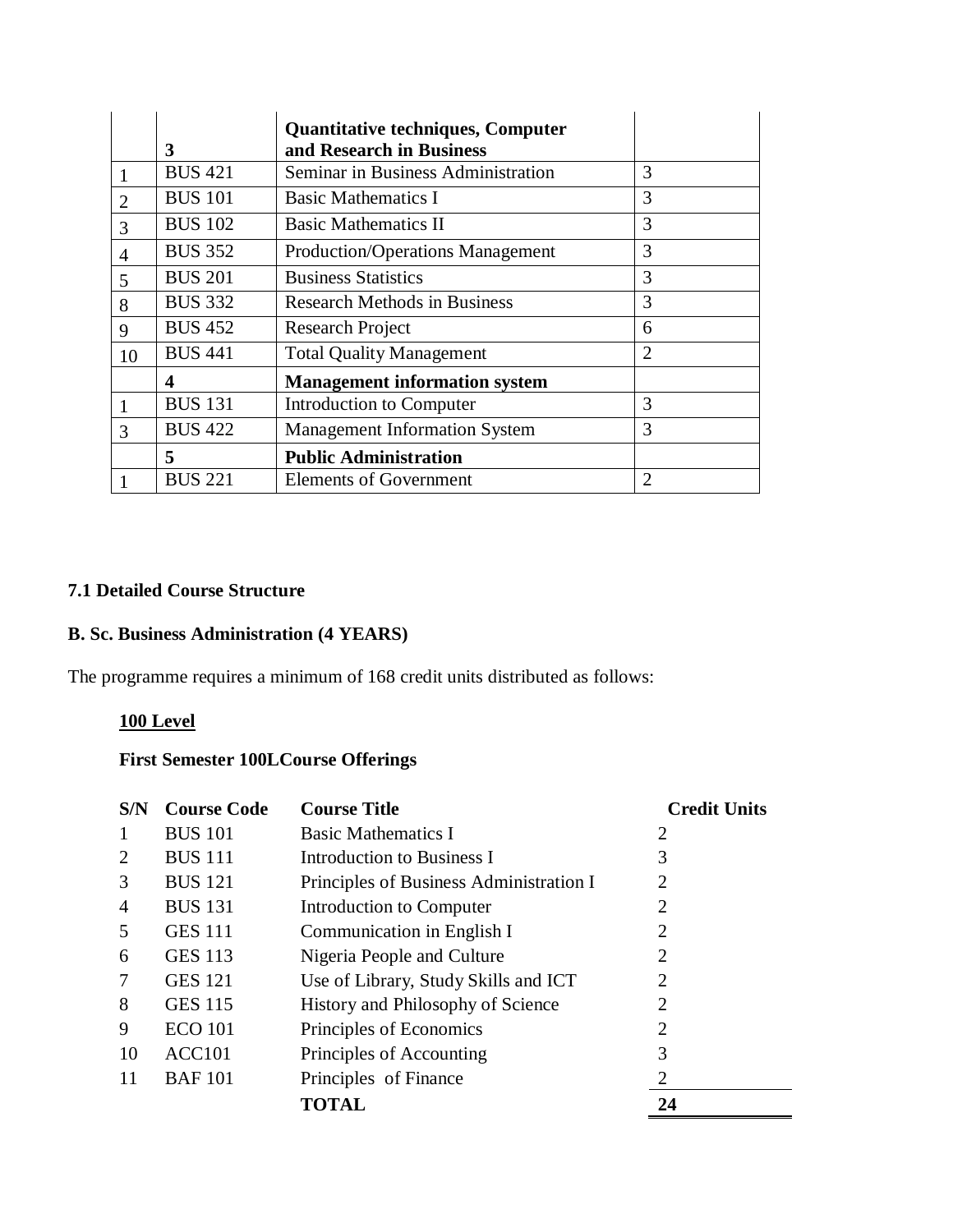|                | 3              | <b>Quantitative techniques, Computer</b><br>and Research in Business |                |
|----------------|----------------|----------------------------------------------------------------------|----------------|
|                | <b>BUS 421</b> | Seminar in Business Administration                                   | 3              |
| $\overline{2}$ | <b>BUS 101</b> | <b>Basic Mathematics I</b>                                           | 3              |
| 3              | <b>BUS 102</b> | <b>Basic Mathematics II</b>                                          | 3              |
| 4              | <b>BUS 352</b> | <b>Production/Operations Management</b>                              | 3              |
| 5              | <b>BUS 201</b> | <b>Business Statistics</b>                                           | 3              |
| 8              | <b>BUS 332</b> | <b>Research Methods in Business</b>                                  | 3              |
| 9              | <b>BUS 452</b> | Research Project                                                     | 6              |
| 10             | <b>BUS 441</b> | <b>Total Quality Management</b>                                      | $\overline{2}$ |
|                | 4              | <b>Management information system</b>                                 |                |
|                | <b>BUS 131</b> | Introduction to Computer                                             | 3              |
| 3              | <b>BUS 422</b> | <b>Management Information System</b>                                 | 3              |
|                | 5              | <b>Public Administration</b>                                         |                |
|                | <b>BUS 221</b> | <b>Elements of Government</b>                                        | $\overline{2}$ |

# **7.1 Detailed Course Structure**

# **B. Sc. Business Administration (4 YEARS)**

The programme requires a minimum of 168 credit units distributed as follows:

# **100 Level**

# **First Semester 100LCourse Offerings**

| S/N            | <b>Course Code</b> | <b>Course Title</b>                     | <b>Credit Units</b> |
|----------------|--------------------|-----------------------------------------|---------------------|
| 1              | <b>BUS 101</b>     | <b>Basic Mathematics I</b>              | 2                   |
| 2              | <b>BUS</b> 111     | Introduction to Business I              | 3                   |
| 3              | <b>BUS 121</b>     | Principles of Business Administration I | 2                   |
| $\overline{4}$ | <b>BUS 131</b>     | Introduction to Computer                | $\overline{2}$      |
| 5              | <b>GES 111</b>     | Communication in English I              | $\overline{2}$      |
| 6              | <b>GES 113</b>     | Nigeria People and Culture              | $\overline{2}$      |
| 7              | <b>GES 121</b>     | Use of Library, Study Skills and ICT    | $\overline{2}$      |
| 8              | <b>GES 115</b>     | History and Philosophy of Science       | 2                   |
| 9              | <b>ECO</b> 101     | Principles of Economics                 | $\overline{2}$      |
| 10             | <b>ACC101</b>      | Principles of Accounting                | 3                   |
| 11             | <b>BAF</b> 101     | Principles of Finance                   | $\overline{2}$      |
|                |                    | <b>TOTAL</b>                            | 24                  |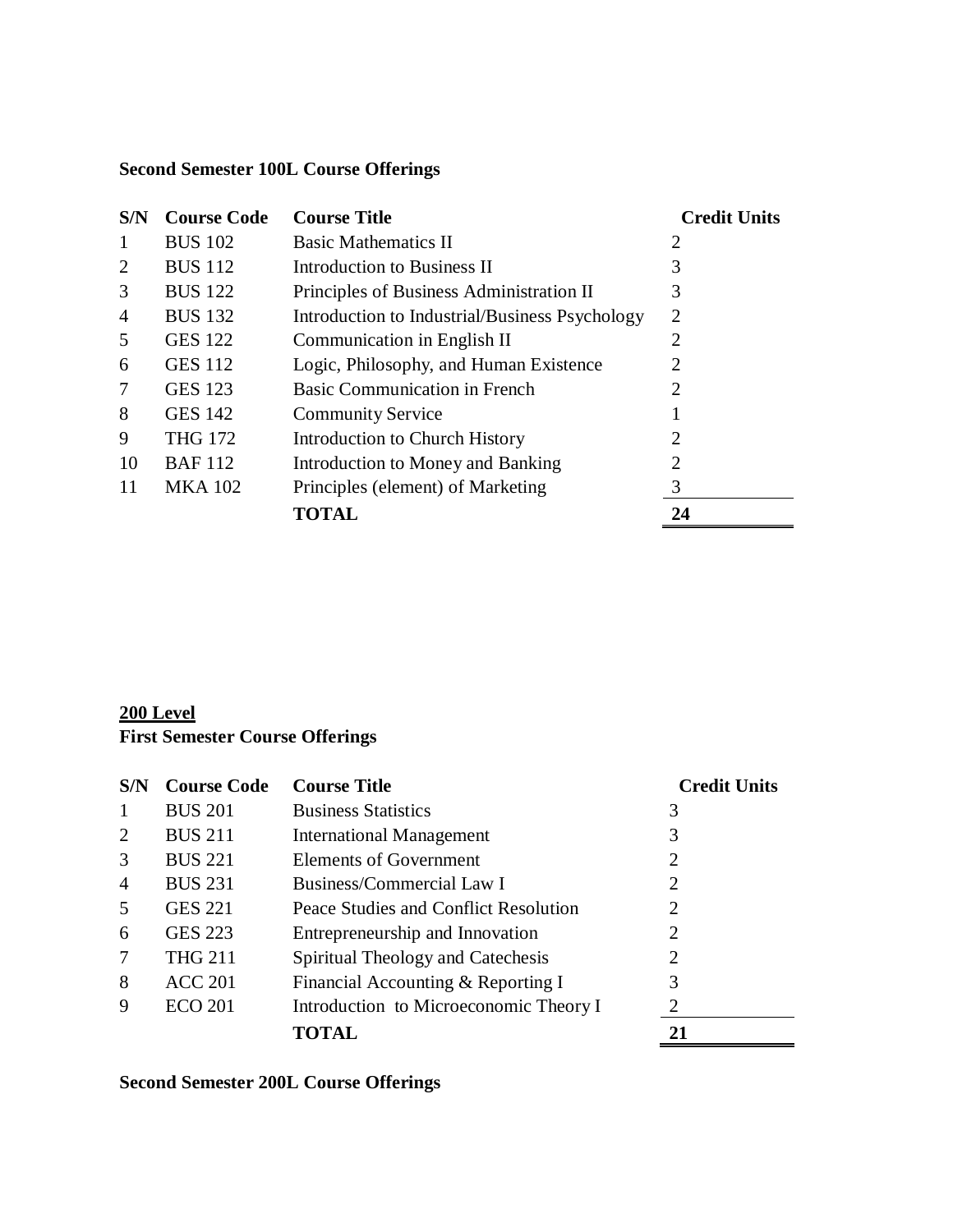# **Second Semester 100L Course Offerings**

| S/N | <b>Course Code</b> | <b>Course Title</b>                            | <b>Credit Units</b> |
|-----|--------------------|------------------------------------------------|---------------------|
| 1   | <b>BUS 102</b>     | <b>Basic Mathematics II</b>                    | 2                   |
| 2   | <b>BUS 112</b>     | Introduction to Business II                    | 3                   |
| 3   | <b>BUS</b> 122     | Principles of Business Administration II       | 3                   |
| 4   | <b>BUS 132</b>     | Introduction to Industrial/Business Psychology | 2                   |
| 5   | <b>GES 122</b>     | Communication in English II                    | 2                   |
| 6   | <b>GES 112</b>     | Logic, Philosophy, and Human Existence         | 2                   |
| 7   | <b>GES 123</b>     | <b>Basic Communication in French</b>           | 2                   |
| 8   | <b>GES 142</b>     | <b>Community Service</b>                       |                     |
| 9   | <b>THG 172</b>     | <b>Introduction to Church History</b>          | 2                   |
| 10  | <b>BAF112</b>      | Introduction to Money and Banking              | 2                   |
| 11  | <b>MKA 102</b>     | Principles (element) of Marketing              | 3                   |
|     |                    | <b>TOTAL</b>                                   | 24                  |

# **200 Level First Semester Course Offerings**

| S/N            | <b>Course Code</b> | <b>Course Title</b>                    | <b>Credit Units</b> |
|----------------|--------------------|----------------------------------------|---------------------|
| 1              | <b>BUS 201</b>     | <b>Business Statistics</b>             | 3                   |
| 2              | <b>BUS 211</b>     | <b>International Management</b>        | 3                   |
| 3              | <b>BUS 221</b>     | <b>Elements of Government</b>          | 2                   |
| $\overline{4}$ | <b>BUS 231</b>     | Business/Commercial Law I              | 2                   |
| 5              | <b>GES 221</b>     | Peace Studies and Conflict Resolution  | 2                   |
| 6              | <b>GES 223</b>     | Entrepreneurship and Innovation        | 2                   |
| 7              | <b>THG 211</b>     | Spiritual Theology and Catechesis      | 2                   |
| 8              | <b>ACC 201</b>     | Financial Accounting & Reporting I     | 3                   |
| 9              | <b>ECO 201</b>     | Introduction to Microeconomic Theory I |                     |
|                |                    | <b>TOTAL</b>                           | 21                  |

# **Second Semester 200L Course Offerings**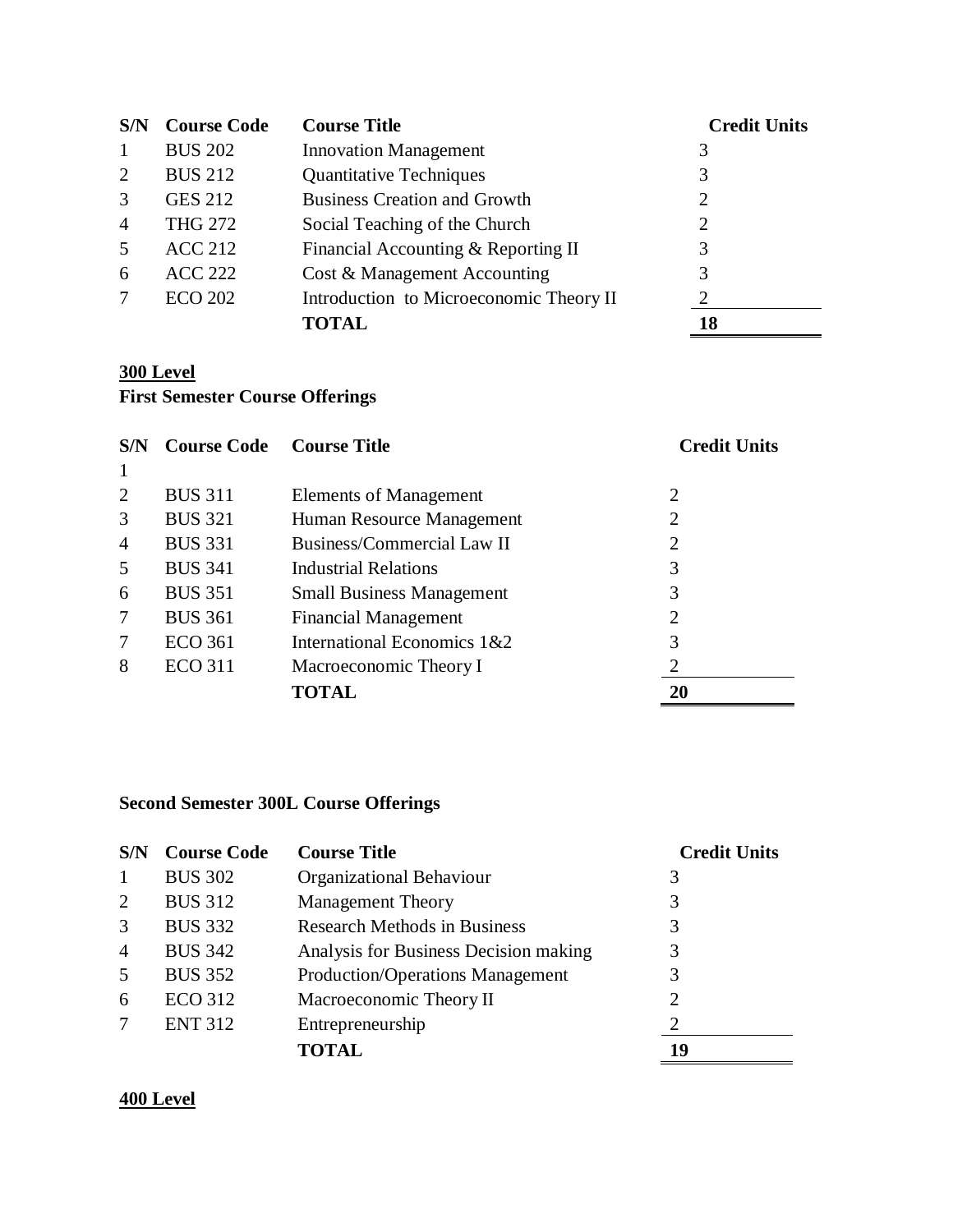| S/N            | <b>Course Code</b> | <b>Course Title</b>                     | <b>Credit Units</b> |
|----------------|--------------------|-----------------------------------------|---------------------|
| 1              | <b>BUS 202</b>     | <b>Innovation Management</b>            | 3                   |
| $\overline{2}$ | <b>BUS 212</b>     | <b>Quantitative Techniques</b>          | 3                   |
| 3              | <b>GES 212</b>     | <b>Business Creation and Growth</b>     | $\overline{2}$      |
| $\overline{A}$ | <b>THG 272</b>     | Social Teaching of the Church           | 2                   |
| .5             | <b>ACC 212</b>     | Financial Accounting & Reporting II     | 3                   |
| 6              | <b>ACC 222</b>     | Cost & Management Accounting            | 3                   |
|                | <b>ECO 202</b>     | Introduction to Microeconomic Theory II | $\overline{2}$      |
|                |                    | <b>TOTAL</b>                            | 18                  |

# **300 Level**

# **First Semester Course Offerings**

| S/N            | <b>Course Code</b> Course Title |                                  | <b>Credit Units</b> |
|----------------|---------------------------------|----------------------------------|---------------------|
| $\mathbf{1}$   |                                 |                                  |                     |
| 2              | <b>BUS 311</b>                  | Elements of Management           | 2                   |
| 3              | <b>BUS 321</b>                  | Human Resource Management        | 2                   |
| $\overline{4}$ | <b>BUS 331</b>                  | Business/Commercial Law II       | $\overline{2}$      |
| 5              | <b>BUS 341</b>                  | <b>Industrial Relations</b>      | 3                   |
| 6              | <b>BUS 351</b>                  | <b>Small Business Management</b> | 3                   |
| 7              | <b>BUS 361</b>                  | <b>Financial Management</b>      | 2                   |
|                | <b>ECO 361</b>                  | International Economics 1&2      | 3                   |
| 8              | <b>ECO 311</b>                  | Macroeconomic Theory I           | 2                   |
|                |                                 | TOTAL                            | 20                  |

# **Second Semester 300L Course Offerings**

| S/N            | <b>Course Code</b> | <b>Course Title</b>                     | <b>Credit Units</b> |
|----------------|--------------------|-----------------------------------------|---------------------|
|                | <b>BUS 302</b>     | Organizational Behaviour                | 3                   |
| 2              | <b>BUS 312</b>     | <b>Management Theory</b>                | 3                   |
| 3              | <b>BUS 332</b>     | <b>Research Methods in Business</b>     | 3                   |
| $\overline{4}$ | <b>BUS 342</b>     | Analysis for Business Decision making   | 3                   |
| .5             | <b>BUS 352</b>     | <b>Production/Operations Management</b> | 3                   |
| 6              | <b>ECO 312</b>     | Macroeconomic Theory II                 | 2                   |
|                | <b>ENT 312</b>     | Entrepreneurship                        | $\overline{2}$      |
|                |                    | TOTAL                                   | 19                  |

# **400 Level**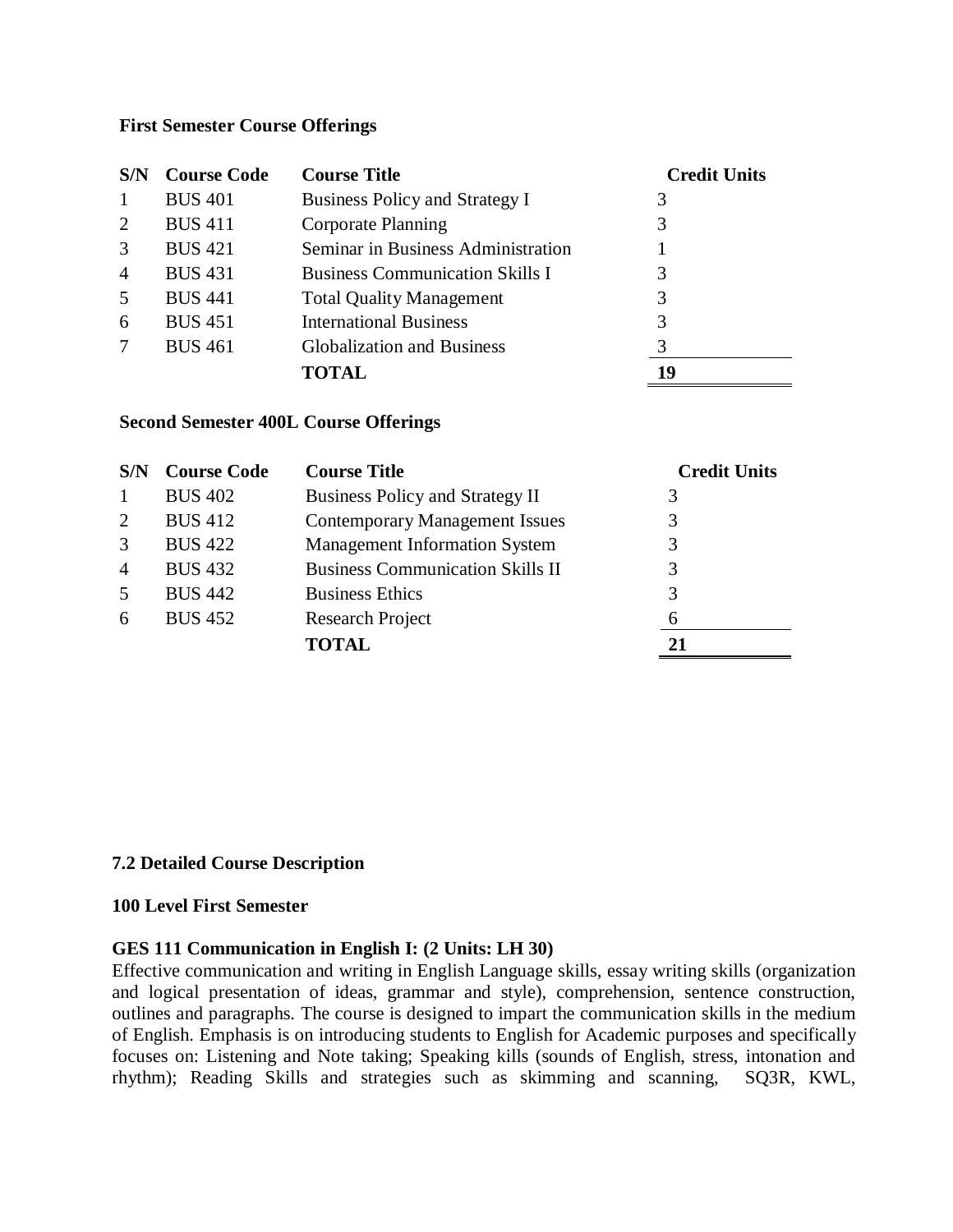#### **First Semester Course Offerings**

| S/N            | <b>Course Code</b> | <b>Course Title</b>                    | <b>Credit Units</b> |
|----------------|--------------------|----------------------------------------|---------------------|
| 1              | <b>BUS 401</b>     | Business Policy and Strategy I         | 3                   |
| 2              | <b>BUS 411</b>     | <b>Corporate Planning</b>              | 3                   |
| 3              | <b>BUS 421</b>     | Seminar in Business Administration     |                     |
| $\overline{4}$ | <b>BUS 431</b>     | <b>Business Communication Skills I</b> | 3                   |
| 5              | <b>BUS 441</b>     | <b>Total Quality Management</b>        | 3                   |
| 6              | <b>BUS 451</b>     | <b>International Business</b>          | 3                   |
|                | <b>BUS 461</b>     | <b>Globalization and Business</b>      | 3                   |
|                |                    | TOTAL                                  | 19                  |

#### **Second Semester 400L Course Offerings**

| S/N            | <b>Course Code</b> | <b>Course Title</b>                     | <b>Credit Units</b> |
|----------------|--------------------|-----------------------------------------|---------------------|
| 1              | <b>BUS 402</b>     | <b>Business Policy and Strategy II</b>  |                     |
| 2              | <b>BUS 412</b>     | <b>Contemporary Management Issues</b>   | 3                   |
| 3              | <b>BUS 422</b>     | <b>Management Information System</b>    |                     |
| $\overline{4}$ | <b>BUS 432</b>     | <b>Business Communication Skills II</b> | 3                   |
| 5              | <b>BUS 442</b>     | <b>Business Ethics</b>                  |                     |
| 6              | <b>BUS 452</b>     | <b>Research Project</b>                 | 6                   |
|                |                    | <b>TOTAL</b>                            | 21                  |

#### **7.2 Detailed Course Description**

#### **100 Level First Semester**

#### **GES 111 Communication in English I: (2 Units: LH 30)**

Effective communication and writing in English Language skills, essay writing skills (organization and logical presentation of ideas, grammar and style), comprehension, sentence construction, outlines and paragraphs. The course is designed to impart the communication skills in the medium of English. Emphasis is on introducing students to English for Academic purposes and specifically focuses on: Listening and Note taking; Speaking kills (sounds of English, stress, intonation and rhythm); Reading Skills and strategies such as skimming and scanning, SQ3R, KWL,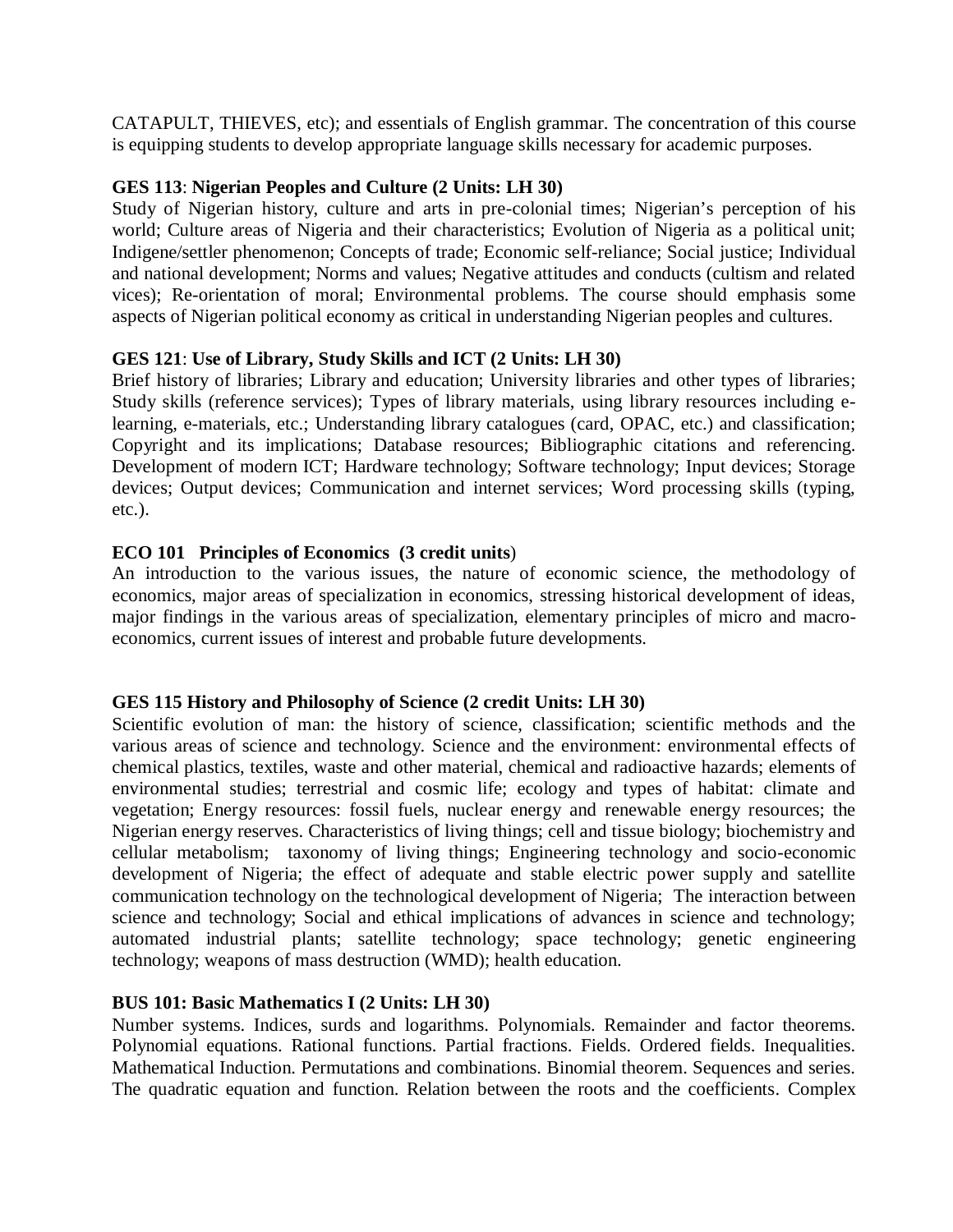CATAPULT, THIEVES, etc); and essentials of English grammar. The concentration of this course is equipping students to develop appropriate language skills necessary for academic purposes.

# **GES 113**: **Nigerian Peoples and Culture (2 Units: LH 30)**

Study of Nigerian history, culture and arts in pre-colonial times; Nigerian's perception of his world; Culture areas of Nigeria and their characteristics; Evolution of Nigeria as a political unit; Indigene/settler phenomenon; Concepts of trade; Economic self-reliance; Social justice; Individual and national development; Norms and values; Negative attitudes and conducts (cultism and related vices); Re-orientation of moral; Environmental problems. The course should emphasis some aspects of Nigerian political economy as critical in understanding Nigerian peoples and cultures.

# **GES 121**: **Use of Library, Study Skills and ICT (2 Units: LH 30)**

Brief history of libraries; Library and education; University libraries and other types of libraries; Study skills (reference services); Types of library materials, using library resources including elearning, e-materials, etc.; Understanding library catalogues (card, OPAC, etc.) and classification; Copyright and its implications; Database resources; Bibliographic citations and referencing. Development of modern ICT; Hardware technology; Software technology; Input devices; Storage devices; Output devices; Communication and internet services; Word processing skills (typing, etc.).

# **ECO 101 Principles of Economics (3 credit units**)

An introduction to the various issues, the nature of economic science, the methodology of economics, major areas of specialization in economics, stressing historical development of ideas, major findings in the various areas of specialization, elementary principles of micro and macroeconomics, current issues of interest and probable future developments.

#### **GES 115 History and Philosophy of Science (2 credit Units: LH 30)**

Scientific evolution of man: the history of science, classification; scientific methods and the various areas of science and technology. Science and the environment: environmental effects of chemical plastics, textiles, waste and other material, chemical and radioactive hazards; elements of environmental studies; terrestrial and cosmic life; ecology and types of habitat: climate and vegetation; Energy resources: fossil fuels, nuclear energy and renewable energy resources; the Nigerian energy reserves. Characteristics of living things; cell and tissue biology; biochemistry and cellular metabolism; taxonomy of living things; Engineering technology and socio-economic development of Nigeria; the effect of adequate and stable electric power supply and satellite communication technology on the technological development of Nigeria; The interaction between science and technology; Social and ethical implications of advances in science and technology; automated industrial plants; satellite technology; space technology; genetic engineering technology; weapons of mass destruction (WMD); health education.

#### **BUS 101: Basic Mathematics I (2 Units: LH 30)**

Number systems. Indices, surds and logarithms. Polynomials. Remainder and factor theorems. Polynomial equations. Rational functions. Partial fractions. Fields. Ordered fields. Inequalities. Mathematical Induction. Permutations and combinations. Binomial theorem. Sequences and series. The quadratic equation and function. Relation between the roots and the coefficients. Complex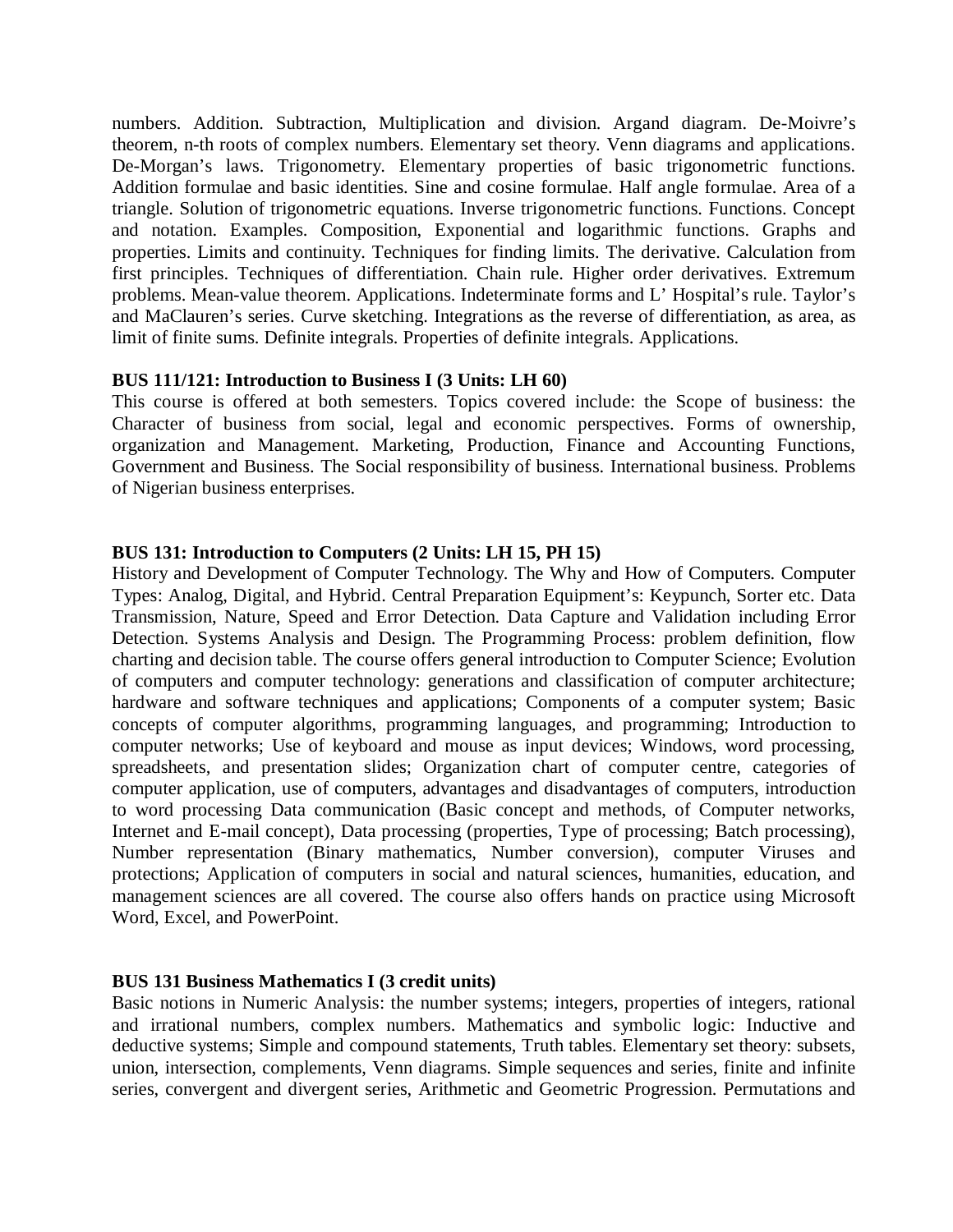numbers. Addition. Subtraction, Multiplication and division. Argand diagram. De-Moivre's theorem, n-th roots of complex numbers. Elementary set theory. Venn diagrams and applications. De-Morgan's laws. Trigonometry. Elementary properties of basic trigonometric functions. Addition formulae and basic identities. Sine and cosine formulae. Half angle formulae. Area of a triangle. Solution of trigonometric equations. Inverse trigonometric functions. Functions. Concept and notation. Examples. Composition, Exponential and logarithmic functions. Graphs and properties. Limits and continuity. Techniques for finding limits. The derivative. Calculation from first principles. Techniques of differentiation. Chain rule. Higher order derivatives. Extremum problems. Mean-value theorem. Applications. Indeterminate forms and L' Hospital's rule. Taylor's and MaClauren's series. Curve sketching. Integrations as the reverse of differentiation, as area, as limit of finite sums. Definite integrals. Properties of definite integrals. Applications.

#### **BUS 111/121: Introduction to Business I (3 Units: LH 60)**

This course is offered at both semesters. Topics covered include: the Scope of business: the Character of business from social, legal and economic perspectives. Forms of ownership, organization and Management. Marketing, Production, Finance and Accounting Functions, Government and Business. The Social responsibility of business. International business. Problems of Nigerian business enterprises.

#### **BUS 131: Introduction to Computers (2 Units: LH 15, PH 15)**

History and Development of Computer Technology. The Why and How of Computers. Computer Types: Analog, Digital, and Hybrid. Central Preparation Equipment's: Keypunch, Sorter etc. Data Transmission, Nature, Speed and Error Detection. Data Capture and Validation including Error Detection. Systems Analysis and Design. The Programming Process: problem definition, flow charting and decision table. The course offers general introduction to Computer Science; Evolution of computers and computer technology: generations and classification of computer architecture; hardware and software techniques and applications; Components of a computer system; Basic concepts of computer algorithms, programming languages, and programming; Introduction to computer networks; Use of keyboard and mouse as input devices; Windows, word processing, spreadsheets, and presentation slides; Organization chart of computer centre, categories of computer application, use of computers, advantages and disadvantages of computers, introduction to word processing Data communication (Basic concept and methods, of Computer networks, Internet and E-mail concept), Data processing (properties, Type of processing; Batch processing), Number representation (Binary mathematics, Number conversion), computer Viruses and protections; Application of computers in social and natural sciences, humanities, education, and management sciences are all covered. The course also offers hands on practice using Microsoft Word, Excel, and PowerPoint.

#### **BUS 131 Business Mathematics I (3 credit units)**

Basic notions in Numeric Analysis: the number systems; integers, properties of integers, rational and irrational numbers, complex numbers. Mathematics and symbolic logic: Inductive and deductive systems; Simple and compound statements, Truth tables. Elementary set theory: subsets, union, intersection, complements, Venn diagrams. Simple sequences and series, finite and infinite series, convergent and divergent series, Arithmetic and Geometric Progression. Permutations and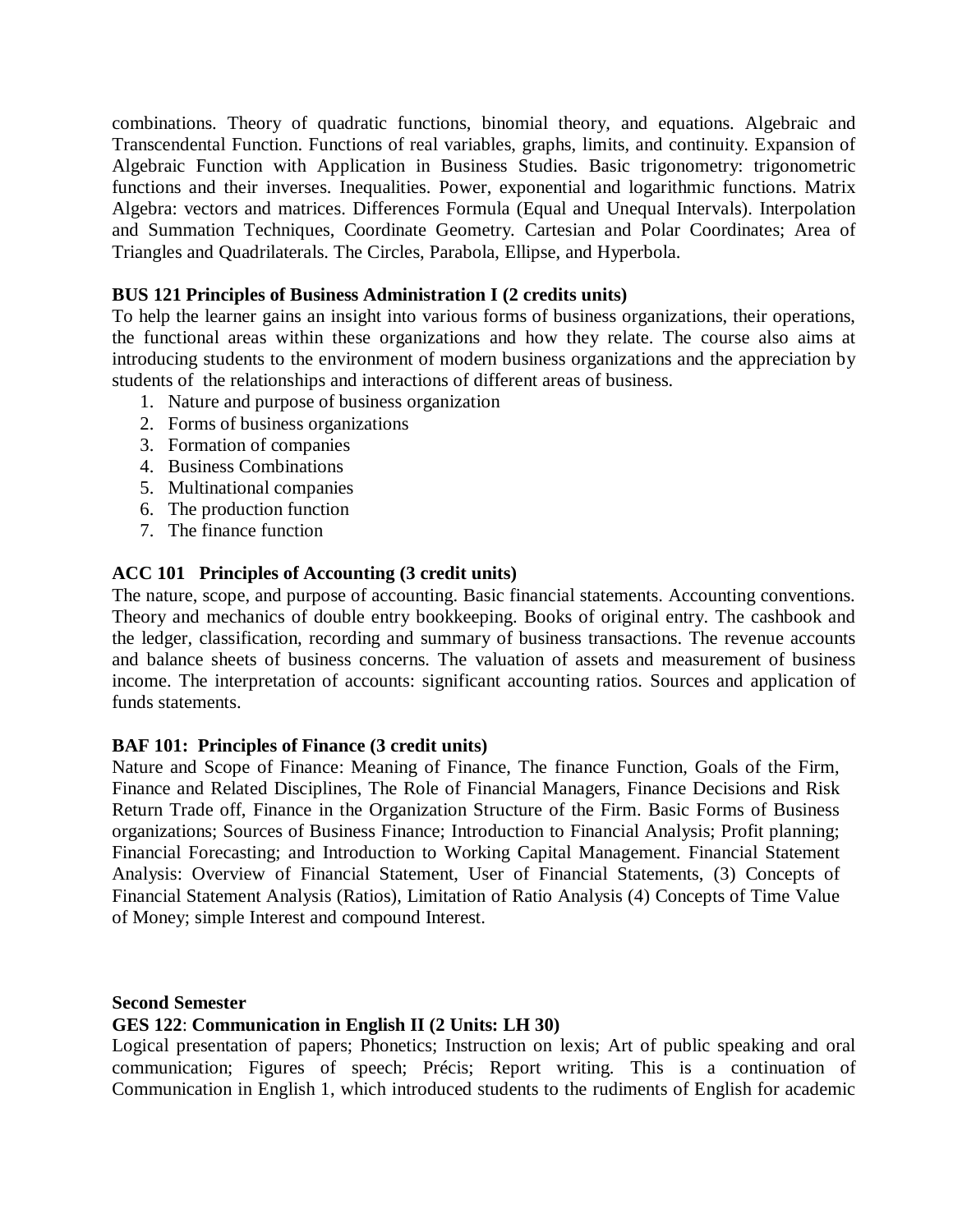combinations. Theory of quadratic functions, binomial theory, and equations. Algebraic and Transcendental Function. Functions of real variables, graphs, limits, and continuity. Expansion of Algebraic Function with Application in Business Studies. Basic trigonometry: trigonometric functions and their inverses. Inequalities. Power, exponential and logarithmic functions. Matrix Algebra: vectors and matrices. Differences Formula (Equal and Unequal Intervals). Interpolation and Summation Techniques, Coordinate Geometry. Cartesian and Polar Coordinates; Area of Triangles and Quadrilaterals. The Circles, Parabola, Ellipse, and Hyperbola.

#### **BUS 121 Principles of Business Administration I (2 credits units)**

To help the learner gains an insight into various forms of business organizations, their operations, the functional areas within these organizations and how they relate. The course also aims at introducing students to the environment of modern business organizations and the appreciation by students of the relationships and interactions of different areas of business.

- 1. Nature and purpose of business organization
- 2. Forms of business organizations
- 3. Formation of companies
- 4. Business Combinations
- 5. Multinational companies
- 6. The production function
- 7. The finance function

# **ACC 101 Principles of Accounting (3 credit units)**

The nature, scope, and purpose of accounting. Basic financial statements. Accounting conventions. Theory and mechanics of double entry bookkeeping. Books of original entry. The cashbook and the ledger, classification, recording and summary of business transactions. The revenue accounts and balance sheets of business concerns. The valuation of assets and measurement of business income. The interpretation of accounts: significant accounting ratios. Sources and application of funds statements.

#### **BAF 101: Principles of Finance (3 credit units)**

Nature and Scope of Finance: Meaning of Finance, The finance Function, Goals of the Firm, Finance and Related Disciplines, The Role of Financial Managers, Finance Decisions and Risk Return Trade off, Finance in the Organization Structure of the Firm. Basic Forms of Business organizations; Sources of Business Finance; Introduction to Financial Analysis; Profit planning; Financial Forecasting; and Introduction to Working Capital Management. Financial Statement Analysis: Overview of Financial Statement, User of Financial Statements, (3) Concepts of Financial Statement Analysis (Ratios), Limitation of Ratio Analysis (4) Concepts of Time Value of Money; simple Interest and compound Interest.

#### **Second Semester**

#### **GES 122**: **Communication in English II (2 Units: LH 30)**

Logical presentation of papers; Phonetics; Instruction on lexis; Art of public speaking and oral communication; Figures of speech; Précis; Report writing. This is a continuation of Communication in English 1, which introduced students to the rudiments of English for academic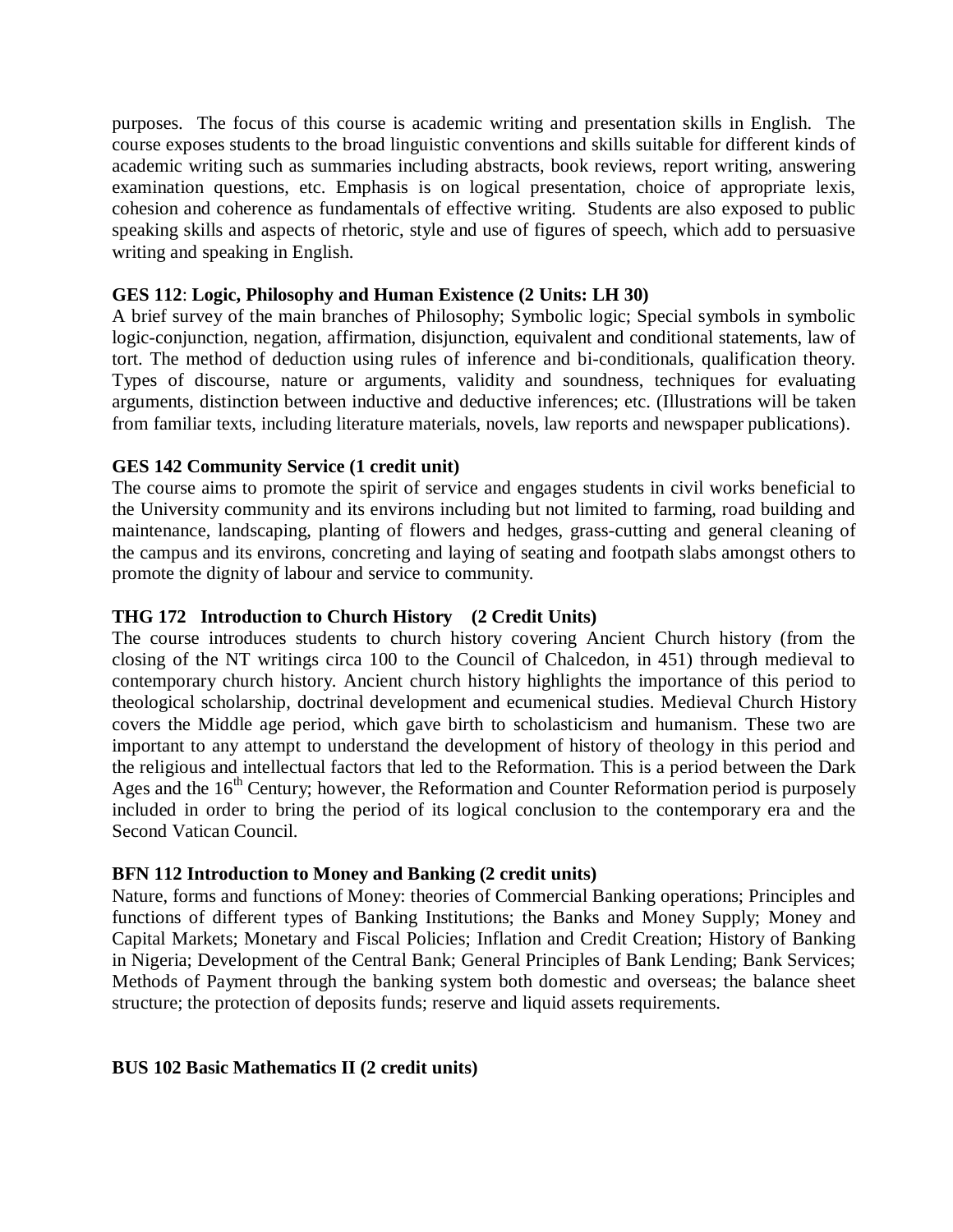purposes. The focus of this course is academic writing and presentation skills in English. The course exposes students to the broad linguistic conventions and skills suitable for different kinds of academic writing such as summaries including abstracts, book reviews, report writing, answering examination questions, etc. Emphasis is on logical presentation, choice of appropriate lexis, cohesion and coherence as fundamentals of effective writing. Students are also exposed to public speaking skills and aspects of rhetoric, style and use of figures of speech, which add to persuasive writing and speaking in English.

#### **GES 112**: **Logic, Philosophy and Human Existence (2 Units: LH 30)**

A brief survey of the main branches of Philosophy; Symbolic logic; Special symbols in symbolic logic-conjunction, negation, affirmation, disjunction, equivalent and conditional statements, law of tort. The method of deduction using rules of inference and bi-conditionals, qualification theory. Types of discourse, nature or arguments, validity and soundness, techniques for evaluating arguments, distinction between inductive and deductive inferences; etc. (Illustrations will be taken from familiar texts, including literature materials, novels, law reports and newspaper publications).

#### **GES 142 Community Service (1 credit unit)**

The course aims to promote the spirit of service and engages students in civil works beneficial to the University community and its environs including but not limited to farming, road building and maintenance, landscaping, planting of flowers and hedges, grass-cutting and general cleaning of the campus and its environs, concreting and laying of seating and footpath slabs amongst others to promote the dignity of labour and service to community.

### **THG 172 Introduction to Church History (2 Credit Units)**

The course introduces students to church history covering Ancient Church history (from the closing of the NT writings circa 100 to the Council of Chalcedon, in 451) through medieval to contemporary church history. Ancient church history highlights the importance of this period to theological scholarship, doctrinal development and ecumenical studies. Medieval Church History covers the Middle age period, which gave birth to scholasticism and humanism. These two are important to any attempt to understand the development of history of theology in this period and the religious and intellectual factors that led to the Reformation. This is a period between the Dark Ages and the  $16<sup>th</sup>$  Century; however, the Reformation and Counter Reformation period is purposely included in order to bring the period of its logical conclusion to the contemporary era and the Second Vatican Council.

#### **BFN 112 Introduction to Money and Banking (2 credit units)**

Nature, forms and functions of Money: theories of Commercial Banking operations; Principles and functions of different types of Banking Institutions; the Banks and Money Supply; Money and Capital Markets; Monetary and Fiscal Policies; Inflation and Credit Creation; History of Banking in Nigeria; Development of the Central Bank; General Principles of Bank Lending; Bank Services; Methods of Payment through the banking system both domestic and overseas; the balance sheet structure; the protection of deposits funds; reserve and liquid assets requirements.

#### **BUS 102 Basic Mathematics II (2 credit units)**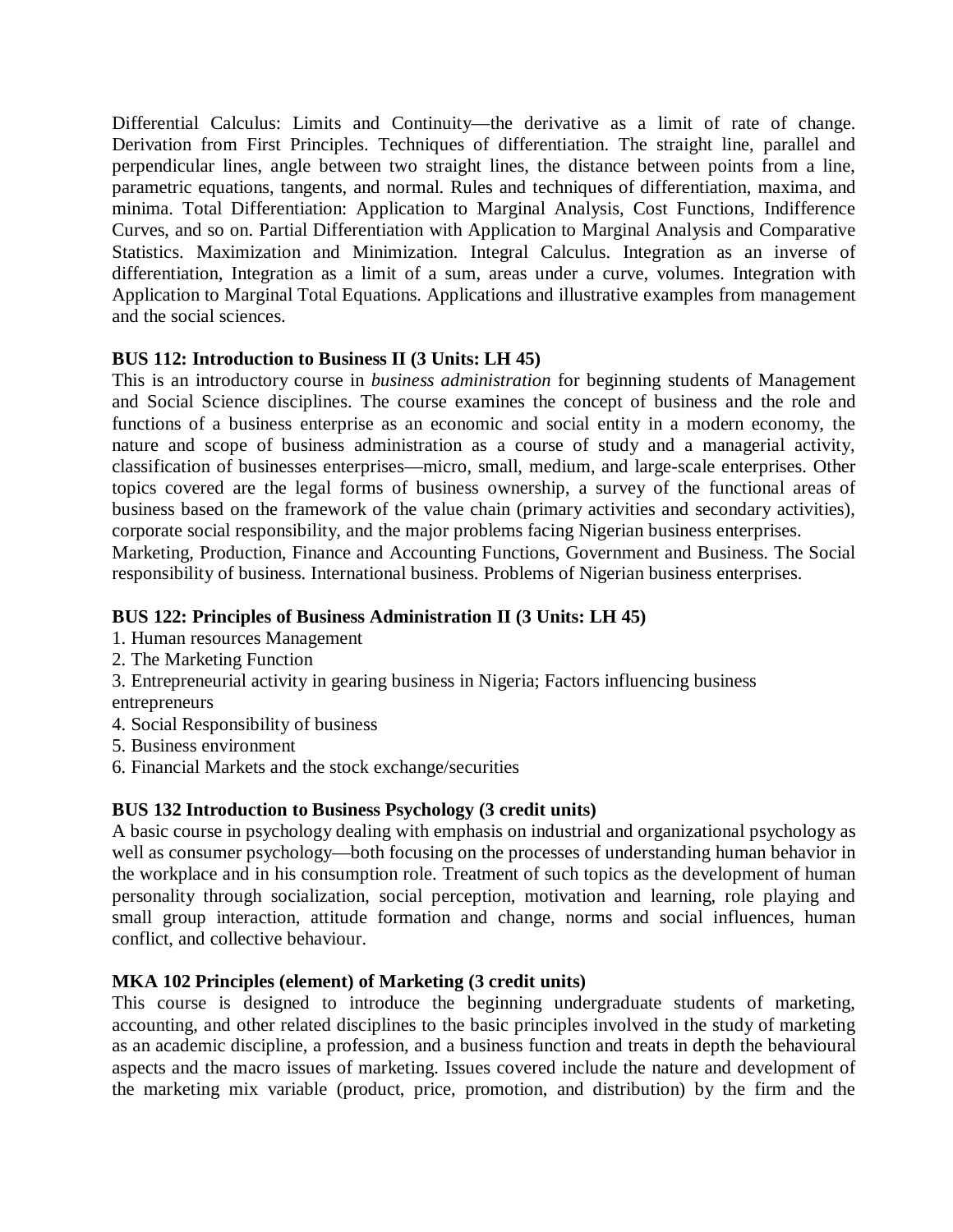Differential Calculus: Limits and Continuity—the derivative as a limit of rate of change. Derivation from First Principles. Techniques of differentiation. The straight line, parallel and perpendicular lines, angle between two straight lines, the distance between points from a line, parametric equations, tangents, and normal. Rules and techniques of differentiation, maxima, and minima. Total Differentiation: Application to Marginal Analysis, Cost Functions, Indifference Curves, and so on. Partial Differentiation with Application to Marginal Analysis and Comparative Statistics. Maximization and Minimization. Integral Calculus. Integration as an inverse of differentiation, Integration as a limit of a sum, areas under a curve, volumes. Integration with Application to Marginal Total Equations. Applications and illustrative examples from management and the social sciences.

# **BUS 112: Introduction to Business II (3 Units: LH 45)**

This is an introductory course in *business administration* for beginning students of Management and Social Science disciplines. The course examines the concept of business and the role and functions of a business enterprise as an economic and social entity in a modern economy, the nature and scope of business administration as a course of study and a managerial activity, classification of businesses enterprises—micro, small, medium, and large-scale enterprises. Other topics covered are the legal forms of business ownership, a survey of the functional areas of business based on the framework of the value chain (primary activities and secondary activities), corporate social responsibility, and the major problems facing Nigerian business enterprises.

Marketing, Production, Finance and Accounting Functions, Government and Business. The Social responsibility of business. International business. Problems of Nigerian business enterprises.

### **BUS 122: Principles of Business Administration II (3 Units: LH 45)**

- 1. Human resources Management
- 2. The Marketing Function
- 3. Entrepreneurial activity in gearing business in Nigeria; Factors influencing business entrepreneurs
- 4. Social Responsibility of business
- 5. Business environment
- 6. Financial Markets and the stock exchange/securities

# **BUS 132 Introduction to Business Psychology (3 credit units)**

A basic course in psychology dealing with emphasis on industrial and organizational psychology as well as consumer psychology—both focusing on the processes of understanding human behavior in the workplace and in his consumption role. Treatment of such topics as the development of human personality through socialization, social perception, motivation and learning, role playing and small group interaction, attitude formation and change, norms and social influences, human conflict, and collective behaviour.

# **MKA 102 Principles (element) of Marketing (3 credit units)**

This course is designed to introduce the beginning undergraduate students of marketing, accounting, and other related disciplines to the basic principles involved in the study of marketing as an academic discipline, a profession, and a business function and treats in depth the behavioural aspects and the macro issues of marketing. Issues covered include the nature and development of the marketing mix variable (product, price, promotion, and distribution) by the firm and the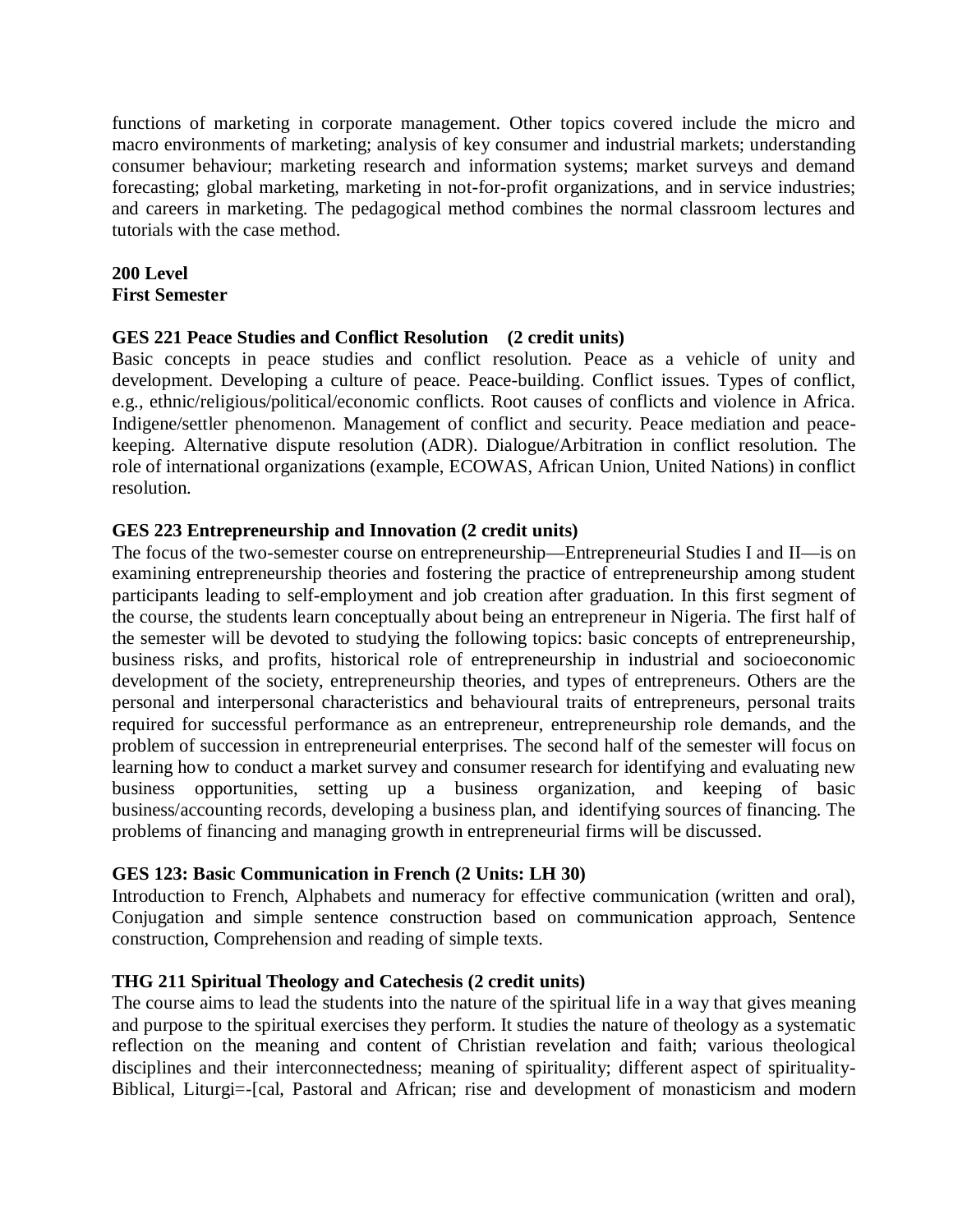functions of marketing in corporate management. Other topics covered include the micro and macro environments of marketing; analysis of key consumer and industrial markets; understanding consumer behaviour; marketing research and information systems; market surveys and demand forecasting; global marketing, marketing in not-for-profit organizations, and in service industries; and careers in marketing. The pedagogical method combines the normal classroom lectures and tutorials with the case method.

# **200 Level First Semester**

# **GES 221 Peace Studies and Conflict Resolution (2 credit units)**

Basic concepts in peace studies and conflict resolution. Peace as a vehicle of unity and development. Developing a culture of peace. Peace-building. Conflict issues. Types of conflict, e.g., ethnic/religious/political/economic conflicts. Root causes of conflicts and violence in Africa. Indigene/settler phenomenon. Management of conflict and security. Peace mediation and peacekeeping. Alternative dispute resolution (ADR). Dialogue/Arbitration in conflict resolution. The role of international organizations (example, ECOWAS, African Union, United Nations) in conflict resolution.

# **GES 223 Entrepreneurship and Innovation (2 credit units)**

The focus of the two-semester course on entrepreneurship—Entrepreneurial Studies I and II—is on examining entrepreneurship theories and fostering the practice of entrepreneurship among student participants leading to self-employment and job creation after graduation. In this first segment of the course, the students learn conceptually about being an entrepreneur in Nigeria. The first half of the semester will be devoted to studying the following topics: basic concepts of entrepreneurship, business risks, and profits, historical role of entrepreneurship in industrial and socioeconomic development of the society, entrepreneurship theories, and types of entrepreneurs. Others are the personal and interpersonal characteristics and behavioural traits of entrepreneurs, personal traits required for successful performance as an entrepreneur, entrepreneurship role demands, and the problem of succession in entrepreneurial enterprises. The second half of the semester will focus on learning how to conduct a market survey and consumer research for identifying and evaluating new business opportunities, setting up a business organization, and keeping of basic business/accounting records, developing a business plan, and identifying sources of financing. The problems of financing and managing growth in entrepreneurial firms will be discussed.

# **GES 123: Basic Communication in French (2 Units: LH 30)**

Introduction to French, Alphabets and numeracy for effective communication (written and oral), Conjugation and simple sentence construction based on communication approach, Sentence construction, Comprehension and reading of simple texts.

#### **THG 211 Spiritual Theology and Catechesis (2 credit units)**

The course aims to lead the students into the nature of the spiritual life in a way that gives meaning and purpose to the spiritual exercises they perform. It studies the nature of theology as a systematic reflection on the meaning and content of Christian revelation and faith; various theological disciplines and their interconnectedness; meaning of spirituality; different aspect of spirituality-Biblical, Liturgi=-[cal, Pastoral and African; rise and development of monasticism and modern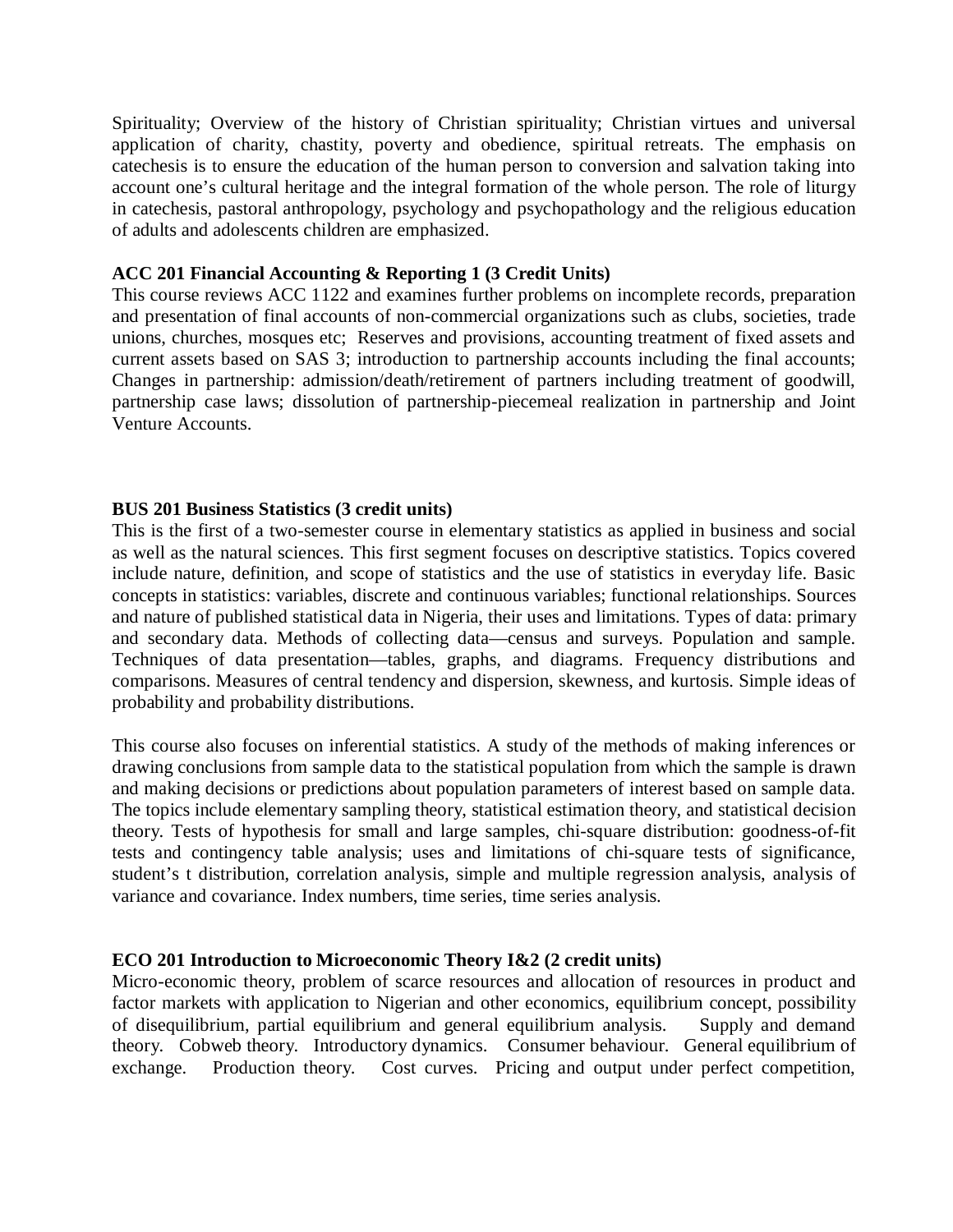Spirituality; Overview of the history of Christian spirituality; Christian virtues and universal application of charity, chastity, poverty and obedience, spiritual retreats. The emphasis on catechesis is to ensure the education of the human person to conversion and salvation taking into account one's cultural heritage and the integral formation of the whole person. The role of liturgy in catechesis, pastoral anthropology, psychology and psychopathology and the religious education of adults and adolescents children are emphasized.

### **ACC 201 Financial Accounting & Reporting 1 (3 Credit Units)**

This course reviews ACC 1122 and examines further problems on incomplete records, preparation and presentation of final accounts of non-commercial organizations such as clubs, societies, trade unions, churches, mosques etc; Reserves and provisions, accounting treatment of fixed assets and current assets based on SAS 3; introduction to partnership accounts including the final accounts; Changes in partnership: admission/death/retirement of partners including treatment of goodwill, partnership case laws; dissolution of partnership-piecemeal realization in partnership and Joint Venture Accounts.

# **BUS 201 Business Statistics (3 credit units)**

This is the first of a two-semester course in elementary statistics as applied in business and social as well as the natural sciences. This first segment focuses on descriptive statistics. Topics covered include nature, definition, and scope of statistics and the use of statistics in everyday life. Basic concepts in statistics: variables, discrete and continuous variables; functional relationships. Sources and nature of published statistical data in Nigeria, their uses and limitations. Types of data: primary and secondary data. Methods of collecting data—census and surveys. Population and sample. Techniques of data presentation—tables, graphs, and diagrams. Frequency distributions and comparisons. Measures of central tendency and dispersion, skewness, and kurtosis. Simple ideas of probability and probability distributions.

This course also focuses on inferential statistics. A study of the methods of making inferences or drawing conclusions from sample data to the statistical population from which the sample is drawn and making decisions or predictions about population parameters of interest based on sample data. The topics include elementary sampling theory, statistical estimation theory, and statistical decision theory. Tests of hypothesis for small and large samples, chi-square distribution: goodness-of-fit tests and contingency table analysis; uses and limitations of chi-square tests of significance, student's t distribution, correlation analysis, simple and multiple regression analysis, analysis of variance and covariance. Index numbers, time series, time series analysis.

# **ECO 201 Introduction to Microeconomic Theory I&2 (2 credit units)**

Micro-economic theory, problem of scarce resources and allocation of resources in product and factor markets with application to Nigerian and other economics, equilibrium concept, possibility of disequilibrium, partial equilibrium and general equilibrium analysis. Supply and demand theory. Cobweb theory. Introductory dynamics. Consumer behaviour. General equilibrium of exchange. Production theory. Cost curves. Pricing and output under perfect competition,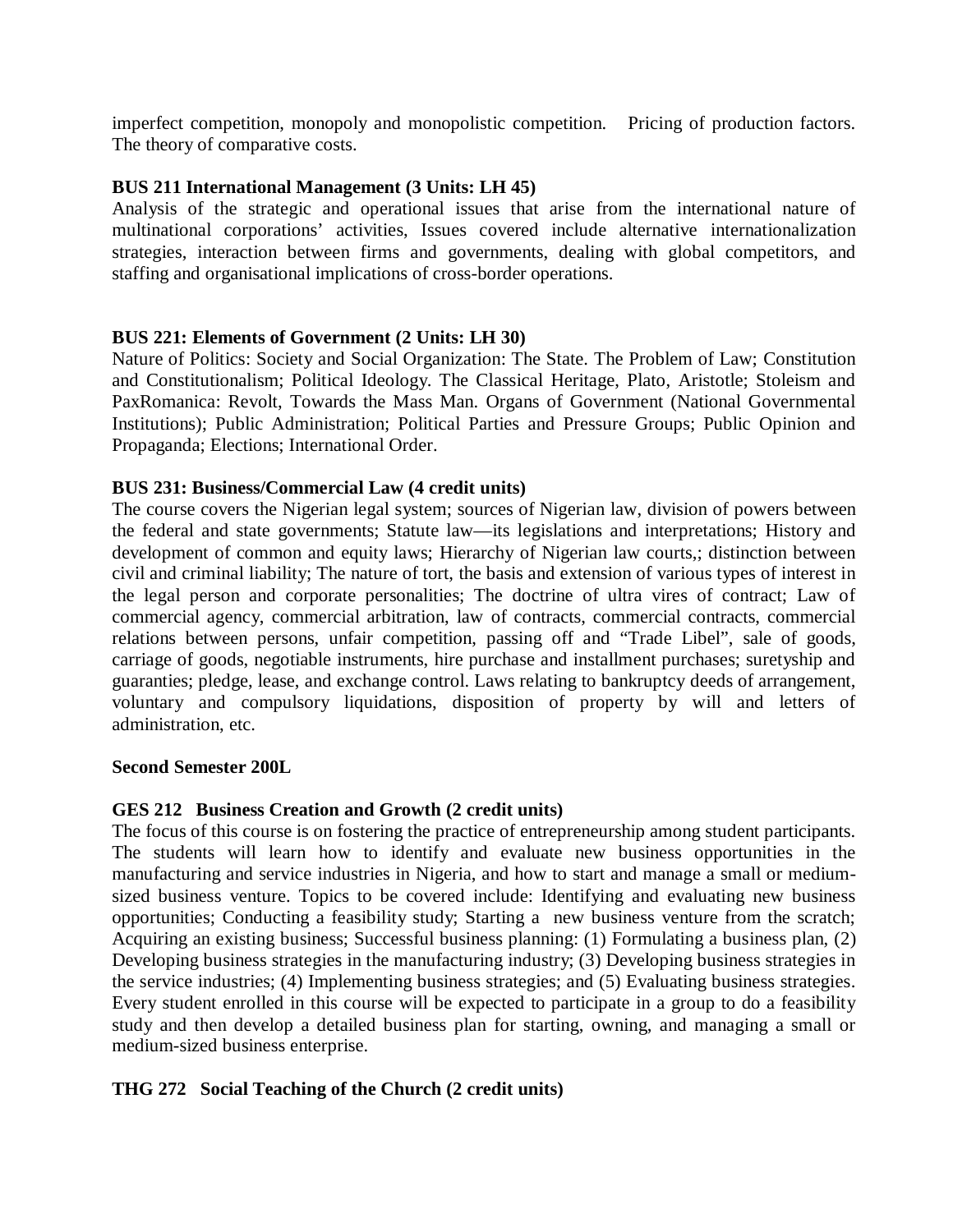imperfect competition, monopoly and monopolistic competition. Pricing of production factors. The theory of comparative costs.

# **BUS 211 International Management (3 Units: LH 45)**

Analysis of the strategic and operational issues that arise from the international nature of multinational corporations' activities, Issues covered include alternative internationalization strategies, interaction between firms and governments, dealing with global competitors, and staffing and organisational implications of cross-border operations.

# **BUS 221: Elements of Government (2 Units: LH 30)**

Nature of Politics: Society and Social Organization: The State. The Problem of Law; Constitution and Constitutionalism; Political Ideology. The Classical Heritage, Plato, Aristotle; Stoleism and PaxRomanica: Revolt, Towards the Mass Man. Organs of Government (National Governmental Institutions); Public Administration; Political Parties and Pressure Groups; Public Opinion and Propaganda; Elections; International Order.

# **BUS 231: Business/Commercial Law (4 credit units)**

The course covers the Nigerian legal system; sources of Nigerian law, division of powers between the federal and state governments; Statute law—its legislations and interpretations; History and development of common and equity laws; Hierarchy of Nigerian law courts,; distinction between civil and criminal liability; The nature of tort, the basis and extension of various types of interest in the legal person and corporate personalities; The doctrine of ultra vires of contract; Law of commercial agency, commercial arbitration, law of contracts, commercial contracts, commercial relations between persons, unfair competition, passing off and "Trade Libel", sale of goods, carriage of goods, negotiable instruments, hire purchase and installment purchases; suretyship and guaranties; pledge, lease, and exchange control. Laws relating to bankruptcy deeds of arrangement, voluntary and compulsory liquidations, disposition of property by will and letters of administration, etc.

#### **Second Semester 200L**

#### **GES 212 Business Creation and Growth (2 credit units)**

The focus of this course is on fostering the practice of entrepreneurship among student participants. The students will learn how to identify and evaluate new business opportunities in the manufacturing and service industries in Nigeria, and how to start and manage a small or mediumsized business venture. Topics to be covered include: Identifying and evaluating new business opportunities; Conducting a feasibility study; Starting a new business venture from the scratch; Acquiring an existing business; Successful business planning: (1) Formulating a business plan, (2) Developing business strategies in the manufacturing industry; (3) Developing business strategies in the service industries; (4) Implementing business strategies; and (5) Evaluating business strategies. Every student enrolled in this course will be expected to participate in a group to do a feasibility study and then develop a detailed business plan for starting, owning, and managing a small or medium-sized business enterprise.

#### **THG 272 Social Teaching of the Church (2 credit units)**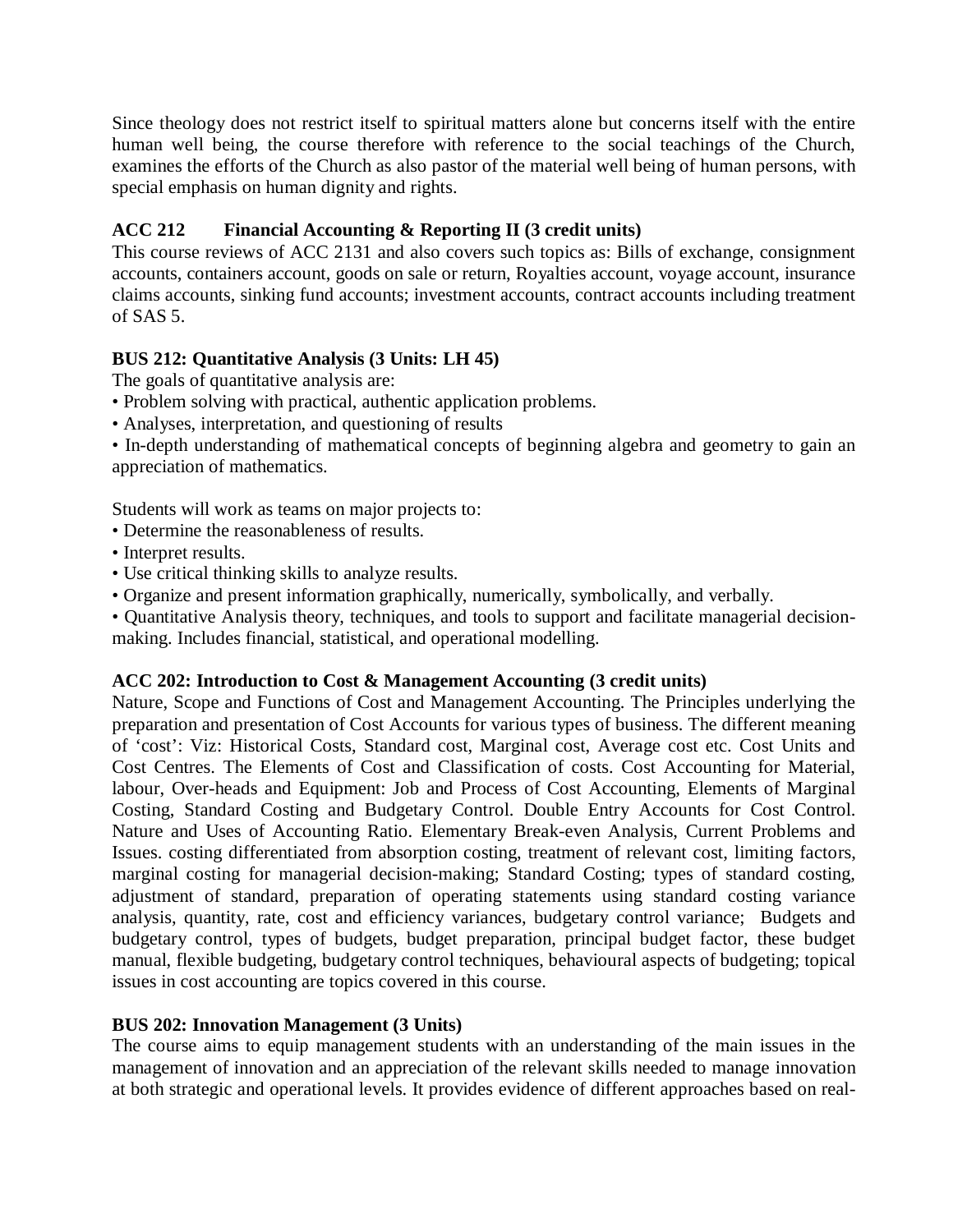Since theology does not restrict itself to spiritual matters alone but concerns itself with the entire human well being, the course therefore with reference to the social teachings of the Church, examines the efforts of the Church as also pastor of the material well being of human persons, with special emphasis on human dignity and rights.

# **ACC 212 Financial Accounting & Reporting II (3 credit units)**

This course reviews of ACC 2131 and also covers such topics as: Bills of exchange, consignment accounts, containers account, goods on sale or return, Royalties account, voyage account, insurance claims accounts, sinking fund accounts; investment accounts, contract accounts including treatment of SAS 5.

# **BUS 212: Quantitative Analysis (3 Units: LH 45)**

The goals of quantitative analysis are:

- Problem solving with practical, authentic application problems.
- Analyses, interpretation, and questioning of results

• In-depth understanding of mathematical concepts of beginning algebra and geometry to gain an appreciation of mathematics.

Students will work as teams on major projects to:

- Determine the reasonableness of results.
- Interpret results.
- Use critical thinking skills to analyze results.
- Organize and present information graphically, numerically, symbolically, and verbally.
- Quantitative Analysis theory, techniques, and tools to support and facilitate managerial decisionmaking. Includes financial, statistical, and operational modelling.

# **ACC 202: Introduction to Cost & Management Accounting (3 credit units)**

Nature, Scope and Functions of Cost and Management Accounting. The Principles underlying the preparation and presentation of Cost Accounts for various types of business. The different meaning of 'cost': Viz: Historical Costs, Standard cost, Marginal cost, Average cost etc. Cost Units and Cost Centres. The Elements of Cost and Classification of costs. Cost Accounting for Material, labour, Over-heads and Equipment: Job and Process of Cost Accounting, Elements of Marginal Costing, Standard Costing and Budgetary Control. Double Entry Accounts for Cost Control. Nature and Uses of Accounting Ratio. Elementary Break-even Analysis, Current Problems and Issues. costing differentiated from absorption costing, treatment of relevant cost, limiting factors, marginal costing for managerial decision-making; Standard Costing; types of standard costing, adjustment of standard, preparation of operating statements using standard costing variance analysis, quantity, rate, cost and efficiency variances, budgetary control variance; Budgets and budgetary control, types of budgets, budget preparation, principal budget factor, these budget manual, flexible budgeting, budgetary control techniques, behavioural aspects of budgeting; topical issues in cost accounting are topics covered in this course.

# **BUS 202: Innovation Management (3 Units)**

The course aims to equip management students with an understanding of the main issues in the management of innovation and an appreciation of the relevant skills needed to manage innovation at both strategic and operational levels. It provides evidence of different approaches based on real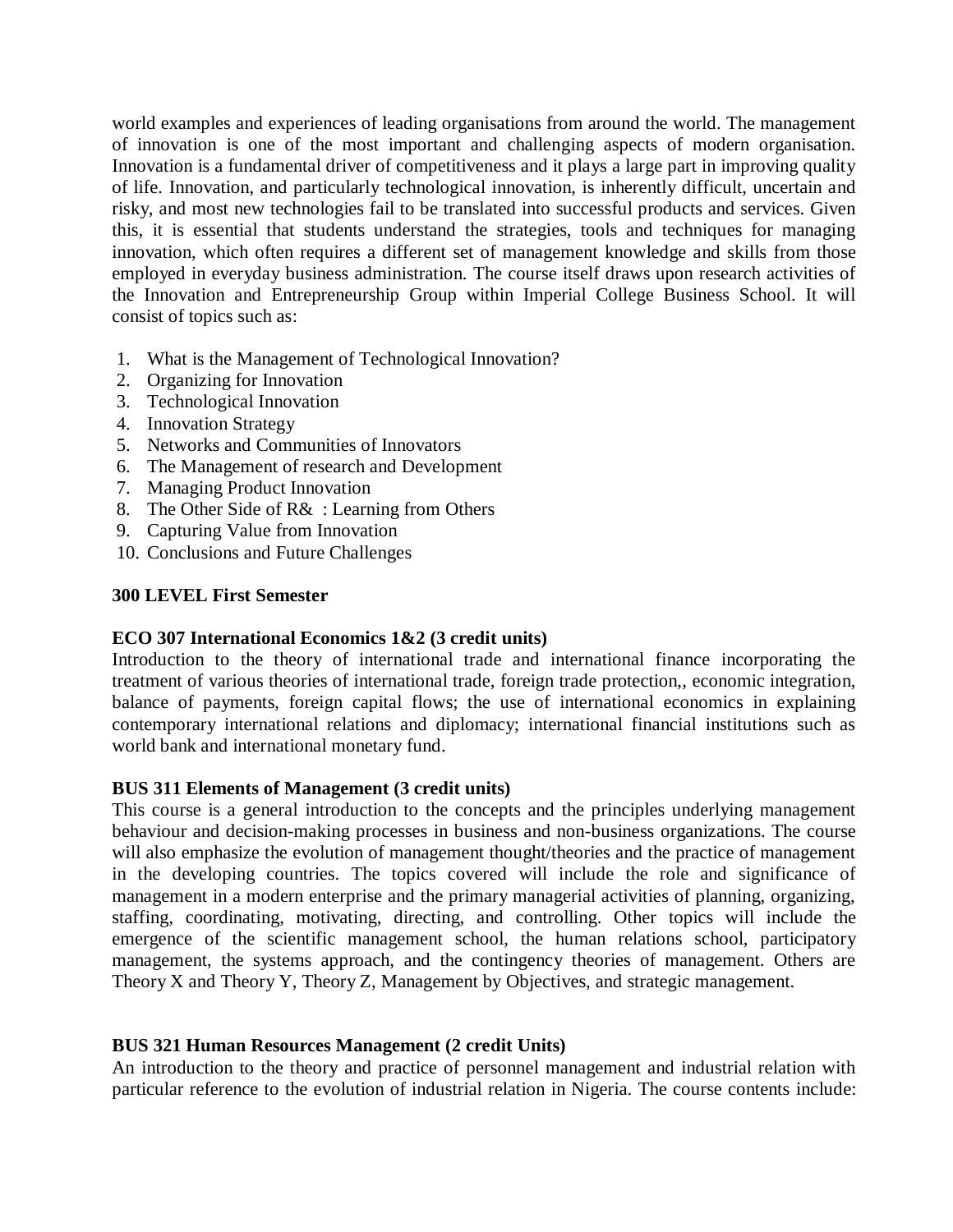world examples and experiences of leading organisations from around the world. The management of innovation is one of the most important and challenging aspects of modern organisation. Innovation is a fundamental driver of competitiveness and it plays a large part in improving quality of life. Innovation, and particularly technological innovation, is inherently difficult, uncertain and risky, and most new technologies fail to be translated into successful products and services. Given this, it is essential that students understand the strategies, tools and techniques for managing innovation, which often requires a different set of management knowledge and skills from those employed in everyday business administration. The course itself draws upon research activities of the Innovation and Entrepreneurship Group within Imperial College Business School. It will consist of topics such as:

- 1. What is the Management of Technological Innovation?
- 2. Organizing for Innovation
- 3. Technological Innovation
- 4. Innovation Strategy
- 5. Networks and Communities of Innovators
- 6. The Management of research and Development
- 7. Managing Product Innovation
- 8. The Other Side of R& : Learning from Others
- 9. Capturing Value from Innovation
- 10. Conclusions and Future Challenges

#### **300 LEVEL First Semester**

#### **ECO 307 International Economics 1&2 (3 credit units)**

Introduction to the theory of international trade and international finance incorporating the treatment of various theories of international trade, foreign trade protection,, economic integration, balance of payments, foreign capital flows; the use of international economics in explaining contemporary international relations and diplomacy; international financial institutions such as world bank and international monetary fund.

#### **BUS 311 Elements of Management (3 credit units)**

This course is a general introduction to the concepts and the principles underlying management behaviour and decision-making processes in business and non-business organizations. The course will also emphasize the evolution of management thought/theories and the practice of management in the developing countries. The topics covered will include the role and significance of management in a modern enterprise and the primary managerial activities of planning, organizing, staffing, coordinating, motivating, directing, and controlling. Other topics will include the emergence of the scientific management school, the human relations school, participatory management, the systems approach, and the contingency theories of management. Others are Theory X and Theory Y, Theory Z, Management by Objectives, and strategic management.

#### **BUS 321 Human Resources Management (2 credit Units)**

An introduction to the theory and practice of personnel management and industrial relation with particular reference to the evolution of industrial relation in Nigeria. The course contents include: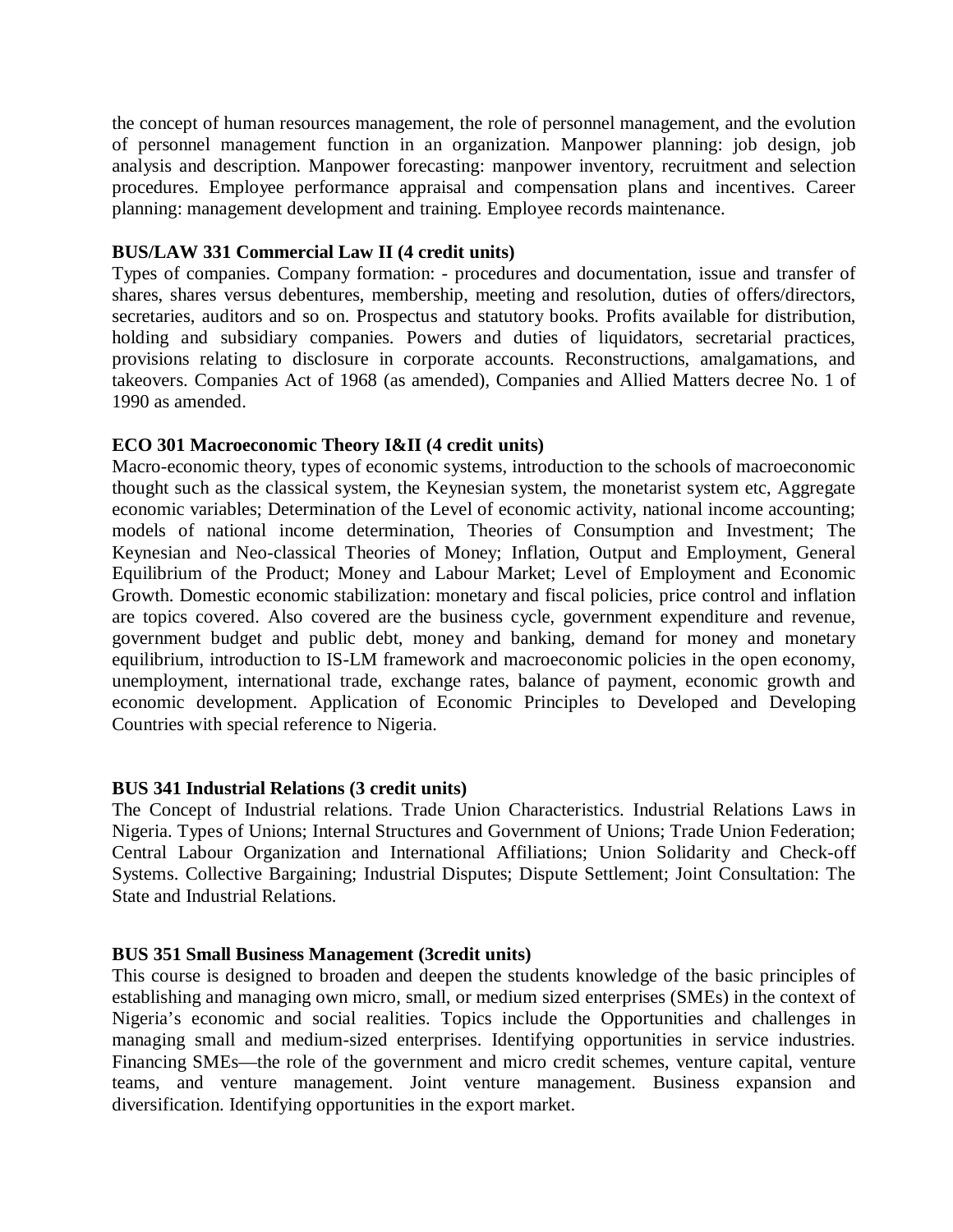the concept of human resources management, the role of personnel management, and the evolution of personnel management function in an organization. Manpower planning: job design, job analysis and description. Manpower forecasting: manpower inventory, recruitment and selection procedures. Employee performance appraisal and compensation plans and incentives. Career planning: management development and training. Employee records maintenance.

#### **BUS/LAW 331 Commercial Law II (4 credit units)**

Types of companies. Company formation: - procedures and documentation, issue and transfer of shares, shares versus debentures, membership, meeting and resolution, duties of offers/directors, secretaries, auditors and so on. Prospectus and statutory books. Profits available for distribution, holding and subsidiary companies. Powers and duties of liquidators, secretarial practices, provisions relating to disclosure in corporate accounts. Reconstructions, amalgamations, and takeovers. Companies Act of 1968 (as amended), Companies and Allied Matters decree No. 1 of 1990 as amended.

#### **ECO 301 Macroeconomic Theory I&II (4 credit units)**

Macro-economic theory, types of economic systems, introduction to the schools of macroeconomic thought such as the classical system, the Keynesian system, the monetarist system etc, Aggregate economic variables; Determination of the Level of economic activity, national income accounting; models of national income determination, Theories of Consumption and Investment; The Keynesian and Neo-classical Theories of Money; Inflation, Output and Employment, General Equilibrium of the Product; Money and Labour Market; Level of Employment and Economic Growth. Domestic economic stabilization: monetary and fiscal policies, price control and inflation are topics covered. Also covered are the business cycle, government expenditure and revenue, government budget and public debt, money and banking, demand for money and monetary equilibrium, introduction to IS-LM framework and macroeconomic policies in the open economy, unemployment, international trade, exchange rates, balance of payment, economic growth and economic development. Application of Economic Principles to Developed and Developing Countries with special reference to Nigeria.

#### **BUS 341 Industrial Relations (3 credit units)**

The Concept of Industrial relations. Trade Union Characteristics. Industrial Relations Laws in Nigeria. Types of Unions; Internal Structures and Government of Unions; Trade Union Federation; Central Labour Organization and International Affiliations; Union Solidarity and Check-off Systems. Collective Bargaining; Industrial Disputes; Dispute Settlement; Joint Consultation: The State and Industrial Relations.

#### **BUS 351 Small Business Management (3credit units)**

This course is designed to broaden and deepen the students knowledge of the basic principles of establishing and managing own micro, small, or medium sized enterprises (SMEs) in the context of Nigeria's economic and social realities. Topics include the Opportunities and challenges in managing small and medium-sized enterprises. Identifying opportunities in service industries. Financing SMEs—the role of the government and micro credit schemes, venture capital, venture teams, and venture management. Joint venture management. Business expansion and diversification. Identifying opportunities in the export market.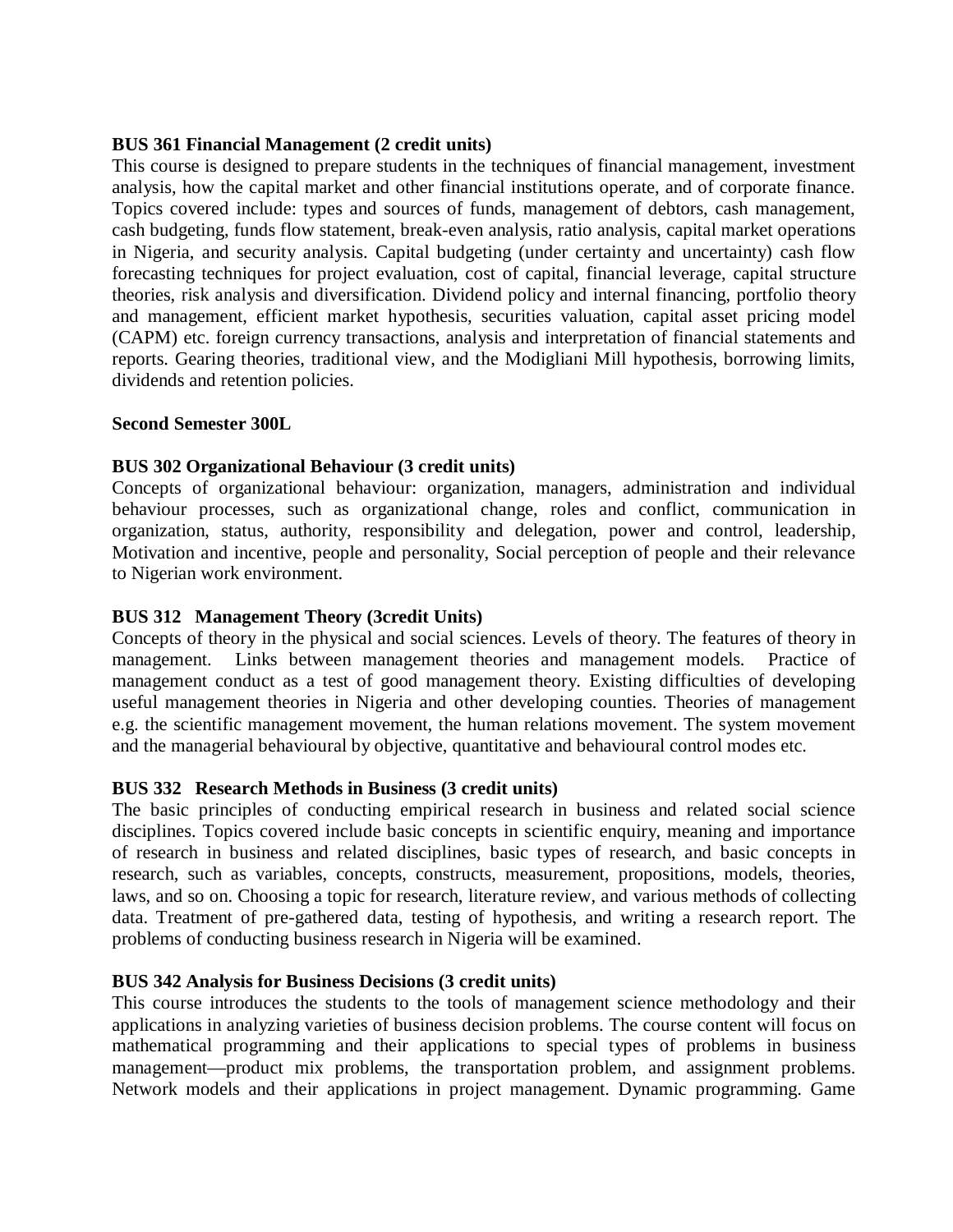#### **BUS 361 Financial Management (2 credit units)**

This course is designed to prepare students in the techniques of financial management, investment analysis, how the capital market and other financial institutions operate, and of corporate finance. Topics covered include: types and sources of funds, management of debtors, cash management, cash budgeting, funds flow statement, break-even analysis, ratio analysis, capital market operations in Nigeria, and security analysis. Capital budgeting (under certainty and uncertainty) cash flow forecasting techniques for project evaluation, cost of capital, financial leverage, capital structure theories, risk analysis and diversification. Dividend policy and internal financing, portfolio theory and management, efficient market hypothesis, securities valuation, capital asset pricing model (CAPM) etc. foreign currency transactions, analysis and interpretation of financial statements and reports. Gearing theories, traditional view, and the Modigliani Mill hypothesis, borrowing limits, dividends and retention policies.

#### **Second Semester 300L**

#### **BUS 302 Organizational Behaviour (3 credit units)**

Concepts of organizational behaviour: organization, managers, administration and individual behaviour processes, such as organizational change, roles and conflict, communication in organization, status, authority, responsibility and delegation, power and control, leadership, Motivation and incentive, people and personality, Social perception of people and their relevance to Nigerian work environment.

#### **BUS 312 Management Theory (3credit Units)**

Concepts of theory in the physical and social sciences. Levels of theory. The features of theory in management. Links between management theories and management models. Practice of management conduct as a test of good management theory. Existing difficulties of developing useful management theories in Nigeria and other developing counties. Theories of management e.g. the scientific management movement, the human relations movement. The system movement and the managerial behavioural by objective, quantitative and behavioural control modes etc.

#### **BUS 332 Research Methods in Business (3 credit units)**

The basic principles of conducting empirical research in business and related social science disciplines. Topics covered include basic concepts in scientific enquiry, meaning and importance of research in business and related disciplines, basic types of research, and basic concepts in research, such as variables, concepts, constructs, measurement, propositions, models, theories, laws, and so on. Choosing a topic for research, literature review, and various methods of collecting data. Treatment of pre-gathered data, testing of hypothesis, and writing a research report. The problems of conducting business research in Nigeria will be examined.

#### **BUS 342 Analysis for Business Decisions (3 credit units)**

This course introduces the students to the tools of management science methodology and their applications in analyzing varieties of business decision problems. The course content will focus on mathematical programming and their applications to special types of problems in business management—product mix problems, the transportation problem, and assignment problems. Network models and their applications in project management. Dynamic programming. Game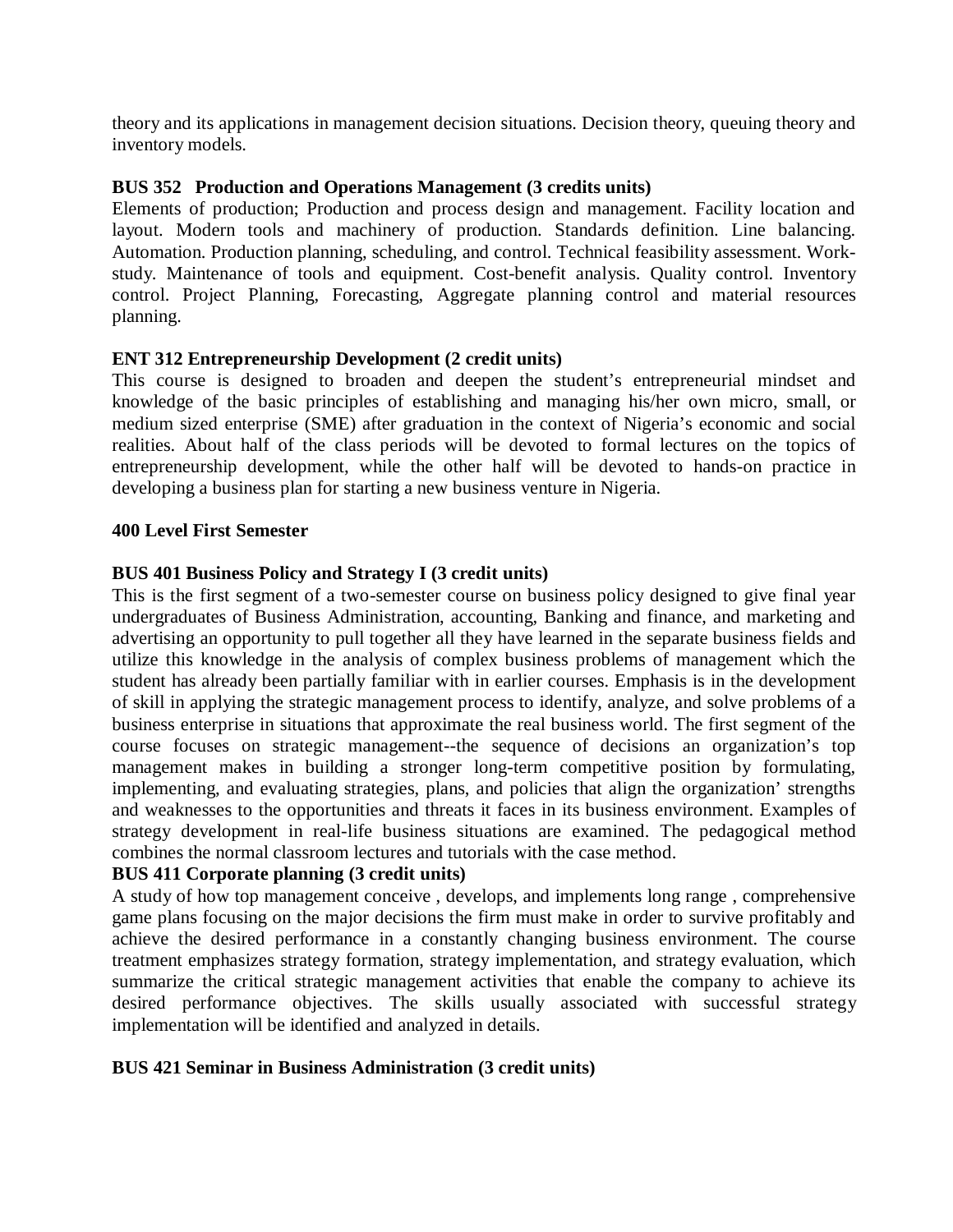theory and its applications in management decision situations. Decision theory, queuing theory and inventory models.

# **BUS 352 Production and Operations Management (3 credits units)**

Elements of production; Production and process design and management. Facility location and layout. Modern tools and machinery of production. Standards definition. Line balancing. Automation. Production planning, scheduling, and control. Technical feasibility assessment. Workstudy. Maintenance of tools and equipment. Cost-benefit analysis. Quality control. Inventory control. Project Planning, Forecasting, Aggregate planning control and material resources planning.

# **ENT 312 Entrepreneurship Development (2 credit units)**

This course is designed to broaden and deepen the student's entrepreneurial mindset and knowledge of the basic principles of establishing and managing his/her own micro, small, or medium sized enterprise (SME) after graduation in the context of Nigeria's economic and social realities. About half of the class periods will be devoted to formal lectures on the topics of entrepreneurship development, while the other half will be devoted to hands-on practice in developing a business plan for starting a new business venture in Nigeria.

#### **400 Level First Semester**

#### **BUS 401 Business Policy and Strategy I (3 credit units)**

This is the first segment of a two-semester course on business policy designed to give final year undergraduates of Business Administration, accounting, Banking and finance, and marketing and advertising an opportunity to pull together all they have learned in the separate business fields and utilize this knowledge in the analysis of complex business problems of management which the student has already been partially familiar with in earlier courses. Emphasis is in the development of skill in applying the strategic management process to identify, analyze, and solve problems of a business enterprise in situations that approximate the real business world. The first segment of the course focuses on strategic management--the sequence of decisions an organization's top management makes in building a stronger long-term competitive position by formulating, implementing, and evaluating strategies, plans, and policies that align the organization' strengths and weaknesses to the opportunities and threats it faces in its business environment. Examples of strategy development in real-life business situations are examined. The pedagogical method combines the normal classroom lectures and tutorials with the case method.

#### **BUS 411 Corporate planning (3 credit units)**

A study of how top management conceive , develops, and implements long range , comprehensive game plans focusing on the major decisions the firm must make in order to survive profitably and achieve the desired performance in a constantly changing business environment. The course treatment emphasizes strategy formation, strategy implementation, and strategy evaluation, which summarize the critical strategic management activities that enable the company to achieve its desired performance objectives. The skills usually associated with successful strategy implementation will be identified and analyzed in details.

#### **BUS 421 Seminar in Business Administration (3 credit units)**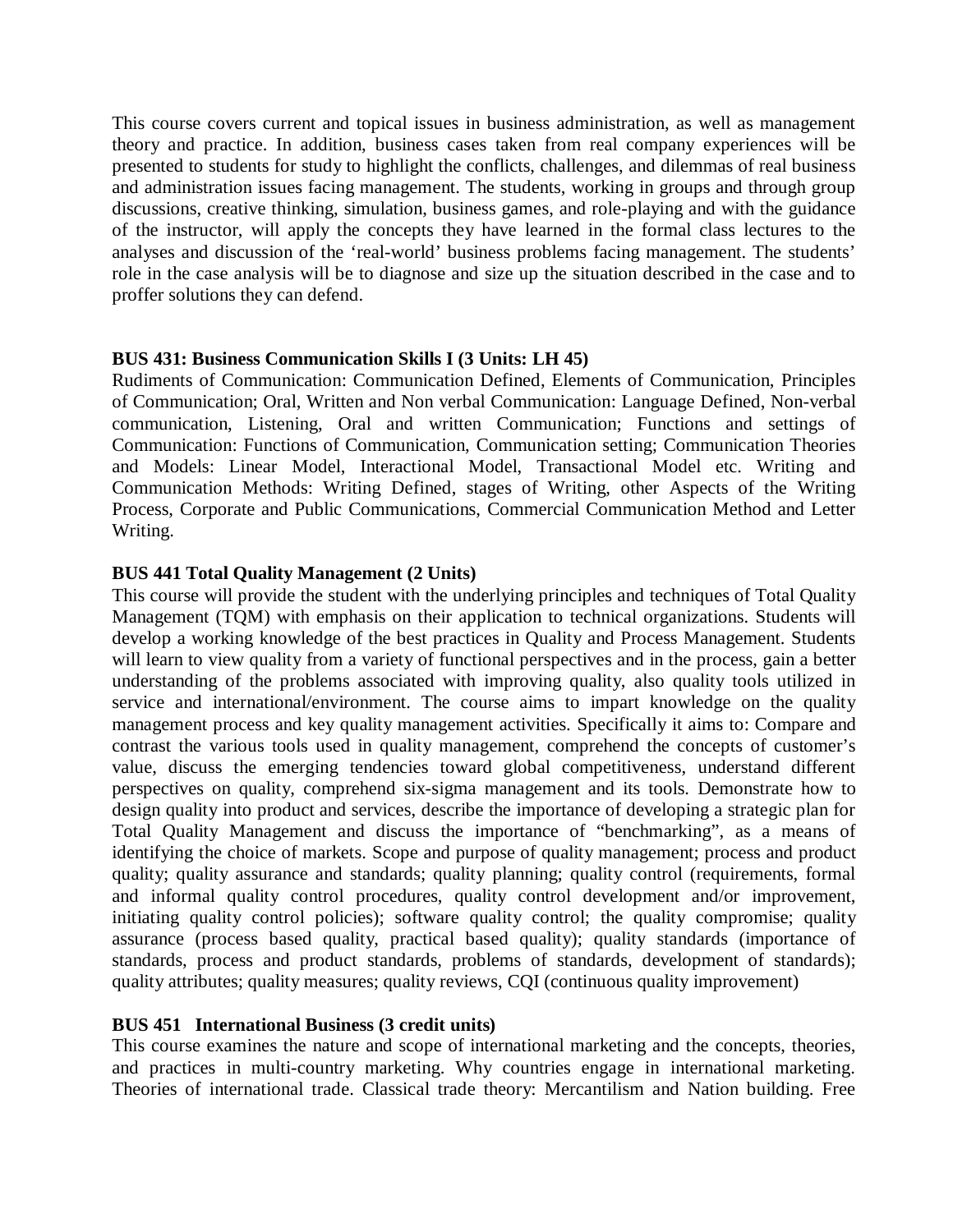This course covers current and topical issues in business administration, as well as management theory and practice. In addition, business cases taken from real company experiences will be presented to students for study to highlight the conflicts, challenges, and dilemmas of real business and administration issues facing management. The students, working in groups and through group discussions, creative thinking, simulation, business games, and role-playing and with the guidance of the instructor, will apply the concepts they have learned in the formal class lectures to the analyses and discussion of the 'real-world' business problems facing management. The students' role in the case analysis will be to diagnose and size up the situation described in the case and to proffer solutions they can defend.

#### **BUS 431: Business Communication Skills I (3 Units: LH 45)**

Rudiments of Communication: Communication Defined, Elements of Communication, Principles of Communication; Oral, Written and Non verbal Communication: Language Defined, Non-verbal communication, Listening, Oral and written Communication; Functions and settings of Communication: Functions of Communication, Communication setting; Communication Theories and Models: Linear Model, Interactional Model, Transactional Model etc. Writing and Communication Methods: Writing Defined, stages of Writing, other Aspects of the Writing Process, Corporate and Public Communications, Commercial Communication Method and Letter Writing.

# **BUS 441 Total Quality Management (2 Units)**

This course will provide the student with the underlying principles and techniques of Total Quality Management (TQM) with emphasis on their application to technical organizations. Students will develop a working knowledge of the best practices in Quality and Process Management. Students will learn to view quality from a variety of functional perspectives and in the process, gain a better understanding of the problems associated with improving quality, also quality tools utilized in service and international/environment. The course aims to impart knowledge on the quality management process and key quality management activities. Specifically it aims to: Compare and contrast the various tools used in quality management, comprehend the concepts of customer's value, discuss the emerging tendencies toward global competitiveness, understand different perspectives on quality, comprehend six-sigma management and its tools. Demonstrate how to design quality into product and services, describe the importance of developing a strategic plan for Total Quality Management and discuss the importance of "benchmarking", as a means of identifying the choice of markets. Scope and purpose of quality management; process and product quality; quality assurance and standards; quality planning; quality control (requirements, formal and informal quality control procedures, quality control development and/or improvement, initiating quality control policies); software quality control; the quality compromise; quality assurance (process based quality, practical based quality); quality standards (importance of standards, process and product standards, problems of standards, development of standards); quality attributes; quality measures; quality reviews, CQI (continuous quality improvement)

#### **BUS 451 International Business (3 credit units)**

This course examines the nature and scope of international marketing and the concepts, theories, and practices in multi-country marketing. Why countries engage in international marketing. Theories of international trade. Classical trade theory: Mercantilism and Nation building. Free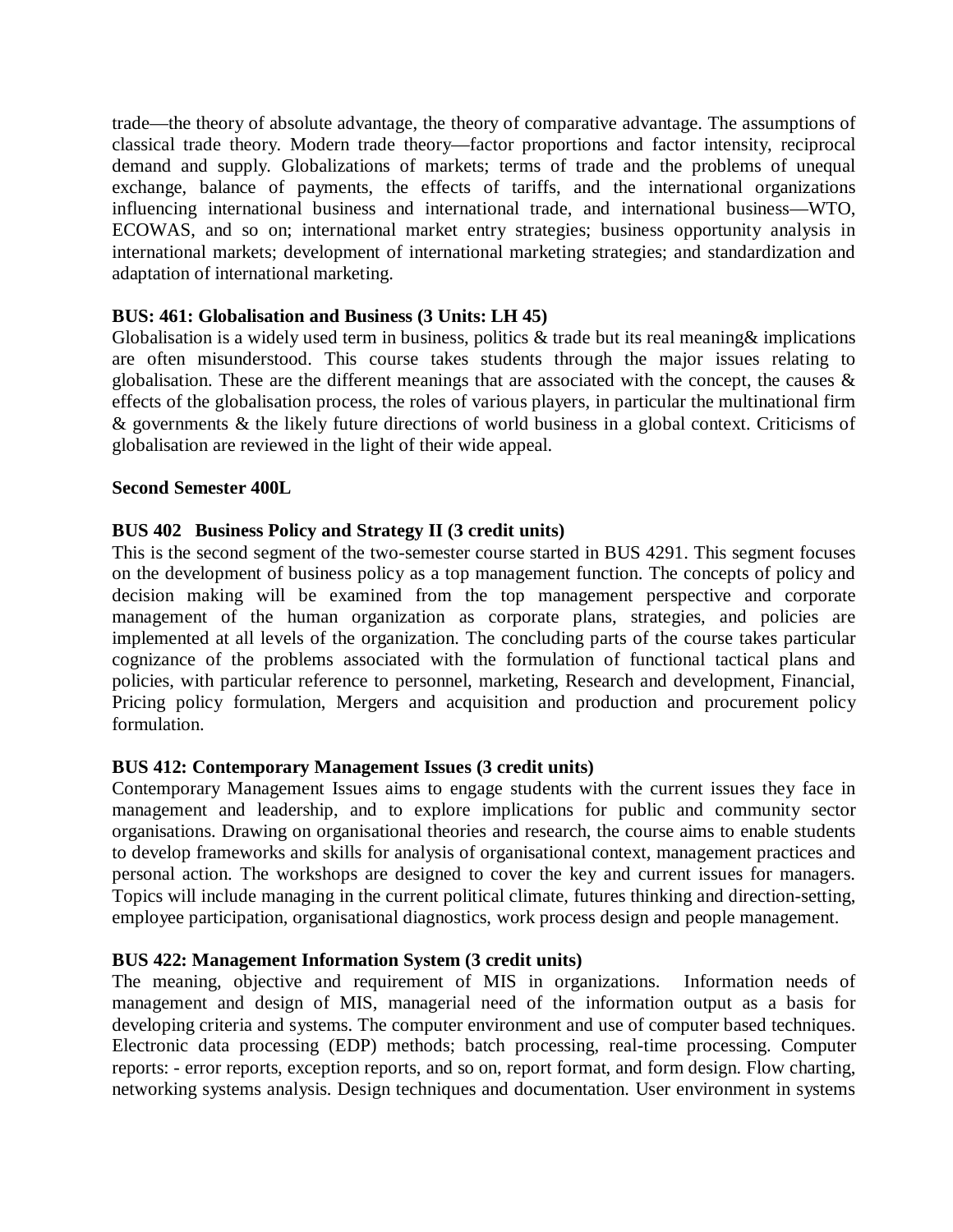trade—the theory of absolute advantage, the theory of comparative advantage. The assumptions of classical trade theory. Modern trade theory—factor proportions and factor intensity, reciprocal demand and supply. Globalizations of markets; terms of trade and the problems of unequal exchange, balance of payments, the effects of tariffs, and the international organizations influencing international business and international trade, and international business—WTO, ECOWAS, and so on; international market entry strategies; business opportunity analysis in international markets; development of international marketing strategies; and standardization and adaptation of international marketing.

# **BUS: 461: Globalisation and Business (3 Units: LH 45)**

Globalisation is a widely used term in business, politics  $\&$  trade but its real meaning  $\&$  implications are often misunderstood. This course takes students through the major issues relating to globalisation. These are the different meanings that are associated with the concept, the causes & effects of the globalisation process, the roles of various players, in particular the multinational firm & governments & the likely future directions of world business in a global context. Criticisms of globalisation are reviewed in the light of their wide appeal.

#### **Second Semester 400L**

#### **BUS 402 Business Policy and Strategy II (3 credit units)**

This is the second segment of the two-semester course started in BUS 4291. This segment focuses on the development of business policy as a top management function. The concepts of policy and decision making will be examined from the top management perspective and corporate management of the human organization as corporate plans, strategies, and policies are implemented at all levels of the organization. The concluding parts of the course takes particular cognizance of the problems associated with the formulation of functional tactical plans and policies, with particular reference to personnel, marketing, Research and development, Financial, Pricing policy formulation, Mergers and acquisition and production and procurement policy formulation.

#### **BUS 412: Contemporary Management Issues (3 credit units)**

Contemporary Management Issues aims to engage students with the current issues they face in management and leadership, and to explore implications for public and community sector organisations. Drawing on organisational theories and research, the course aims to enable students to develop frameworks and skills for analysis of organisational context, management practices and personal action. The workshops are designed to cover the key and current issues for managers. Topics will include managing in the current political climate, futures thinking and direction-setting, employee participation, organisational diagnostics, work process design and people management.

#### **BUS 422: Management Information System (3 credit units)**

The meaning, objective and requirement of MIS in organizations. Information needs of management and design of MIS, managerial need of the information output as a basis for developing criteria and systems. The computer environment and use of computer based techniques. Electronic data processing (EDP) methods; batch processing, real-time processing. Computer reports: - error reports, exception reports, and so on, report format, and form design. Flow charting, networking systems analysis. Design techniques and documentation. User environment in systems